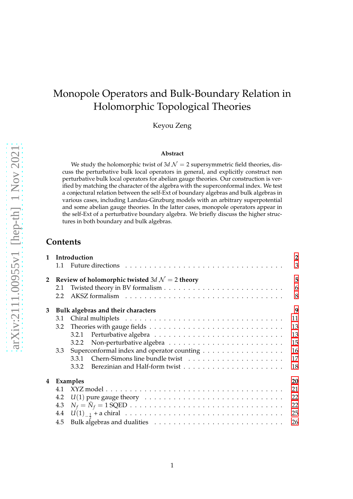# Monopole Operators and Bulk-Boundary Relation in Holomorphic Topological Theories

Keyou Zeng

#### **Abstract**

We study the holomorphic twist of  $3d$   $\mathcal{N}=2$  supersymmetric field theories, discuss the perturbative bulk local operators in general, and explicitly construct non perturbative bulk local operators for abelian gauge theories. Our construction is verified by matching the character of the algebra with the superconformal index. We test a conjectural relation between the self-Ext of boundary algebras and bulk algebras in various cases, including Landau-Ginzburg models with an arbitrary superpotential and some abelian gauge theories. In the latter cases, monopole operators appear in the self-Ext of a perturbative boundary algebra. We briefly discuss the higher structures in both boundary and bulk algebras.

### **Contents**

| $\mathbf{1}$ |     | Introduction                                                                                      |    |  |  |  |  |  |  |  |
|--------------|-----|---------------------------------------------------------------------------------------------------|----|--|--|--|--|--|--|--|
|              | 1.1 |                                                                                                   | 3  |  |  |  |  |  |  |  |
| $\mathbf{2}$ |     | Review of holomorphic twisted 3d $\mathcal{N} = 2$ theory                                         | 5  |  |  |  |  |  |  |  |
|              | 2.1 |                                                                                                   | 6  |  |  |  |  |  |  |  |
|              | 2.2 |                                                                                                   | 8  |  |  |  |  |  |  |  |
| 3            |     | Bulk algebras and their characters                                                                | 9  |  |  |  |  |  |  |  |
|              | 3.1 |                                                                                                   | 11 |  |  |  |  |  |  |  |
|              | 3.2 |                                                                                                   | 13 |  |  |  |  |  |  |  |
|              |     | 3.2.1                                                                                             | 13 |  |  |  |  |  |  |  |
|              |     | 3.2.2                                                                                             | 15 |  |  |  |  |  |  |  |
|              | 3.3 | Superconformal index and operator counting                                                        | 16 |  |  |  |  |  |  |  |
|              |     |                                                                                                   | 17 |  |  |  |  |  |  |  |
|              |     | Berezinian and Half-form twist $\ldots \ldots \ldots \ldots \ldots \ldots \ldots \ldots$<br>3.3.2 | 18 |  |  |  |  |  |  |  |
| 4            |     | Examples                                                                                          | 20 |  |  |  |  |  |  |  |
|              | 4.1 |                                                                                                   | 21 |  |  |  |  |  |  |  |
|              | 4.2 | $U(1)$ pure gauge theory $\ldots \ldots \ldots \ldots \ldots \ldots \ldots \ldots \ldots$         | 22 |  |  |  |  |  |  |  |
|              | 4.3 |                                                                                                   | 22 |  |  |  |  |  |  |  |
|              | 4.4 |                                                                                                   | 25 |  |  |  |  |  |  |  |
|              | 4.5 |                                                                                                   | 26 |  |  |  |  |  |  |  |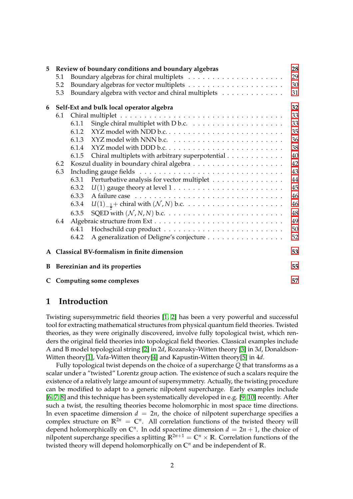| 5            |     |       | Review of boundary conditions and boundary algebras                               | 28 |
|--------------|-----|-------|-----------------------------------------------------------------------------------|----|
|              | 5.1 |       |                                                                                   | 29 |
|              | 5.2 |       |                                                                                   | 30 |
|              | 5.3 |       | Boundary algebra with vector and chiral multiplets                                | 31 |
| 6            |     |       | Self-Ext and bulk local operator algebra                                          | 32 |
|              | 6.1 |       |                                                                                   | 33 |
|              |     | 6.1.1 |                                                                                   | 33 |
|              |     | 6.1.2 |                                                                                   | 35 |
|              |     | 6.1.3 |                                                                                   | 36 |
|              |     | 6.1.4 |                                                                                   | 38 |
|              |     | 6.1.5 | Chiral multiplets with arbitrary superpotential                                   | 40 |
|              | 6.2 |       |                                                                                   | 42 |
|              | 6.3 |       |                                                                                   | 43 |
|              |     | 6.3.1 | Perturbative analysis for vector multiplet                                        | 44 |
|              |     | 6.3.2 | $U(1)$ gauge theory at level $1 \ldots \ldots \ldots \ldots \ldots \ldots \ldots$ | 45 |
|              |     | 6.3.3 |                                                                                   | 46 |
|              |     | 6.3.4 |                                                                                   | 46 |
|              |     | 6.3.5 |                                                                                   | 48 |
|              | 6.4 |       |                                                                                   | 49 |
|              |     | 6.4.1 |                                                                                   | 50 |
|              |     | 6.4.2 | A generalization of Deligne's conjecture                                          | 52 |
| $\mathbf{A}$ |     |       | Classical BV-formalism in finite dimension                                        | 53 |
| B            |     |       | Berezinian and its properties                                                     | 55 |
|              |     |       | C Computing some complexes                                                        | 57 |

### <span id="page-1-0"></span>**1 Introduction**

Twisting supersymmetric field theories [\[1,](#page-58-0) [2\]](#page-58-1) has been a very powerful and successful tool for extracting mathematical structures from physical quantum field theories. Twisted theories, as they were originally discovered, involve fully topological twist, which renders the original field theories into topological field theories. Classical examples include A and B model topological string [\[2\]](#page-58-1) in 2*d*, Rozansky-Witten theory [\[3\]](#page-58-2) in 3*d*, Donaldson-Witten theory[\[1\]](#page-58-0), Vafa-Witten theory[\[4\]](#page-58-3) and Kapustin-Witten theory[\[5\]](#page-58-4) in 4*d*.

Fully topological twist depends on the choice of a supercharge *Q* that transforms as a scalar under a "twisted" Lorentz group action. The existence of such a scalars require the existence of a relatively large amount of supersymmetry. Actually, the twisting procedure can be modified to adapt to a generic nilpotent supercharge. Early examples include [\[6,](#page-59-0) [7,](#page-59-1) [8\]](#page-59-2) and this technique has been systematically developed in e.g. [\[9,](#page-59-3) [10\]](#page-59-4) recently. After such a twist, the resulting theories become holomorphic in most space time directions. In even spacetime dimension  $d = 2n$ , the choice of nilpotent supercharge specifies a complex structure on  $\mathbb{R}^{2n} = \mathbb{C}^n$ . All correlation functions of the twisted theory will depend holomorphically on  $\mathbb{C}^n$ . In odd spacetime dimension  $d = 2n + 1$ , the choice of nilpotent supercharge specifies a splitting  $\mathbb{R}^{2n+1} = \mathbb{C}^n \times \mathbb{R}$ . Correlation functions of the twisted theory will depend holomorphically on **C** *<sup>n</sup>* and be independent of **R**.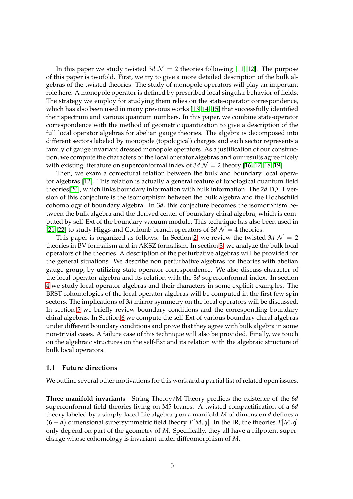In this paper we study twisted 3*d*  $\mathcal{N} = 2$  theories following [\[11,](#page-59-5) [12\]](#page-59-6). The purpose of this paper is twofold. First, we try to give a more detailed description of the bulk algebras of the twisted theories. The study of monopole operators will play an important role here. A monopole operator is defined by prescribed local singular behavior of fields. The strategy we employ for studying them relies on the state-operator correspondence, which has also been used in many previous works [\[13,](#page-59-7) [14,](#page-59-8) [15\]](#page-59-9) that successfully identified their spectrum and various quantum numbers. In this paper, we combine state-operator correspondence with the method of geometric quantization to give a description of the full local operator algebras for abelian gauge theories. The algebra is decomposed into different sectors labeled by monopole (topological) charges and each sector represents a family of gauge invariant dressed monopole operators. As a justification of our construction, we compute the characters of the local operator algebras and our results agree nicely with existing literature on superconformal index of  $3d \mathcal{N} = 2$  theory [\[16,](#page-59-10) [17,](#page-59-11) [18,](#page-59-12) [19\]](#page-59-13).

Then, we exam a conjectural relation between the bulk and boundary local operator algebras [\[12\]](#page-59-6). This relation is actually a general feature of topological quantum field theories[\[20\]](#page-59-14), which links boundary information with bulk information. The 2*d* TQFT version of this conjecture is the isomorphism between the bulk algebra and the Hochschild cohomology of boundary algebra. In 3*d*, this conjecture becomes the isomorphism between the bulk algebra and the derived center of boundary chiral algebra, which is computed by self-Ext of the boundary vacuum module. This technique has also been used in [\[21,](#page-59-15) [22\]](#page-59-16) to study Higgs and Coulomb branch operators of  $3d \mathcal{N} = 4$  theories.

This paper is organized as follows. In Section [2,](#page-4-0) we review the twisted  $3d$   $\mathcal{N} = 2$ theories in BV formalism and in AKSZ formalism. In section [3,](#page-8-0) we analyze the bulk local operators of the theories. A description of the perturbative algebras will be provided for the general situations. We describe non perturbative algebras for theories with abelian gauge group, by utilizing state operator correspondence. We also discuss character of the local operator algebra and its relation with the 3*d* superconformal index. In section [4](#page-19-0) we study local operator algebras and their characters in some explicit examples. The BRST cohomologies of the local operator algebras will be computed in the first few spin sectors. The implications of 3*d* mirror symmetry on the local operators will be discussed. In section [5](#page-27-0) we briefly review boundary conditions and the corresponding boundary chiral algebras. In Section [6](#page-31-0) we compute the self-Ext of various boundary chiral algebras under different boundary conditions and prove that they agree with bulk algebra in some non-trivial cases. A failure case of this technique will also be provided. Finally, we touch on the algebraic structures on the self-Ext and its relation with the algebraic structure of bulk local operators.

### <span id="page-2-0"></span>**1.1 Future directions**

We outline several other motivations for this work and a partial list of related open issues.

**Three manifold invariants** String Theory/M-Theory predicts the existence of the 6*d* superconformal field theories living on M5 branes. A twisted compactification of a 6*d* theory labeled by a simply-laced Lie algebra g on a manifold *M* of dimension *d* defines a (6 − *d*) dimensional supersymmetric field theory *T*[*M*, g]. In the IR, the theories *T*[*M*, g] only depend on part of the geometry of *M*. Specifically, they all have a nilpotent supercharge whose cohomology is invariant under diffeomorphism of *M*.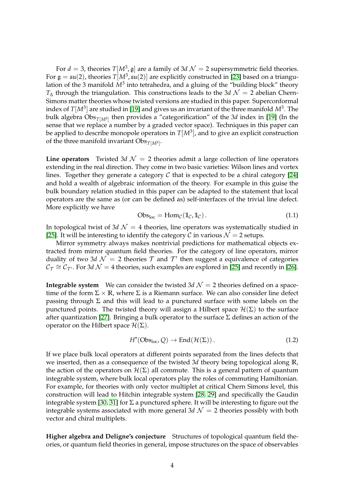For  $d = 3$ , theories  $T[M^3, \mathfrak{g}]$  are a family of 3d  $\mathcal{N} = 2$  supersymmetric field theories. For  $\mathfrak{g} = \mathfrak{su}(2)$ , theories  $T[M^3,\mathfrak{su}(2)]$  are explicitly constructed in [\[23\]](#page-59-17) based on a triangulation of the 3 manifold  $M^3$  into tetrahedra, and a gluing of the "building block" theory  $T_{\Delta}$  through the triangulation. This constructions leads to the 3*d*  $\mathcal{N}=2$  abelian Chern-Simons matter theories whose twisted versions are studied in this paper. Superconformal index of  $T[M^3]$  are studied in [\[19\]](#page-59-13) and gives us an invariant of the three manifold  $M^3$ . The bulk algebra Obs $_{T[M^3]}$  then provides a "categorification" of the 3*d* index in [\[19\]](#page-59-13) (In the sense that we replace a number by a graded vector space). Techniques in this paper can be applied to describe monopole operators in *T*[*M*<sup>3</sup> ], and to give an explicit construction of the three manifold invariant  $\mathrm{Obs}_{T[M^3]}$ .

**Line operators** Twisted 3*d*  $\mathcal{N} = 2$  theories admit a large collection of line operators extending in the real direction. They come in two basic varieties: Wilson lines and vortex lines. Together they generate a category  $C$  that is expected to be a chiral category [\[24\]](#page-59-18) and hold a wealth of algebraic information of the theory. For example in this guise the bulk boundary relation studied in this paper can be adapted to the statement that local operators are the same as (or can be defined as) self-interfaces of the trivial line defect. More explicitly we have

$$
Obs_{loc} = \text{Hom}_{\mathcal{C}}(\mathbb{1}_{\mathcal{C}}, \mathbb{1}_{\mathcal{C}}). \tag{1.1}
$$

In topological twist of  $3d$   $\mathcal{N} = 4$  theories, line operators was systematically studied in [\[25\]](#page-60-0). It will be interesting to identify the category C in various  $\mathcal{N} = 2$  setups.

Mirror symmetry always makes nontrivial predictions for mathematical objects extracted from mirror quantum field theories. For the category of line operators, mirror duality of two 3*d*  $\mathcal{N} = 2$  theories  $\mathcal{T}$  and  $\mathcal{T}'$  then suggest a equivalence of categories  $C_{\mathcal{T}} \cong C_{\mathcal{T}'}$ . For 3*d*  $\mathcal{N} = 4$  theories, such examples are explored in [\[25\]](#page-60-0) and recently in [\[26\]](#page-60-1).

**Integrable system** We can consider the twisted  $3d \mathcal{N} = 2$  theories defined on a spacetime of the form  $\Sigma \times \mathbb{R}$ , where  $\Sigma$  is a Riemann surface. We can also consider line defect passing through  $\Sigma$  and this will lead to a punctured surface with some labels on the punctured points. The twisted theory will assign a Hilbert space  $\mathcal{H}(\Sigma)$  to the surface after quantization [\[27\]](#page-60-2). Bringing a bulk operator to the surface  $\Sigma$  defines an action of the operator on the Hilbert space  $\mathcal{H}(\Sigma)$ .

<span id="page-3-0"></span>
$$
H^{\bullet}(\mathrm{Obs}_{\mathrm{loc}}, \mathcal{Q}) \to \mathrm{End}(\mathcal{H}(\Sigma)). \tag{1.2}
$$

If we place bulk local operators at different points separated from the lines defects that we inserted, then as a consequence of the twisted 3*d* theory being topological along **R**, the action of the operators on  $\mathcal{H}(\Sigma)$  all commute. This is a general pattern of quantum integrable system, where bulk local operators play the roles of commuting Hamiltonian. For example, for theories with only vector multiplet at critical Chern Simons level, this construction will lead to Hitchin integrable system [\[28,](#page-60-3) [29\]](#page-60-4) and specifically the Gaudin integrable system [\[30,](#page-60-5) [31\]](#page-60-6) for  $\Sigma$  a punctured sphere. It will be interesting to figure out the integrable systems associated with more general  $3d \mathcal{N} = 2$  theories possibly with both vector and chiral multiplets.

**Higher algebra and Deligne's conjecture** Structures of topological quantum field theories, or quantum field theories in general, impose structures on the space of observables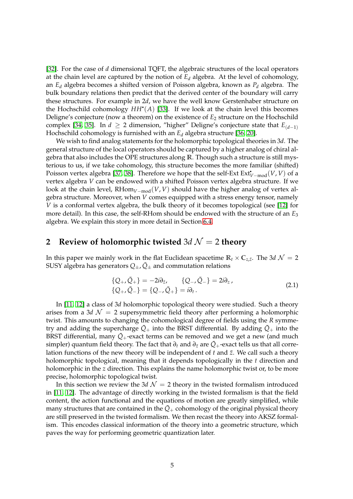[\[32\]](#page-60-7). For the case of *d* dimensional TQFT, the algebraic structures of the local operators at the chain level are captured by the notion of *E<sup>d</sup>* algebra. At the level of cohomology, an *E<sup>d</sup>* algebra becomes a shifted version of Poisson algebra, known as *P<sup>d</sup>* algebra. The bulk boundary relations then predict that the derived center of the boundary will carry these structures. For example in 2*d*, we have the well know Gerstenhaber structure on the Hochschild cohomology *HH*• (*A*) [\[33\]](#page-60-8). If we look at the chain level this becomes Deligne's conjecture (now a theorem) on the existence of *E*<sup>2</sup> structure on the Hochschild complex [\[34,](#page-60-9) [35\]](#page-60-10). In  $d \ge 2$  dimension, "higher" Deligne's conjecture state that  $E_{(d-1)}$ Hochschild cohomology is furnished with an *E<sup>d</sup>* algebra structure [\[36,](#page-60-11) [20\]](#page-59-14).

We wish to find analog statements for the holomorphic topological theories in 3*d*. The general structure of the local operators should be captured by a higher analog of chiral algebra that also includes the OPE structures along **R**. Though such a structure is still mysterious to us, if we take cohomology, this structure becomes the more familiar (shifted) *P*oisson vertex algebra [\[37,](#page-60-12) [38\]](#page-60-13). Therefore we hope that the self-Ext Ext $_{V−mod}^{\bullet}(V, V)$  of a vertex algebra *V* can be endowed with a shifted Poisson vertex algebra structure. If we look at the chain level, RHom*V*−mod(*V*, *V*) should have the higher analog of vertex algebra structure. Moreover, when *V* comes equipped with a stress energy tensor, namely *V* is a conformal vertex algebra, the bulk theory of it becomes topological (see [\[12\]](#page-59-6) for more detail). In this case, the self-RHom should be endowed with the structure of an *E*<sup>3</sup> algebra. We explain this story in more detail in Section [6.4.](#page-48-0)

# <span id="page-4-0"></span>**2** Review of holomorphic twisted  $3d \mathcal{N} = 2$  theory

In this paper we mainly work in the flat Euclidean spacetime  $\mathbb{R}_t \times \mathbb{C}_{z,\bar{z}}$ . The 3*d*  $\mathcal{N} = 2$ SUSY algebra has generators  $Q_{\pm}$ ,  $\bar{Q}_{\pm}$  and commutation relations

$$
\{Q_+, \bar{Q}_+\} = -2i\partial_{\bar{z}}, \qquad \{Q_-, \bar{Q}_-\} = 2i\partial_{z}, \{\bar{Q}_+, \bar{Q}_-\} = \{Q_-, \bar{Q}_+\} = i\partial_t.
$$
\n(2.1)

In [\[11,](#page-59-5) [12\]](#page-59-6) a class of 3*d* holomorphic topological theory were studied. Such a theory arises from a 3*d*  $\mathcal{N} = 2$  supersymmetric field theory after performing a holomorphic twist. This amounts to changing the cohomological degree of fields using the *R* symmetry and adding the supercharge  $\overline{Q}_+$  into the BRST differential. By adding  $\overline{Q}_+$  into the BRST differential, many  $\overline{Q}_+$ -exact terms can be removed and we get a new (and much simpler) quantum field theory. The fact that  $\partial_t$  and  $\partial_{\bar{z}}$  are  $\bar{Q}_+$ -exact tells us that all correlation functions of the new theory will be independent of *t* and  $\bar{z}$ . We call such a theory holomorphic topological, meaning that it depends topologically in the *t* direction and holomorphic in the *z* direction. This explains the name holomorphic twist or, to be more precise, holomorphic topological twist.

In this section we review the 3*d*  $\mathcal{N} = 2$  theory in the twisted formalism introduced in [\[11,](#page-59-5) [12\]](#page-59-6). The advantage of directly working in the twisted formalism is that the field content, the action functional and the equations of motion are greatly simplified, while many structures that are contained in the  $Q_+$  cohomology of the original physical theory are still preserved in the twisted formalism. We then recast the theory into AKSZ formalism. This encodes classical information of the theory into a geometric structure, which paves the way for performing geometric quantization later.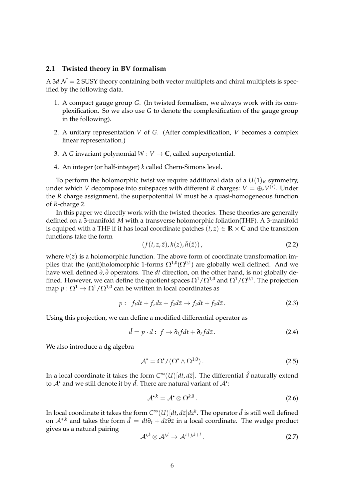### <span id="page-5-0"></span>**2.1 Twisted theory in BV formalism**

A 3*d*  $\mathcal{N} = 2$  SUSY theory containing both vector multiplets and chiral multiplets is specified by the following data.

- 1. A compact gauge group *G*. (In twisted formalism, we always work with its complexification. So we also use *G* to denote the complexification of the gauge group in the following).
- 2. A unitary representation *V* of *G*. (After complexification, *V* becomes a complex linear representation.)
- 3. A *G* invariant polynomial  $W: V \to \mathbb{C}$ , called superpotential.
- 4. An integer (or half-integer) *k* called Chern-Simons level.

To perform the holomorphic twist we require additional data of a  $U(1)_R$  symmetry, under which  $V$  decompose into subspaces with different  $R$  charges:  $V=\oplus_r V^{(r)}.$  Under the *R* charge assignment, the superpotential *W* must be a quasi-homogeneous function of *R*-charge 2.

In this paper we directly work with the twisted theories. These theories are generally defined on a 3-manifold *M* with a transverse holomorphic foliation(THF). A 3-manifold is equiped with a THF if it has local coordinate patches  $(t, z) \in \mathbb{R} \times \mathbb{C}$  and the transition functions take the form

$$
(f(t, z, \bar{z}), h(z), \bar{h}(\bar{z})), \qquad (2.2)
$$

where  $h(z)$  is a holomorphic function. The above form of coordinate transformation implies that the (anti)holomorphic 1-forms  $\Omega^{1,0}(\Omega^{0,1})$  are globally well defined. And we have well defined *∂*, ¯*∂* operators. The *dt* direction, on the other hand, is not globally defined. However, we can define the quotient spaces  $\Omega^1/\Omega^{1,0}$  and  $\Omega^1/\Omega^{0,1}$ . The projection map  $p : \Omega^1 \to \Omega^1/\Omega^{1,0}$  can be written in local coordinates as

$$
p: f_t dt + f_z dz + f_{\bar{z}} d\bar{z} \to f_t dt + f_{\bar{z}} d\bar{z}.
$$
 (2.3)

Using this projection, we can define a modified differential operator as

$$
\hat{d} = p \cdot d : f \to \partial_t f dt + \partial_{\bar{z}} f d\bar{z} . \tag{2.4}
$$

We also introduce a dg algebra

$$
\mathcal{A}^{\bullet} = \Omega^{\bullet} / (\Omega^{\bullet} \wedge \Omega^{1,0}). \tag{2.5}
$$

In a local coordinate it takes the form  $C^{\infty}(U)[dt,d\bar{z}]$ . The differential  $\hat{d}$  naturally extend to  $\mathcal{A}^{\bullet}$  and we still denote it by  $\hat{d}$ . There are natural variant of  $\mathcal{A}^{\bullet}$ :

$$
\mathcal{A}^{\bullet,k} = \mathcal{A}^{\bullet} \otimes \Omega^{k,0} \,. \tag{2.6}
$$

In local coordinate it takes the form  $C^\infty (U)[dt,d\bar{z}]dz^k.$  The operator  $\hat{d}$  is still well defined on  $A^{*,k}$  and takes the form  $\hat{d} = dt\partial_t + d\bar{z}\partial\bar{z}$  in a local coordinate. The wedge product gives us a natural pairing

$$
\mathcal{A}^{i,k} \otimes \mathcal{A}^{j,l} \to \mathcal{A}^{i+j,k+l} \,. \tag{2.7}
$$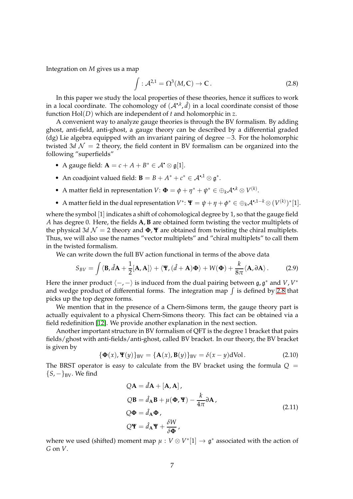Integration on *M* gives us a map

<span id="page-6-0"></span>
$$
\int : \mathcal{A}^{2,1} = \Omega^3(M,\mathbb{C}) \to \mathbb{C} \,. \tag{2.8}
$$

In this paper we study the local properties of these theories, hence it suffices to work in a local coordinate. The cohomology of  $(A^{\bullet,k}, \hat{d})$  in a local coordinate consist of those function Hol(*D*) which are independent of *t* and holomorphic in *z*.

A convenient way to analyze gauge theories is through the BV formalism. By adding ghost, anti-field, anti-ghost, a gauge theory can be described by a differential graded (dg) Lie algebra equipped with an invariant pairing of degree −3. For the holomorphic twisted 3*d*  $\mathcal{N} = 2$  theory, the field content in BV formalism can be organized into the following "superfields"

- A gauge field:  $\mathbf{A} = c + A + B^* \in \mathcal{A}^{\bullet} \otimes \mathfrak{g}[1].$
- An coadjoint valued field: **B** =  $B + A^* + c^* \in A^{\bullet,1} \otimes \mathfrak{g}^*$ .
- A matter field in representation  $V: \mathbf{\Phi} = \phi + \eta^* + \psi^* \in \bigoplus_k \mathcal{A}^{\bullet, k} \otimes V^{(k)}$ .
- A matter field in the dual representation  $V^*$ :  $\Psi = \psi + \eta + \phi^* \in \bigoplus_k A^{*,1-k} \otimes (V^{(k)})^*[1]$ .

where the symbol [1] indicates a shift of cohomological degree by 1, so that the gauge field *A* has degree 0. Here, the fields **A**, **B** are obtained form twisting the vector multiplets of the physical 3*d*  $\mathcal{N} = 2$  theory and  $\Phi$ ,  $\Psi$  are obtained from twisting the chiral multiplets. Thus, we will also use the names "vector multiplets" and "chiral multiplets" to call them in the twisted formalism.

We can write down the full BV action functional in terms of the above data

$$
S_{BV} = \int \langle \mathbf{B}, \hat{d}\mathbf{A} + \frac{1}{2} [\mathbf{A}, \mathbf{A}] \rangle + \langle \mathbf{\Psi}, (\hat{d} + \mathbf{A}) \mathbf{\Phi} \rangle + W(\mathbf{\Phi}) + \frac{k}{8\pi} \langle \mathbf{A}, \partial \mathbf{A} \rangle. \tag{2.9}
$$

Here the inner product  $\langle -, - \rangle$  is induced from the dual pairing between  $\mathfrak{g}, \mathfrak{g}^*$  and *V*, *V*<sup>\*</sup> and wedge product of differential forms. The integration map  $\int$  is defined by [2.8](#page-6-0) that picks up the top degree forms.

We mention that in the presence of a Chern-Simons term, the gauge theory part is actually equivalent to a physical Chern-Simons theory. This fact can be obtained via a field redefinition [\[12\]](#page-59-6). We provide another explanation in the next section.

Another important structure in BV formalism of QFT is the degree 1 bracket that pairs fields/ghost with anti-fields/anti-ghost, called BV bracket. In our theory, the BV bracket is given by

$$
\{\Phi(x), \Psi(y)\}_{BV} = \{\mathbf{A}(x), \mathbf{B}(y)\}_{BV} = \delta(x - y)\mathrm{dVol}. \tag{2.10}
$$

The BRST operator is easy to calculate from the BV bracket using the formula  $Q =$  ${S, -}$ <sub>BV</sub>. We find

$$
QA = \hat{d}A + [A, A],
$$
  
\n
$$
QB = \hat{d}_AB + \mu(\Phi, \Psi) - \frac{k}{4\pi} \partial A,
$$
  
\n
$$
Q\Phi = \hat{d}_A \Phi,
$$
  
\n
$$
Q\Psi = \hat{d}_A \Psi + \frac{\delta W}{\delta \Phi},
$$
\n(2.11)

<span id="page-6-1"></span>where we used (shifted) moment map  $\mu: V \otimes V^*[1] \to \mathfrak{g}^*$  associated with the action of *G* on *V*.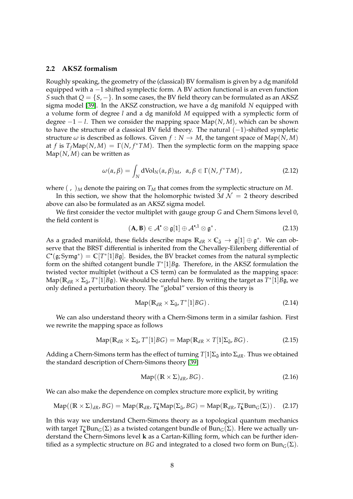### <span id="page-7-0"></span>**2.2 AKSZ formalism**

Roughly speaking, the geometry of the (classical) BV formalism is given by a dg manifold equipped with a −1 shifted symplectic form. A BV action functional is an even function *S* such that  $Q = \{S, -\}$ . In some cases, the BV field theory can be formulated as an AKSZ sigma model [\[39\]](#page-60-14). In the AKSZ construction, we have a dg manifold *N* equipped with a volume form of degree *l* and a dg manifold *M* equipped with a symplectic form of degree −1 − *l*. Then we consider the mapping space Map(*N*, *M*), which can be shown to have the structure of a classical BV field theory. The natural  $(-1)$ -shifted sympletic structure  $\omega$  is described as follows. Given  $f : N \to M$ , the tangent space of Map(*N*, *M*) at *f* is  $T_f$ Map $(N, M) = \Gamma(N, f^*TM)$ . Then the symplectic form on the mapping space Map(*N*, *M*) can be written as

$$
\omega(\alpha, \beta) = \int_N d\text{Vol}_N(\alpha, \beta)_M, \ \alpha, \beta \in \Gamma(N, f^*TM), \tag{2.12}
$$

where  $($ ,  $)$ <sub>*M*</sub> denote the pairing on  $T_M$  that comes from the symplectic structure on *M*.

In this section, we show that the holomorphic twisted  $3d \mathcal{N} = 2$  theory described above can also be formulated as an AKSZ sigma model.

We first consider the vector multiplet with gauge group *G* and Chern Simons level 0, the field content is

$$
(\mathbf{A}, \mathbf{B}) \in \mathcal{A}^{\bullet} \otimes \mathfrak{g}[1] \oplus \mathcal{A}^{\bullet, 1} \otimes \mathfrak{g}^*.
$$
 (2.13)

As a graded manifold, these fields describe maps  $\mathbb{R}_{dR} \times \mathbb{C}_{\bar{\partial}} \to \mathfrak{g}[1] \oplus \mathfrak{g}^*$ . We can observe that the BRST differential is inherited from the Chevalley-Eilenberg differential of  $C^{\bullet}(\mathfrak{g}; Sym\mathfrak{g}^*) = \mathbb{C}[T^*[1]B\mathfrak{g}]$ . Besides, the BV bracket comes from the natural symplectic form on the shifted cotangent bundle  $T^*[1]B\mathfrak{g}$ . Therefore, in the AKSZ formulation the twisted vector multiplet (without a CS term) can be formulated as the mapping space:  $\text{Map}(\mathbb{R}_{dR} \times \Sigma_{\bar{\partial}}, T^*[1]B \mathfrak{g}).$  We should be careful here. By writing the target as  $\overline{T}^*[1]B \mathfrak{g},$  we only defined a perturbation theory. The "global" version of this theory is

$$
\mathrm{Map}(\mathbb{R}_{dR} \times \Sigma_{\bar{\partial}}, T^*[1]BG). \tag{2.14}
$$

We can also understand theory with a Chern-Simons term in a similar fashion. First we rewrite the mapping space as follows

$$
\operatorname{Map}(\mathbb{R}_{dR} \times \Sigma_{\bar{\partial}}, T^*[1]BG) = \operatorname{Map}(\mathbb{R}_{dR} \times T[1]\Sigma_{\bar{\partial}}, BG).
$$
 (2.15)

Adding a Chern-Simons term has the effect of turning  $T[1]\Sigma_{\bar{\partial}}$  into  $\Sigma_{dR}$ . Thus we obtained the standard description of Chern-Simons theory [\[39\]](#page-60-14)

$$
Map((\mathbb{R} \times \Sigma)_{dR}, BG).
$$
 (2.16)

We can also make the dependence on complex structure more explicit, by writing

$$
Map((\mathbb{R} \times \Sigma)_{dR}, BG) = Map(\mathbb{R}_{dR}, T_k^*Map(\Sigma_{\bar{o}}, BG) = Map(\mathbb{R}_{dR}, T_k^*Bun_G(\Sigma)).
$$
 (2.17)

In this way we understand Chern-Simons theory as a topological quantum mechanics with target  $T^*_{\bf k}$ Bun<sub>G</sub>( $\Sigma$ ) as a twisted cotangent bundle of  $\text{Bun}_G(\Sigma)$ . Here we actually understand the Chern-Simons level **k** as a Cartan-Killing form, which can be further identified as a symplectic structure on *BG* and integrated to a closed two form on  $Bun_G(\Sigma)$ .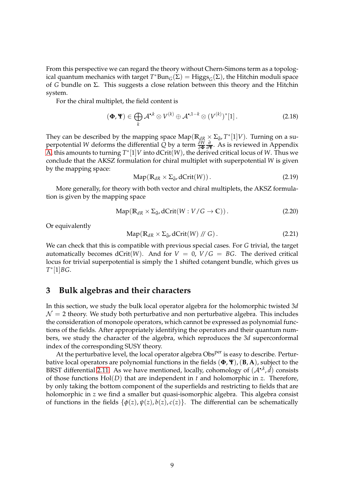From this perspective we can regard the theory without Chern-Simons term as a topological quantum mechanics with target  $T^*Bun_G(\Sigma) = Higgs_G(\Sigma)$ , the Hitchin moduli space of *G* bundle on Σ. This suggests a close relation between this theory and the Hitchin system.

For the chiral multiplet, the field content is

$$
(\Phi, \Psi) \in \bigoplus_{k} \mathcal{A}^{\bullet, k} \otimes V^{(k)} \oplus \mathcal{A}^{\bullet, 1-k} \otimes (V^{(k)})^*[1]. \tag{2.18}
$$

They can be described by the mapping space  $\text{Map}(\mathbb{R}_{dR} \times \Sigma_{\bar{\partial}}, T^*[1]V)$ . Turning on a superpotential *W* deforms the differential *Q* by a term *<sup>δ</sup><sup>W</sup> δ***Φ** *∂ ∂***Ψ** . As is reviewed in Appendix [A,](#page-52-0) this amounts to turning  $T^{*}[1]V$  into dCrit $(W)$ , the derived critical locus of  $W$ . Thus we conclude that the AKSZ formulation for chiral multiplet with superpotential *W* is given by the mapping space:

$$
Map(R_{dR} \times \Sigma_{\bar{\partial}}, dCrit(W)).
$$
\n(2.19)

More generally, for theory with both vector and chiral multiplets, the AKSZ formulation is given by the mapping space

$$
Map(R_{dR} \times \Sigma_{\bar{\partial}}, dCrit(W : V/G \to \mathbb{C})).
$$
\n(2.20)

Or equivalently

$$
Map(R_{dR} \times \Sigma_{\bar{\partial}}, dCrit(W) // G). \tag{2.21}
$$

We can check that this is compatible with previous special cases. For *G* trivial, the target automatically becomes dCrit(*W*). And for  $V = 0$ ,  $V/G = BG$ . The derived critical locus for trivial superpotential is simply the 1 shifted cotangent bundle, which gives us *T* ∗ [1]*BG*.

### <span id="page-8-0"></span>**3 Bulk algebras and their characters**

In this section, we study the bulk local operator algebra for the holomorphic twisted 3*d*  $\mathcal{N}=2$  theory. We study both perturbative and non perturbative algebra. This includes the consideration of monopole operators, which cannot be expressed as polynomial functions of the fields. After appropriately identifying the operators and their quantum numbers, we study the character of the algebra, which reproduces the 3*d* superconformal index of the corresponding SUSY theory.

At the perturbative level, the local operator algebra Obs<sup>per</sup> is easy to describe. Perturbative local operators are polynomial functions in the fields (**Φ**, **Ψ**),(**B**, **A**), subject to the BRST differential [2.11.](#page-6-1) As we have mentioned, locally, cohomology of  $(A^{\bullet,k},\hat{d})$  consists of those functions Hol(*D*) that are independent in *t* and holomorphic in *z*. Therefore, by only taking the bottom component of the superfields and restricting to fields that are holomorphic in *z* we find a smaller but quasi-isomorphic algebra. This algebra consist of functions in the fields  $\{\phi(z), \psi(z), b(z), c(z)\}$ . The differential can be schematically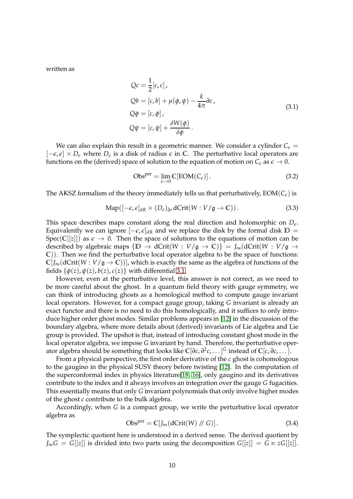<span id="page-9-0"></span>written as

$$
Qc = \frac{1}{2}[c, c],
$$
  
\n
$$
Qb = [c, b] + \mu(\phi, \psi) - \frac{k}{4\pi} \partial c,
$$
  
\n
$$
Q\phi = [c, \phi],
$$
  
\n
$$
Q\psi = [c, \psi] + \frac{\delta W(\phi)}{\delta \phi}.
$$
\n(3.1)

We can also explain this result in a geometric manner. We consider a cylinder  $C_{\epsilon}$  =  $[-\epsilon, \epsilon] \times D_{\epsilon}$  where  $D_{\epsilon}$  is a disk of radius  $\epsilon$  in C. The perturbative local operators are functions on the (derived) space of solution to the equation of motion on  $C_{\epsilon}$  as  $\epsilon \to 0$ .

$$
Obsper = \lim_{\epsilon \to 0} C[EOM(C_{\epsilon})].
$$
 (3.2)

The AKSZ formalism of the theory immediately tells us that perturbatively,  $EOM(C_{\epsilon})$  is

$$
Map([-\epsilon,\epsilon]_{dR} \times (D_{\epsilon})_{\bar{\partial}}, dCrit(W:V/\mathfrak{g} \to \mathbb{C})).
$$
\n(3.3)

This space describes maps constant along the real direction and holomorphic on  $D_{\epsilon}$ . Equivalently we can ignore  $[-\epsilon, \epsilon]_{dR}$  and we replace the disk by the formal disk  $\mathbb{D} =$ Spec( $\mathbb{C}[[z]]$ ) as  $\epsilon \to 0$ . Then the space of solutions to the equations of motion can be described by algebraic maps  $\{D \to dCrit(W : V/g \to C)\} = J_{\infty}(dCrit(W : V/g \to C))$ **C**)). Then we find the perturbative local operator algebra to be the space of functions:  $\mathbb{C}[J_{\infty}(\text{dCrit}(W:V/\mathfrak{g}\to \mathbb{C}))]$ , which is exactly the same as the algebra of functions of the fields  $\{\phi(z), \psi(z), b(z), c(z)\}\$  with differential [3.1.](#page-9-0)

However, even at the perturbative level, this answer is not correct, as we need to be more careful about the ghost. In a quantum field theory with gauge symmetry, we can think of introducing ghosts as a homological method to compute gauge invariant local operators. However, for a compact gauge group, taking *G* invariant is already an exact functor and there is no need to do this homologically, and it suffices to only introduce higher order ghost modes. Similar problems appears in [\[12\]](#page-59-6) in the discussion of the boundary algebra, where more details about (derived) invariants of Lie algebra and Lie group is provided. The upshot is that, instead of introducing constant ghost mode in the local operator algebra, we impose *G* invariant by hand. Therefore, the perturbative operator algebra should be something that looks like **C**[*∂c*, *∂* 2 *c*, . . . ] *<sup>G</sup>* instead of **C**[*c*, *∂c*, . . . ].

From a physical perspective, the first order derivative of the *c* ghost is cohomologous to the gaugino in the physical SUSY theory before twisting [\[12\]](#page-59-6). In the computation of the superconformal index in physics literature[\[18,](#page-59-12) [16\]](#page-59-10), only gaugino and its derivatives contribute to the index and it always involves an integration over the gauge *G* fugacities. This essentially means that only *G* invariant polynomials that only involve higher modes of the ghost *c* contribute to the bulk algebra.

Accordingly, when *G* is a compact group, we write the perturbative local operator algebra as

<span id="page-9-1"></span>
$$
Obsper = \mathbb{C}[J_{\infty}(dCrit(W) // G)].
$$
\n(3.4)

The symplectic quotient here is understood in a derived sense. The derived quotient by  $J_{\infty}G = G[[z]]$  is divided into two parts using the decomposition  $G[[z]] = G \ltimes zG[[z]]$ .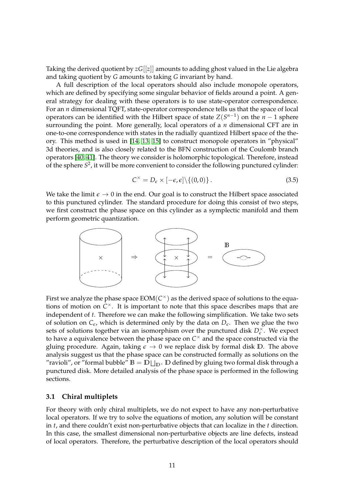Taking the derived quotient by *zG*[[*z*]] amounts to adding ghost valued in the Lie algebra and taking quotient by *G* amounts to taking *G* invariant by hand.

A full description of the local operators should also include monopole operators, which are defined by specifying some singular behavior of fields around a point. A general strategy for dealing with these operators is to use state-operator correspondence. For an *n* dimensional TQFT, state-operator correspondence tells us that the space of local operators can be identified with the Hilbert space of state  $Z(S^{n-1})$  on the  $n-1$  sphere surrounding the point. More generally, local operators of a *n* dimensional CFT are in one-to-one correspondence with states in the radially quantized Hilbert space of the theory. This method is used in [\[14,](#page-59-8) [13,](#page-59-7) [15\]](#page-59-9) to construct monopole operators in "physical" 3d theories, and is also closely related to the BFN construction of the Coulomb branch operators [\[40,](#page-60-15) [41\]](#page-60-16). The theory we consider is holomorphic topological. Therefore, instead of the sphere *S* 2 , it will be more convenient to consider the following punctured cylinder:

$$
C^{\times} = D_{\epsilon} \times [-\epsilon, \epsilon] \setminus \{(0, 0)\}.
$$
 (3.5)

We take the limit  $\epsilon \to 0$  in the end. Our goal is to construct the Hilbert space associated to this punctured cylinder. The standard procedure for doing this consist of two steps, we first construct the phase space on this cylinder as a symplectic manifold and them perform geometric quantization.



First we analyze the phase space  $\mathop{\rm EOM}\nolimits({C^\times})$  as the derived space of solutions to the equations of motion on *C* <sup>×</sup>. It is important to note that this space describes maps that are independent of *t*. Therefore we can make the following simplification. We take two sets of solution on  $C_{\epsilon}$ , which is determined only by the data on  $D_{\epsilon}$ . Then we glue the two sets of solutions together via an isomorphism over the punctured disk  $D_{\epsilon}^{\times}$ . We expect to have a equivalence between the phase space on  $C^{\times}$  and the space constructed via the gluing procedure. Again, taking  $\epsilon \to 0$  we replace disk by formal disk D. The above analysis suggest us that the phase space can be constructed formally as solutions on the "ravioli", or "formal bubble"  $\mathbb{B} = \mathbb{D} \sqcup_{\mathbb{D}^\times} \mathbb{D}$  defined by gluing two formal disk through a punctured disk. More detailed analysis of the phase space is performed in the following sections.

### <span id="page-10-0"></span>**3.1 Chiral multiplets**

For theory with only chiral multiplets, we do not expect to have any non-perturbative local operators. If we try to solve the equations of motion, any solution will be constant in *t*, and there couldn't exist non-perturbative objects that can localize in the *t* direction. In this case, the smallest dimensional non-perturbative objects are line defects, instead of local operators. Therefore, the perturbative description of the local operators should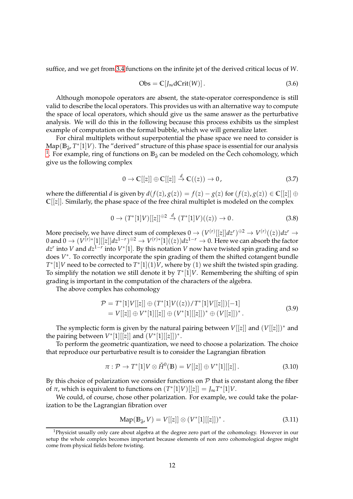suffice, and we get from [3.4](#page-9-1) functions on the infinite jet of the derived critical locus of *W*.

$$
Obs = \mathbb{C}[J_{\infty}dCrit(W)]. \qquad (3.6)
$$

Although monopole operators are absent, the state-operator correspondence is still valid to describe the local operators. This provides us with an alternative way to compute the space of local operators, which should give us the same answer as the perturbative analysis. We will do this in the following because this process exhibits us the simplest example of computation on the formal bubble, which we will generalize later.

For chiral multiplets without superpotential the phase space we need to consider is Map(B<sub>∂</sub>, *T*<sup>\*</sup>[1]*V*). The "derived" structure of this phase space is essential for our analysis <sup>[1](#page-11-0)</sup>. For example, ring of functions on **B**<sub>∂</sub> can be modeled on the Čech cohomology, which give us the following complex

$$
0 \to \mathbb{C}[[z]] \oplus \mathbb{C}[[z]] \xrightarrow{d} \mathbb{C}((z)) \to 0,\tag{3.7}
$$

where the differential *d* is given by  $d(f(z), g(z)) = f(z) - g(z)$  for  $(f(z), g(z)) \in \mathbb{C}[[z]] \oplus$  $\mathbb{C}[[z]]$ . Similarly, the phase space of the free chiral multiplet is modeled on the complex

$$
0 \to (T^*[1]V)[[z]]^{\oplus 2} \xrightarrow{d} (T^*[1]V)((z)) \to 0. \tag{3.8}
$$

More precisely, we have direct sum of complexes  $0 \to (V^{(r)}[[z]]dz^r)^{\oplus 2} \to V^{(r)}((z))dz^r \to 0$  $0$  and  $0\to (V^{(r)*}[1][[z]]dz^{1-r})^{\oplus 2}\to V^{(r)*}[1]((z))dz^{1-r}\to 0.$  Here we can absorb the factor *dz<sup>r</sup>* into *V* and *dz*<sup>1−*r*</sup> into *V* \*[1]. By this notation *V* now have twisted spin grading and so does  $V^*$ . To correctly incorporate the spin grading of them the shifted cotangent bundle  $T^*[1]V$  need to be corrected to  $T^*[1](1)V$ , where by  $(1)$  we shift the twisted spin grading. To simplify the notation we still denote it by  $T^*[1]V$ . Remembering the shifting of spin grading is important in the computation of the characters of the algebra.

The above complex has cohomology

$$
\mathcal{P} = T^*[1]V[[z]] \oplus (T^*[1]V((z))/T^*[1]V[[z]])[-1] \n= V[[z]] \oplus V^*[1][[z]] \oplus (V^*[1][[z]])^* \oplus (V[[z]])^*.
$$
\n(3.9)

The symplectic form is given by the natural pairing between  $V[[z]]$  and  $(V[[z]])^*$  and the pairing between  $V^*[1][[z]]$  and  $(V^*[1][[z]])^*$ .

To perform the geometric quantization, we need to choose a polarization. The choice that reproduce our perturbative result is to consider the Lagrangian fibration

$$
\pi: \mathcal{P} \to T^*[1]V \otimes \check{H}^0(\mathbb{B}) = V[[z]] \oplus V^*[1][[z]]. \tag{3.10}
$$

By this choice of polarization we consider functions on  $P$  that is constant along the fiber of  $\pi$ , which is equivalent to functions on  $(T^{*}[1]V)[[z]] = J_{\infty}T^{*}[1]V$ .

We could, of course, chose other polarization. For example, we could take the polarization to be the Lagrangian fibration over

$$
Map(B_{\tilde{\partial}}, V) = V[[z]] \otimes (V^*[1][[z]])^*.
$$
 (3.11)

<span id="page-11-0"></span><sup>&</sup>lt;sup>1</sup>Physicist usually only care about algebra at the degree zero part of the cohomology. However in our setup the whole complex becomes important because elements of non zero cohomological degree might come from physical fields before twisting.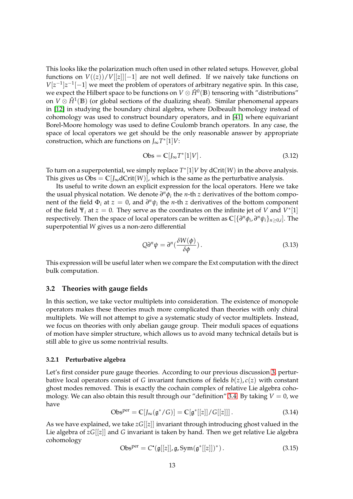This looks like the polarization much often used in other related setups. However, global functions on  $V((z))/V[[z]][-1]$  are not well defined. If we naively take functions on  $V[z^{-1}]z^{-1}[-1]$  we meet the problem of operators of arbitrary negative spin. In this case, we expect the Hilbert space to be functions on  $V\otimes \check{H}^0(\mathbb{B})$  tensoring with "distributions" on  $V\otimes \check{H}^1(\mathbb{B})$  (or global sections of the dualizing sheaf). Similar phenomenal appears in [\[12\]](#page-59-6) in studying the boundary chiral algebra, where Dolbeault homology instead of cohomology was used to construct boundary operators, and in [\[41\]](#page-60-16) where equivariant Borel-Moore homology was used to define Coulomb branch operators. In any case, the space of local operators we get should be the only reasonable answer by appropriate construction, which are functions on *J*∞*T* ∗ [1]*V*:

$$
Obs = \mathbb{C}[J_{\infty}T^*[1]V]. \tag{3.12}
$$

To turn on a superpotential, we simply replace *T* ∗ [1]*V* by dCrit(*W*) in the above analysis. This gives us  $Obs = C[f_{\infty}dCrit(W)]$ , which is the same as the perturbative analysis.

Its useful to write down an explicit expression for the local operators. Here we take the usual physical notation. We denote  $∂<sup>n</sup>φ<sub>i</sub>$  the *n*-th *z* derivatives of the bottom component of the field  $\Phi_i$  at  $z = 0$ , and  $\partial^n \psi_i$  the *n*-th *z* derivatives of the bottom component of the field  $\Psi_i$  at  $z = 0$ . They serve as the coordinates on the infinite jet of *V* and  $V^*[1]$ respectively. Then the space of local operators can be written as  $\mathbb{C}[\{\partial^n\phi_i,\partial^n\psi_i\}_{n\geq 0,i}]$ . The superpotential *W* gives us a non-zero differential

$$
Q\partial^n \psi = \partial^n \left(\frac{\delta W(\phi)}{\delta \phi}\right). \tag{3.13}
$$

This expression will be useful later when we compare the Ext computation with the direct bulk computation.

### <span id="page-12-0"></span>**3.2 Theories with gauge fields**

In this section, we take vector multiplets into consideration. The existence of monopole operators makes these theories much more complicated than theories with only chiral multiplets. We will not attempt to give a systematic study of vector multiplets. Instead, we focus on theories with only abelian gauge group. Their moduli spaces of equations of motion have simpler structure, which allows us to avoid many technical details but is still able to give us some nontrivial results.

### <span id="page-12-1"></span>**3.2.1 Perturbative algebra**

Let's first consider pure gauge theories. According to our previous discussion [3,](#page-8-0) perturbative local operators consist of *G* invariant functions of fields  $b(z)$ ,  $c(z)$  with constant ghost modes removed. This is exactly the cochain complex of relative Lie algebra coho-mology. We can also obtain this result through our "definition" [3.4.](#page-9-1) By taking  $V = 0$ , we have

$$
Obsper = \mathbb{C}[J_{\infty}(\mathfrak{g}^*/G)] = \mathbb{C}[\mathfrak{g}^*[[z]]/G[[z]]].
$$
\n(3.14)

As we have explained, we take *zG*[[*z*]] invariant through introducing ghost valued in the Lie algebra of *zG*[[*z*]] and *G* invariant is taken by hand. Then we get relative Lie algebra cohomology

$$
Obsper = C*(\mathfrak{g}[[z]], \mathfrak{g}, Sym(\mathfrak{g}^*[[z]])^*).
$$
 (3.15)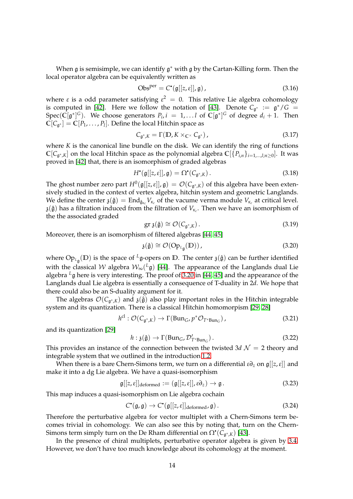When  $\mathfrak g$  is semisimple, we can identify  $\mathfrak g^*$  with  $\mathfrak g$  by the Cartan-Killing form. Then the local operator algebra can be equivalently written as

$$
Obsper = C*(\mathfrak{g}[[z,\varepsilon]], \mathfrak{g}),
$$
\n(3.16)

where  $\varepsilon$  is a odd parameter satisfying  $\varepsilon^2 = 0$ . This relative Lie algebra cohomology is computed in [\[42\]](#page-60-17). Here we follow the notation of [\[43\]](#page-61-0). Denote  $C_{\mathfrak{g}^*} := \mathfrak{g}^*/G =$  $Spec(\bar{\mathbb{C}}[\mathfrak{g}^*]^G)$ . We choose generators  $P_i$ ,  $i = 1, \ldots l$  of  $\mathbb{C}[\mathfrak{g}^*]^G$  of degree  $d_i + 1$ . Then  $\bar{C}[C_{\mathfrak{g}^*}] = \bar{C}[P_1, \ldots, P_l]$ . Define the local Hitchin space as

$$
C_{\mathfrak{g}^*,K} = \Gamma(\mathbb{D}, K \times_{\mathbb{C}^\times} C_{\mathfrak{g}^*})\,,\tag{3.17}
$$

where *K* is the canonical line bundle on the disk. We can identify the ring of functions  $\mathbb{C}[C_{\mathfrak{g}^*, K}]$  on the local Hitchin space as the polynomial algebra  $\mathbb{C}[\{P_{i,n}\}_{i=1,...,l; n≥0}]$ . It was proved in [\[42\]](#page-60-17) that, there is an isomorphism of graded algebras

$$
H^{\bullet}(\mathfrak{g}[[z,\varepsilon]],\mathfrak{g})=\Omega^{\bullet}(C_{\mathfrak{g}^*,K}).
$$
\n(3.18)

The ghost number zero part  $H^0(\mathfrak{g}[[z,\varepsilon]],\mathfrak{g})\,=\,\mathcal O(C_{\mathfrak{g}^*,K})$  of this algebra have been extensively studied in the context of vertex algebra, hitchin system and geometric Langlands. We define the center  $\mathfrak{z}(\hat{\mathfrak{g}}) = \text{End}_{\hat{\mathfrak{g}}_{\kappa_c}}V_{\kappa_c}$  of the vacume verma module  $V_{\kappa_c}$  at critical level.  $\mathfrak{z}(\hat{\mathfrak{g}})$  has a filtration induced from the filtration of  $V_{\kappa_c}$ . Then we have an isomorphism of the the associated graded

$$
\operatorname{gr} \mathfrak{z}(\hat{\mathfrak{g}}) \cong \mathcal{O}(C_{\mathfrak{g}^*, K}). \tag{3.19}
$$

Moreover, there is an isomorphism of filtered algebras [\[44,](#page-61-1) [45\]](#page-61-2)

<span id="page-13-0"></span>
$$
\mathfrak{z}(\hat{\mathfrak{g}}) \cong \mathcal{O}(\text{Op}_{L_{\mathfrak{g}}}(\mathbb{D})), \tag{3.20}
$$

where  $\text{Op}_{\iota_{\mathfrak{g}}}(\mathbb{D})$  is the space of <sup>L</sup>g-opers on  $\mathbb{D}$ . The center  $\mathfrak{z}(\hat{\mathfrak{g}})$  can be further identified with the classical  $\mathcal W$  algebra  $\mathcal W_\infty({}^L\mathfrak{g})$  [\[44\]](#page-61-1). The appearance of the Langlands dual Lie algebra *<sup>L</sup>*g here is very interesting. The proof of [3.20](#page-13-0) in [\[44,](#page-61-1) [45\]](#page-61-2) and the appearance of the Langlands dual Lie algebra is essentially a consequence of T-duality in 2*d*. We hope that there could also be an S-duality argument for it.

The algebras  $\mathcal{O}(C_{\mathfrak{g}^*, K})$  and  $\mathfrak{z}(\hat{\mathfrak{g}})$  also play important roles in the Hitchin integrable system and its quantization. There is a classical Hitchin homomorpism [\[29,](#page-60-4) [28\]](#page-60-3)

$$
h^{cl}: \mathcal{O}(C_{\mathfrak{g}^*, K}) \to \Gamma(\text{Bun}_G, p^* \mathcal{O}_{T^* \text{Bun}_G}), \qquad (3.21)
$$

and its quantization [\[29\]](#page-60-4)

$$
h: \mathfrak{z}(\hat{\mathfrak{g}}) \to \Gamma(\text{Bun}_G, \mathcal{D}'_{T^* \text{Bun}_G}). \tag{3.22}
$$

This provides an instance of the connection between the twisted  $3d \mathcal{N} = 2$  theory and integrable system that we outlined in the introduction [1.2.](#page-3-0)

When there is a bare Chern-Simons term, we turn on a differential *ε∂<sup>z</sup>* on g[[*z*,*ε*]] and make it into a dg Lie algebra. We have a quasi-isomorphism

$$
\mathfrak{g}[[z,\varepsilon]]_{\text{deformed}} := (\mathfrak{g}[[z,\varepsilon]],\varepsilon\partial_z) \to \mathfrak{g}.
$$
\n(3.23)

This map induces a quasi-isomorphism on Lie algebra cochain

$$
C^{\bullet}(\mathfrak{g},\mathfrak{g}) \to C^{\bullet}(\mathfrak{g}[[z,\varepsilon]]_{\text{deformed}},\mathfrak{g}). \tag{3.24}
$$

Therefore the perturbative algebra for vector multiplet with a Chern-Simons term becomes trivial in cohomology. We can also see this by noting that, turn on the Chern-Simons term simply turn on the De Rham differential on  $\Omega^{\bullet}({\mathsf{C}}_{{\mathfrak{g}}^*,K})$  [\[43\]](#page-61-0).

In the presence of chiral multiplets, perturbative operator algebra is given by [3.4.](#page-9-1) However, we don't have too much knowledge about its cohomology at the moment.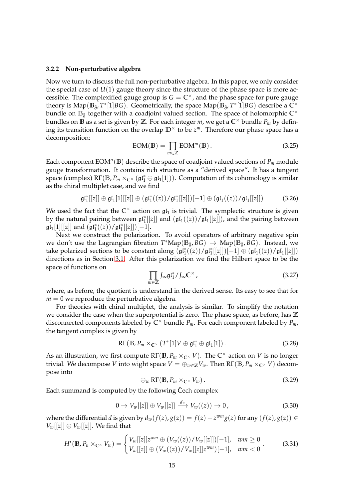#### <span id="page-14-0"></span>**3.2.2 Non-perturbative algebra**

Now we turn to discuss the full non-perturbative algebra. In this paper, we only consider the special case of  $U(1)$  gauge theory since the structure of the phase space is more accessible. The complexified gauge group is  $G = \mathbb{C}^\times$ , and the phase space for pure gauge theory is  $\text{Map}(\mathbb{B}_{\bar{\partial}}, T^*[1]BG)$ . Geometrically, the space  $\text{Map}(\mathbb{B}_{\bar{\partial}}, T^*[1]BG)$  describe a  $\mathbb{C}^\times$ bundle on **B**<sub>∂</sub><sup>*z*</sup> together with a coadjoint valued section. The space of holomorphic C<sup>×</sup> bundles on  $\mathbb B$  as a set is given by  $\mathbb Z.$  For each integer  $m$ , we get a  $\mathbb C^{\times}$  bundle  $P_m$  by defining its transition function on the overlap **D**<sup>×</sup> to be *z <sup>m</sup>*. Therefore our phase space has a decomposition:

$$
EOM(B) = \prod_{m \in \mathbb{Z}} EOMm(B).
$$
 (3.25)

Each component  $\mathrm{EOM}^n(\mathbb{B})$  describe the space of coadjoint valued sections of  $P_m$  module gauge transformation. It contains rich structure as a "derived space". It has a tangent space (complex)  $R\Gamma(\mathbb{B}, P_m \times_{\mathbb{C}^\times} (\mathfrak{gl}_1^* \oplus \mathfrak{gl}_1[1]))$ . Computation of its cohomology is similar as the chiral multiplet case, and we find

$$
\mathfrak{gl}_1^*[[z]] \oplus \mathfrak{gl}_1[1][[z]] \oplus (\mathfrak{gl}_1^*((z))/\mathfrak{gl}_1^*[[z]])[-1] \oplus (\mathfrak{gl}_1((z))/\mathfrak{gl}_1[[z]]) \tag{3.26}
$$

We used the fact that the  $\mathbb{C}^{\times}$  action on  $\mathfrak{gl}_1$  is trivial. The symplectic structure is given by the natural pairing between  $\mathfrak{gl}_1^*[[z]]$  and  $(\mathfrak{gl}_1((z))/\mathfrak{gl}_1[[z]])$ , and the pairing between  $\mathfrak{gl}_1[1][[z]]$  and  $(\mathfrak{gl}_1^*((z))/\mathfrak{gl}_1^*[[z]])[-1]$ .

Next we construct the polarization. To avoid operators of arbitrary negative spin we don't use the Lagrangian fibration  $T^*{\rm Map}(B_{\bar{\partial}}, B_G)$  → Map( $B_{\bar{\partial}}, B_G$ ). Instead, we take polarized sections to be constant along  $\overline{(\mathfrak{gl}_1^*((z))/\mathfrak{gl}_1^*[[z]])[-1]} \oplus (\mathfrak{gl}_1((z))/\mathfrak{gl}_1[[z]])$ directions as in Section [3.1.](#page-10-0) After this polarization we find the Hilbert space to be the space of functions on

$$
\prod_{m\in\mathbb{Z}}J_{\infty}\mathfrak{gl}_1^*/J_{\infty}\mathbb{C}^\times,\tag{3.27}
$$

where, as before, the quotient is understand in the derived sense. Its easy to see that for  $m = 0$  we reproduce the perturbative algebra.

For theories with chiral multiplet, the analysis is similar. To simplify the notation we consider the case when the superpotential is zero. The phase space, as before, has **Z** disconnected components labeled by **C** <sup>×</sup> bundle *Pm*. For each component labeled by *Pm*, the tangent complex is given by

$$
\mathsf{R}\Gamma(\mathbb{B}, P_m \times_{\mathbb{C}^\times} (T^*[1]V \oplus \mathfrak{gl}_1^* \oplus \mathfrak{gl}_1[1]). \tag{3.28}
$$

As an illustration, we first compute RΓ(**B**, *P<sup>m</sup>* ×**C**<sup>×</sup> *V*). The **C** <sup>×</sup> action on *V* is no longer trivial. We decompose *V* into wight space  $V = \bigoplus_{w \in \mathbb{Z}} V_w$ . Then  $R\Gamma(\mathbb{B}, P_m \times_{\mathbb{C}^\times} V)$  decompose into

$$
\oplus_w R\Gamma(B, P_m \times_{\mathbb{C}^\times} V_w). \tag{3.29}
$$

Each summand is computed by the following Cech complex

$$
0 \to V_w[[z]] \oplus V_w[[z]] \xrightarrow{d_w} V_w((z)) \to 0, \tag{3.30}
$$

where the differential *d* is given by  $d_w(f(z), g(z)) = f(z) - z^{w}g(z)$  for any  $(f(z), g(z)) \in$  $V_w[[z]] \oplus V_w[[z]]$ . We find that

$$
H^{\bullet}(\mathbb{B}, P_n \times_{\mathbb{C}^{\times}} V_w) = \begin{cases} V_w[[z]]z^{wm} \oplus (V_w((z))/V_w[[z]])[-1], & w m \ge 0 \\ V_w[[z]] \oplus (V_w((z))/V_w[[z]]z^{wm})[-1], & w m < 0 \end{cases}
$$
 (3.31)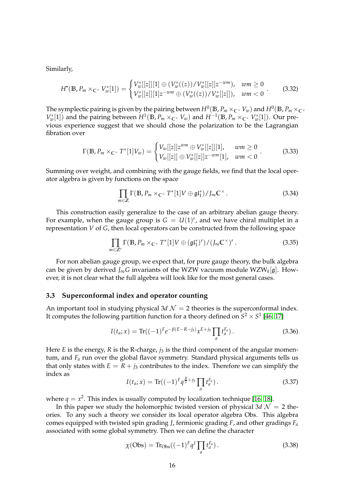Similarly,

$$
H^{\bullet}(\mathbb{B}, P_m \times_{\mathbb{C}^{\times}} V^*_{w}[1]) = \begin{cases} V^*_{w}[[z]][1] \oplus (V^*_{w}((z))/V^*_{w}[[z]]z^{-wm}), & w m \ge 0 \\ V^*_{w}[[z]][1]z^{-wm} \oplus (V^*_{w}((z))/V^*_{w}[[z]]), & w m < 0 \end{cases} \tag{3.32}
$$

The symplectic pairing is given by the pairing between  $H^0(\Bbb B, P_m\times_{\Bbb C^{\times}}V_w)$  and  $H^0(\Bbb B, P_m\times_{\Bbb C^{\times}}V_w)$  $V_w^*[1]$  and the pairing between  $H^1(\mathbb{B}, P_m \times_{\mathbb{C}^\times} V_w)$  and  $H^{-1}(\mathbb{B}, P_m \times_{\mathbb{C}^\times} V_w^*[1])$ . Our previous experience suggest that we should chose the polarization to be the Lagrangian fibration over

<span id="page-15-1"></span>
$$
\Gamma(\mathbb{B}, P_m \times_{\mathbb{C}^\times} T^*[1]V_w) = \begin{cases} V_w[[z]]z^{wm} \oplus V_w^*[[z]][1], & w m \ge 0 \\ V_w[[z]] \oplus V_w^*[[z]]z^{-wm}[1], & w m < 0 \end{cases} \tag{3.33}
$$

Summing over weight, and combining with the gauge fields, we find that the local operator algebra is given by functions on the space

$$
\prod_{m\in\mathbb{Z}}\Gamma(\mathbb{B},P_m\times_{\mathbb{C}^\times}T^*[1]V\oplus\mathfrak{gl}_1^*)/J_\infty\mathbb{C}^\times.
$$
 (3.34)

This construction easily generalize to the case of an arbitrary abelian gauge theory. For example, when the gauge group is  $G = U(1)^r$ , and we have chiral multiplet in a representation *V* of *G*, then local operators can be constructed from the following space

$$
\prod_{m\in\mathbb{Z}^r}\Gamma(\mathbb{B},P_m\times_{\mathbb{C}^\times}T^*[1]V\oplus(\mathfrak{gl}_1^*)^r)/(J_\infty\mathbb{C}^\times)^r.
$$
\n(3.35)

For non abelian gauge group, we expect that, for pure gauge theory, the bulk algebra can be given by derived *J*∞*G* invariants of the WZW vacuum module WZW*<sup>k</sup>* [g]. However, it is not clear what the full algebra will look like for the most general cases.

#### <span id="page-15-0"></span>**3.3 Superconformal index and operator counting**

An important tool in studying physical  $3d$   $\mathcal{N} = 2$  theories is the superconformal index. It computes the following partition function for a theory defined on  $S^2 \times S^1$  [\[46,](#page-61-3) [17\]](#page-59-11)

$$
I(t_a; x) = \text{Tr}((-1)^F e^{-\beta(E - R - j_3)} x^{E + j_3} \prod_a t_a^{F_a}). \tag{3.36}
$$

Here *E* is the energy, *R* is the R-charge, *j*<sub>3</sub> is the third component of the angular momentum, and *F<sup>a</sup>* run over the global flavor symmetry. Standard physical arguments tells us that only states with  $E = R + j_3$  contributes to the index. Therefore we can simplify the index as

$$
I(t_a; x) = \text{Tr}((-1)^F q^{\frac{R}{2} + j_3} \prod_a t_a^{F_a}).
$$
\n(3.37)

where  $q = x^2$ . This index is usually computed by localization technique [\[16,](#page-59-10) [18\]](#page-59-12).

In this paper we study the holomorphic twisted version of physical  $3d \mathcal{N} = 2$  theories. To any such a theory we consider its local operator algebra Obs. This algebra comes equipped with twisted spin grading *J*, fermionic grading *F*, and other gradings *F<sup>a</sup>* associated with some global symmetry. Then we can define the character

$$
\chi(\text{Obs}) = \text{Tr}_{\text{Obs}}((-1)^F q^J \prod_a t_a^{F_a}). \tag{3.38}
$$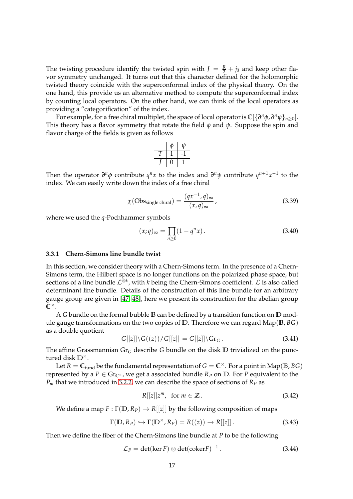The twisting procedure identify the twisted spin with  $J = \frac{R}{2} + j_3$  and keep other flavor symmetry unchanged. It turns out that this character defined for the holomorphic twisted theory coincide with the superconformal index of the physical theory. On the one hand, this provide us an alternative method to compute the superconformal index by counting local operators. On the other hand, we can think of the local operators as providing a "categorification" of the index.

For example, for a free chiral multiplet, the space of local operator is  $\mathbb{C}[\{\partial^n\phi,\partial^n\psi\}_{n\geq 0}]$ . This theory has a flavor symmetry that rotate the field *φ* and *ψ*. Suppose the spin and flavor charge of the fields is given as follows

$$
\begin{array}{c|c}\n\phi & \psi \\
\hline\nT & 1 & -1 \\
\hline\nJ & 0 & 1\n\end{array}
$$

Then the operator  $\partial^n \phi$  contribute  $q^n x$  to the index and  $\partial^n \psi$  contribute  $q^{n+1}x^{-1}$  to the index. We can easily write down the index of a free chiral

<span id="page-16-1"></span>
$$
\chi(\text{Obs}_{\text{single chiral}}) = \frac{(qx^{-1}, q)_{\infty}}{(x, q)_{\infty}},
$$
\n(3.39)

where we used the *q*-Pochhammer symbols

$$
(x;q)_{\infty} = \prod_{n\geq 0} (1 - q^n x).
$$
 (3.40)

### <span id="page-16-0"></span>**3.3.1 Chern-Simons line bundle twist**

In this section, we consider theory with a Chern-Simons term. In the presence of a Chern-Simons term, the Hilbert space is no longer functions on the polarized phase space, but sections of a line bundle  $\mathcal{L}^{\bar{\otimes}k}$ , with *k* being the Chern-Simons coefficient.  $\mathcal L$  is also called determinant line bundle. Details of the construction of this line bundle for an arbitrary gauge group are given in [\[47,](#page-61-4) [48\]](#page-61-5), here we present its construction for the abelian group **C** ×.

A *G* bundle on the formal bubble **B** can be defined by a transition function on **D** module gauge transformations on the two copies of **D**. Therefore we can regard Map(**B**, *BG*) as a double quotient

$$
G[[z]]\backslash G((z))/G[[z]] = G[[z]]\backslash Gr_G.
$$
\n(3.41)

The affine Grassmannian Gr*<sup>G</sup>* describe *G* bundle on the disk **D** trivialized on the punctured disk **D**×.

Let  $R = C_{\text{fund}}$  be the fundamental representation of  $G = \mathbb{C}^{\times}$ . For a point in  $\text{Map}(B, BG)$ represented by a  $P \in \text{Gr}_{\mathbb{C}^{\times}}$ , we get a associated bundle  $R_P$  on  $D$ . For  $P$  equivalent to the *P<sup>m</sup>* that we introduced in [3.2.2,](#page-14-0) we can describe the space of sections of *R<sup>P</sup>* as

$$
R[[z]]z^m, \text{ for } m \in \mathbb{Z} \,.
$$

We define a map  $F : \Gamma(\mathbb{D}, R_P) \to R[[z]]$  by the following composition of maps

$$
\Gamma(\mathbb{D}, R_P) \hookrightarrow \Gamma(\mathbb{D}^{\times}, R_P) = R((z)) \to R[[z]]. \tag{3.43}
$$

Then we define the fiber of the Chern-Simons line bundle at *P* to be the following

$$
\mathcal{L}_P = \det(\ker F) \otimes \det(\mathrm{coker} F)^{-1} \,. \tag{3.44}
$$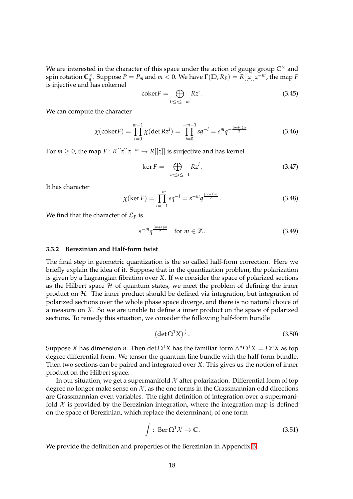We are interested in the character of this space under the action of gauge group  $\mathbb{C}^{\times}$  and spin rotation  $C_q^{\times}$ . Suppose  $P = P_m$  and  $m < 0$ . We have  $\Gamma(\mathbb{D}, R_P) = R[[z]]z^{-m}$ , the map  $F$ is injective and has cokernel

$$
coker F = \bigoplus_{0 \le i \le -m} Rz^i. \tag{3.45}
$$

We can compute the character

$$
\chi(\text{coker}F) = \prod_{i=0}^{m-1} \chi(\det Rz^i) = \prod_{i=0}^{-m-1} sq^{-i} = s^m q^{-\frac{(m+1)m}{2}}.
$$
 (3.46)

For  $m \geq 0$ , the map  $F: R[[z]]z^{-m} \to R[[z]]$  is surjective and has kernel

$$
\ker F = \bigoplus_{-m \le i \le -1} Rz^i. \tag{3.47}
$$

It has character

$$
\chi(\ker F) = \prod_{i=-1}^{-m} s q^{-i} = s^{-m} q^{\frac{(m+1)m}{2}}.
$$
 (3.48)

We find that the character of  $\mathcal{L}_P$  is

$$
s^{-m}q^{\frac{(m+1)m}{2}} \quad \text{for } m \in \mathbb{Z} \,. \tag{3.49}
$$

#### <span id="page-17-0"></span>**3.3.2 Berezinian and Half-form twist**

The final step in geometric quantization is the so called half-form correction. Here we briefly explain the idea of it. Suppose that in the quantization problem, the polarization is given by a Lagrangian fibration over *X*. If we consider the space of polarized sections as the Hilbert space  $H$  of quantum states, we meet the problem of defining the inner product on  $H$ . The inner product should be defined via integration, but integration of polarized sections over the whole phase space diverge, and there is no natural choice of a measure on *X*. So we are unable to define a inner product on the space of polarized sections. To remedy this situation, we consider the following half-form bundle

$$
(\det \Omega^1 X)^{\frac{1}{2}}.
$$
\n(3.50)

 $\mathrm{Suppose}\ X$  has dimension *n*. Then  $\det\Omega^1X$  has the familiar form  $\wedge^n\Omega^1X=\Omega^nX$  as top degree differential form. We tensor the quantum line bundle with the half-form bundle. Then two sections can be paired and integrated over *X*. This gives us the notion of inner product on the Hilbert space.

In our situation, we get a supermanifold  $\mathcal X$  after polarization. Differential form of top degree no longer make sense on  $\mathcal X$ , as the one forms in the Grassmannian odd directions are Grassmannian even variables. The right definition of integration over a supermanifold  $X$  is provided by the Berezinian integration, where the integration map is defined on the space of Berezinian, which replace the determinant, of one form

$$
\int : \operatorname{Ber}\Omega^1 \mathcal{X} \to \mathbb{C} \,. \tag{3.51}
$$

We provide the definition and properties of the Berezinian in Appendix [B.](#page-54-0)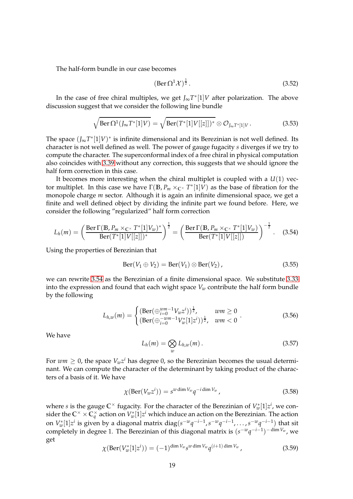The half-form bundle in our case becomes

$$
(\operatorname{Ber}\Omega^1\mathcal{X})^{\frac{1}{2}}.\tag{3.52}
$$

In the case of free chiral multiples, we get *J*∞*T* ∗ [1]*V* after polarization. The above discussion suggest that we consider the following line bundle

$$
\sqrt{\text{Ber }\Omega^1(J_\infty T^*[1]V)} = \sqrt{\text{Ber}(T^*[1]V[[z]])^*} \otimes \mathcal{O}_{J_\infty T^*[1]V}.
$$
\n(3.53)

The space  $(J_{\infty}T^*[1]V)^*$  is infinite dimensional and its Berezinian is not well defined. Its character is not well defined as well. The power of gauge fugacity *s* diverges if we try to compute the character. The superconformal index of a free chiral in physical computation also coincides with [3.39](#page-16-1) without any correction, this suggests that we should ignore the half form correction in this case.

It becomes more interesting when the chiral multiplet is coupled with a *U*(1) vector multiplet. In this case we have Γ(**B**, *P<sup>m</sup>* ×**C**<sup>×</sup> *T* ∗ [1]*V*) as the base of fibration for the monopole charge *m* sector. Although it is again an infinite dimensional space, we get a finite and well defined object by dividing the infinite part we found before. Here, we consider the following "regularized" half form correction

<span id="page-18-0"></span>
$$
L_h(m) = \left(\frac{\text{Ber } \Gamma(\mathbb{B}, P_m \times_{\mathbb{C}^\times} T^* [1] V_w)^*}{\text{Ber}(T^* [1] V[[z]])^*}\right)^{\frac{1}{2}} = \left(\frac{\text{Ber } \Gamma(\mathbb{B}, P_m \times_{\mathbb{C}^\times} T^* [1] V_w)}{\text{Ber}(T^* [1] V[[z]])}\right)^{-\frac{1}{2}}. \quad (3.54)
$$

Using the properties of Berezinian that

$$
Ber(V1 \oplus V2) = Ber(V1) \otimes Ber(V2), \qquad (3.55)
$$

we can rewrite [3.54](#page-18-0) as the Berezinian of a finite dimensional space. We substitute [3.33](#page-15-1) into the expression and found that each wight space *V<sup>w</sup>* contribute the half form bundle by the following

$$
L_{h,w}(m) = \begin{cases} (\text{Ber}(\bigoplus_{i=0}^{wm-1} V_w z^i))^{\frac{1}{2}}, & w m \ge 0\\ (\text{Ber}(\bigoplus_{i=0}^{-wm-1} V_w^*[1]z^i))^{\frac{1}{2}}, & w m < 0 \end{cases}.
$$
 (3.56)

We have

$$
L_h(m) = \bigotimes_w L_{h,w}(m). \tag{3.57}
$$

For  $w m \geq 0$ , the space  $V_w z^i$  has degree 0, so the Berezinian becomes the usual determinant. We can compute the character of the determinant by taking product of the characters of a basis of it. We have

$$
\chi(\text{Ber}(V_w z^i)) = s^{w \dim V_w} q^{-i \dim V_w}, \qquad (3.58)
$$

where *s* is the gauge  $\mathbb{C}^\times$  fugacity. For the character of the Berezinian of  $V_w^*[1]z^i$ , we consider the  $\mathbb C^{\times}\times\overline{\mathbb C_q^{\times}}$  action on  $V_w^*[1]z^i$  which induce an action on the Berezinian. The action on  $V_w^*[1]z^i$  is given by a diagonal matrix  $diag(s^{-w}q^{-i-1}, s^{-w}q^{-i-1}, \ldots, s^{-w}q^{-i-1})$  that sit completely in degree 1. The Berezinian of this diagonal matrix is (*s* <sup>−</sup>*wq* −*i*−1 ) <sup>−</sup> dim *<sup>V</sup><sup>w</sup>* , we get

$$
\chi(\text{Ber}(V_w^*[1]z^i)) = (-1)^{\dim V_w} s^{w \dim V_w} q^{(i+1) \dim V_w}, \qquad (3.59)
$$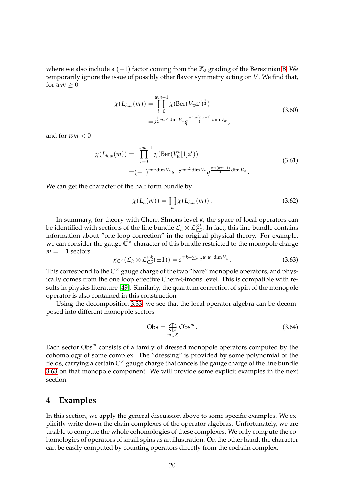where we also include a (−1) factor coming from the **Z**<sup>2</sup> grading of the Berezinian [B.](#page-54-0) We temporarily ignore the issue of possibly other flavor symmetry acting on *V*. We find that, for  $wm > 0$ 

$$
\chi(L_{h,w}(m)) = \prod_{i=0}^{w m - 1} \chi(\text{Ber}(V_w z^i)^{\frac{1}{2}})
$$
  
=  $s^{\frac{1}{2} m w^2 \dim V_w} q^{\frac{-w m (w m - 1)}{4} \dim V_w}$ , (3.60)

and for *wm* < 0

$$
\chi(L_{h,w}(m)) = \prod_{i=0}^{-wm-1} \chi(\text{Ber}(V_w^*[1]z^i))
$$
\n
$$
= (-1)^{mw \dim V_w} s^{-\frac{1}{2}mv^2 \dim V_w} q^{\frac{wm(wm-1)}{4} \dim V_w}.
$$
\n(3.61)

We can get the character of the half form bundle by

$$
\chi(L_h(m)) = \prod_w \chi(L_{h,w}(m)). \qquad (3.62)
$$

In summary, for theory with Chern-SImons level *k*, the space of local operators can be identified with sections of the line bundle  $\mathcal{L}_h\otimes\mathcal{L}_{CS}^{\otimes k}$ . In fact, this line bundle contains information about "one loop correction" in the original physical theory. For example, we can consider the gauge **C** <sup>×</sup> character of this bundle restricted to the monopole charge  $m = \pm 1$  sectors

<span id="page-19-1"></span>
$$
\chi_{\mathbb{C}^{\times}}(\mathcal{L}_h \otimes \mathcal{L}_{CS}^{\otimes k}(\pm 1)) = s^{\mp k + \sum_{w} \frac{1}{2}w|w|\dim V_w}.
$$
 (3.63)

This correspond to the  $\mathbb{C}^{\times}$  gauge charge of the two "bare" monopole operators, and physically comes from the one loop effective Chern-Simons level. This is compatible with results in physics literature [\[49\]](#page-61-6). Similarly, the quantum correction of spin of the monopole operator is also contained in this construction.

Using the decomposition [3.33,](#page-15-1) we see that the local operator algebra can be decomposed into different monopole sectors

$$
Obs = \bigoplus_{m \in \mathbb{Z}} \text{Obs}^m. \tag{3.64}
$$

Each sector Obs<sup>m</sup> consists of a family of dressed monopole operators computed by the cohomology of some complex. The "dressing" is provided by some polynomial of the fields, carrying a certain  $\overline{\mathsf{C}^{\times}}$  gauge charge that cancels the gauge charge of the line bundle [3.63](#page-19-1) on that monopole component. We will provide some explicit examples in the next section.

### <span id="page-19-0"></span>**4 Examples**

In this section, we apply the general discussion above to some specific examples. We explicitly write down the chain complexes of the operator algebras. Unfortunately, we are unable to compute the whole cohomologies of these complexes. We only compute the cohomologies of operators of small spins as an illustration. On the other hand, the character can be easily computed by counting operators directly from the cochain complex.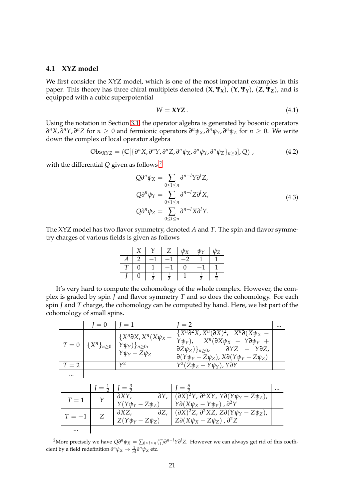### <span id="page-20-0"></span>**4.1 XYZ model**

We first consider the XYZ model, which is one of the most important examples in this paper. This theory has three chiral multiplets denoted  $(X, \Psi_X)$ ,  $(Y, \Psi_Y)$ ,  $(Z, \Psi_Z)$ , and is equipped with a cubic superpotential

$$
W = \mathbf{XYZ}.\tag{4.1}
$$

Using the notation in Section [3.1,](#page-10-0) the operator algebra is generated by bosonic operators  $\partial^n X$ ,  $\partial^n Y$ ,  $\partial^n Z$  for  $n \geq 0$  and fermionic operators  $\partial^n \psi_X$ ,  $\partial^n \psi_Y$ ,  $\partial^n \psi_Z$  for  $n \geq 0$ . We write down the complex of local operator algebra

$$
Obs_{XYZ} = (C[\{\partial^n X, \partial^n Y, \partial^n Z, \partial^n \psi_X, \partial^n \psi_Y, \partial^n \psi_Z\}_{n \geq 0}], Q), \qquad (4.2)
$$

<span id="page-20-2"></span>with the differential *Q* given as follows [2](#page-20-1)

$$
Q\partial^n \psi_X = \sum_{0 \le l \le n} \partial^{n-l} Y \partial^l Z,
$$
  
\n
$$
Q\partial^n \psi_Y = \sum_{0 \le l \le n} \partial^{n-l} Z \partial^l X,
$$
  
\n
$$
Q\partial^n \psi_Z = \sum_{0 \le l \le n} \partial^{n-l} X \partial^l Y.
$$
\n(4.3)

The XYZ model has two flavor symmetry, denoted *A* and *T*. The spin and flavor symmetry charges of various fields is given as follows

|  | $\mathcal{V}$ | $Z_{-}$       | $\psi_X$ | $1h_{\gamma}$ |  |
|--|---------------|---------------|----------|---------------|--|
|  |               |               |          |               |  |
|  |               | $\rightarrow$ |          |               |  |
|  | ≂             |               |          |               |  |

It's very hard to compute the cohomology of the whole complex. However, the complex is graded by spin *J* and flavor symmetry *T* and so does the cohomology. For each spin *J* and *T* charge, the cohomology can be computed by hand. Here, we list part of the cohomology of small spins.

|        | $I = 0$   $I = 1$ |                                                                                                                                     | $I=2$                                                                                                                                                                                                                                                                                                   |  |
|--------|-------------------|-------------------------------------------------------------------------------------------------------------------------------------|---------------------------------------------------------------------------------------------------------------------------------------------------------------------------------------------------------------------------------------------------------------------------------------------------------|--|
|        |                   | $\{X^n\partial X, X^n(X\psi_X-\)$<br>$T = 0 \mid \{X^n\}_{n \geq 0} \mid Y\psi_Y)\}_{n \geq 0}$<br>$\gamma \psi_Y - \bar{Z} \psi_Z$ | $\{X^n\partial^2 X, X^n(\partial X)^2, X^n\partial(X\psi_X -$<br>$Y\psi_Y$ ), $X^n(\partial X\psi_X - Y\partial \psi_Y +$<br>$\frac{\partial Z\psi_Z}{\partial n}$ , $\frac{\partial YZ}{\partial n} - \frac{\partial Z}{\partial n}$<br>$\partial(Y\psi_Y - Z\psi_Z)$ , $X\partial(Y\psi_Y - Z\psi_Z)$ |  |
| $T=2$  |                   | $\gamma^2$                                                                                                                          | $Y^2(Z\psi_Z - Y\psi_Y)$ , YƏY                                                                                                                                                                                                                                                                          |  |
|        |                   |                                                                                                                                     |                                                                                                                                                                                                                                                                                                         |  |
|        |                   | $J = \frac{1}{2}$ $J = \frac{3}{2}$                                                                                                 | $J = \frac{5}{2}$                                                                                                                                                                                                                                                                                       |  |
| $T=1$  | $\gamma$          | $Y(Y\psi_Y - Z\psi_Z)$                                                                                                              | $\partial XY, \qquad \partial Y, \mid (\partial X)^2 Y, \partial^2 XY, Y \partial (Y \psi_Y - Z \psi_Z),$<br>$Y\partial (X\psi_X - Y\psi_Y)$ , $\partial^2 Y$                                                                                                                                           |  |
| $T=-1$ | Z                 | $\partial XZ$ ,                                                                                                                     | $\partial Z$ , $(\partial X)^2 Z$ , $\partial^2 X Z$ , $Z \partial (Y \psi_Y - Z \psi_Z)$ ,<br>$Z(Y\psi_Y - Z\psi_Z)$ $Z\partial(X\psi_X - Z\psi_Z)$ , $\partial^2 Z$                                                                                                                                   |  |
|        |                   |                                                                                                                                     |                                                                                                                                                                                                                                                                                                         |  |

<span id="page-20-1"></span><sup>&</sup>lt;sup>2</sup>More precisely we have  $Q\partial^n\psi_X = \sum_{0\leq l\leq n} {n\choose l}\partial^{n-l}Y\partial^lZ$ . However we can always get rid of this coefficient by a field redefinition  $\partial^n \psi_X \to \frac{1}{n!} \partial^n \psi_X$  etc.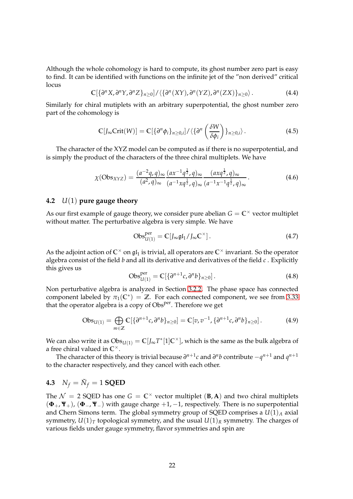Although the whole cohomology is hard to compute, its ghost number zero part is easy to find. It can be identified with functions on the infinite jet of the "non derived" critical locus

$$
\mathbb{C}[\{\partial^n X, \partial^n Y, \partial^n Z\}_{n\geq 0}]/\langle \{\partial^n (XY), \partial^n (YZ), \partial^n (ZX)\}_{n\geq 0}\rangle. \tag{4.4}
$$

Similarly for chiral mutiplets with an arbitrary superpotential, the ghost number zero part of the cohomology is

$$
\mathbb{C}[J_{\infty}\mathrm{Crit}(W)] = \mathbb{C}[\{\partial^n \phi_i\}_{n \geq 0,i}]/\langle \{\partial^n \left(\frac{\delta W}{\delta \phi_i}\right)\}_{n \geq 0,i}\rangle. \tag{4.5}
$$

The character of the XYZ model can be computed as if there is no superpotential, and is simply the product of the characters of the three chiral multiplets. We have

$$
\chi(\text{Obs}_{XYZ}) = \frac{(a^{-2}q, q)_{\infty}}{(a^2, q)_{\infty}} \frac{(ax^{-1}q^{\frac{1}{2}}, q)_{\infty}}{(a^{-1}xq^{\frac{1}{2}}, q)_{\infty}} \frac{(axq^{\frac{1}{2}}, q)_{\infty}}{(a^{-1}x^{-1}q^{\frac{1}{2}}, q)_{\infty}}.
$$
(4.6)

### <span id="page-21-0"></span>**4.2** *U*(1) **pure gauge theory**

As our first example of gauge theory, we consider pure abelian  $G = \mathbb{C}^\times$  vector multiplet without matter. The perturbative algebra is very simple. We have

$$
Obs_{U(1)}^{\text{per}} = \mathbb{C}[J_{\infty} \mathfrak{gl}_1 / J_{\infty} \mathbb{C}^{\times}]. \tag{4.7}
$$

As the adjoint action of  $\mathbb{C}^\times$  on  $\mathfrak{gl}_1$  is trivial, all operators are  $\mathbb{C}^\times$  invariant. So the operator algebra consist of the field *b* and all its derivative and derivatives of the field *c* . Explicitly this gives us

$$
\mathrm{Obs}_{U(1)}^{\mathrm{per}} = \mathbb{C}[\{\partial^{n+1}c, \partial^{n}b\}_{n \ge 0}]. \tag{4.8}
$$

Non perturbative algebra is analyzed in Section [3.2.2.](#page-14-0) The phase space has connected component labeled by  $\pi_1(\mathbb{C}^*) = \mathbb{Z}$ . For each connected component, we see from [3.33](#page-15-1) that the operator algebra is a copy of Obs<sup>per</sup>. Therefore we get

$$
Obs_{U(1)} = \bigoplus_{m \in \mathbb{Z}} \mathbb{C}[\{\partial^{n+1}c, \partial^{n}b\}_{n \ge 0}] = \mathbb{C}[v, v^{-1}, \{\partial^{n+1}c, \partial^{n}b\}_{n \ge 0}].
$$
 (4.9)

We can also write it as  $Obs_{U(1)} = \mathbb{C}[J_{\infty}T^*[1]\mathbb{C}^{\times}]$ , which is the same as the bulk algebra of a free chiral valued in  $\mathbb{C}^{\times}$ .

The character of this theory is trivial because *∂ n*+1 *c* and *∂ n b* contribute −*q <sup>n</sup>*+<sup>1</sup> and *q n*+1 to the character respectively, and they cancel with each other.

# <span id="page-21-1"></span>**4.3**  $N_f = \tilde{N}_f = 1$  **SQED**

The  $\mathcal{N} = 2$  SQED has one  $G = \mathbb{C}^\times$  vector multiplet  $(\mathbf{B}, \mathbf{A})$  and two chiral multiplets (**Φ**+, **Ψ**+), (**Φ**−, **Ψ**−) with gauge charge +1, −1, respectively. There is no superpotential and Chern Simons term. The global symmetry group of SQED comprises a  $U(1)<sub>A</sub>$  axial symmetry,  $U(1)_T$  topological symmetry, and the usual  $U(1)_R$  symmetry. The charges of various fields under gauge symmetry, flavor symmetries and spin are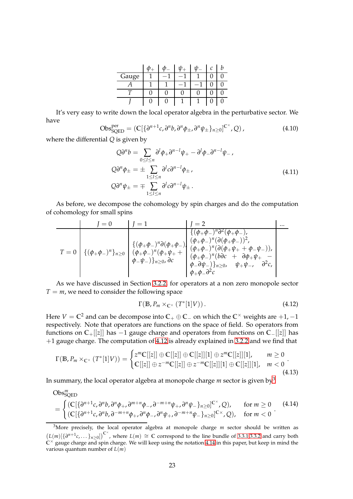|       |   | 11) | C |  |
|-------|---|-----|---|--|
| Gauge |   |     |   |  |
|       |   |     |   |  |
|       | 0 |     |   |  |
|       | H |     |   |  |

It's very easy to write down the local operator algebra in the perturbative sector. We have

$$
Obs_{SQED}^{per} = \left( \mathbb{C} \left[ \{ \partial^{n+1} c, \partial^n b, \partial^n \phi_{\pm}, \partial^n \psi_{\pm} \}_{n \geq 0} \right]^{C^{\times}}, Q \right), \tag{4.10}
$$

where the differential *Q* is given by

<span id="page-22-3"></span>
$$
Q\partial^n b = \sum_{0 \le l \le n} \partial^l \phi_+ \partial^{n-l} \psi_+ - \partial^l \phi_- \partial^{n-l} \psi_-,
$$
  
\n
$$
Q\partial^n \phi_{\pm} = \pm \sum_{1 \le l \le n} \partial^l c \partial^{n-l} \phi_{\pm},
$$
  
\n
$$
Q\partial^n \psi_{\pm} = \mp \sum_{1 \le l \le n} \partial^l c \partial^{n-l} \psi_{\pm}.
$$
\n(4.11)

As before, we decompose the cohomology by spin charges and do the computation of cohomology for small spins

$$
T = 0
$$
\n
$$
J = 1
$$
\n
$$
\begin{array}{c}\nJ = 0 \\
\hline\n\{\phi_{+}\phi_{-}\}^{n}\partial^{2}(\phi_{+}\phi_{-}), \\
\phi_{+}\phi_{-}\}^{n}\partial^{2}(\phi_{+}\phi_{-}), \\
\{\phi_{+}\phi_{-}\}^{n}\partial^{2}(\phi_{+}\phi_{-})\}^{n} \\
\{\phi_{+}\phi_{-}\}^{n}\partial^{2}(\phi_{+}\phi_{-})^{n} \\
\{\phi_{+}\phi_{-}\}^{n}\partial^{2}(\phi_{+}\phi_{-})^{n} \\
\{\phi_{+}\phi_{-}\}^{n}\partial^{2}(\phi_{+}\phi_{+})^{n} \\
\{\phi_{+}\phi_{-}\}^{n}\partial^{2}(\phi_{+}\phi_{+})^{n} \\
\{\phi_{-}\phi_{+}\}^{n}\partial^{2}(\phi_{-}\phi_{-})\}^{n} \\
\{\phi_{-}\phi_{-}\}^{n}\partial^{2}(\phi_{-}\phi_{-})^{n} \\
\{\phi_{+}\phi_{-}\}^{n}\partial^{2}(\phi_{-}\phi_{-})^{n} \\
\{\phi_{+}\phi_{-}\}^{n}\partial^{2}(\phi_{-}\phi_{-})^{n} \\
\{\phi_{+}\phi_{-}\}^{n}\partial^{2}(\phi_{-}\phi_{-})^{n} \\
\{\phi_{+}\phi_{-}\}^{n}\partial^{2}(\phi_{-}\phi_{-})^{n} \\
\{\phi_{+}\phi_{-}\}^{n}\partial^{2}(\phi_{-}\phi_{-})^{n} \\
\{\phi_{+}\phi_{-}\}^{n}\partial^{2}(\phi_{-}\phi_{-})^{n} \\
\{\phi_{+}\phi_{-}\}^{n}\partial^{2}(\phi_{-}\phi_{-})^{n} \\
\{\phi_{+}\phi_{-}\}^{n}\partial^{2}(\phi_{-}\phi_{-})^{n} \\
\{\phi_{+}\phi_{-}\}^{n}\partial^{2}(\phi_{-}\phi_{-})^{n} \\
\{\phi_{+}\phi_{-}\}^{n}\partial^{2}(\phi_{-}\phi_{-})^{n} \\
\{\phi_{+}\phi_{-}\}^{n}\partial^{2}(\phi_{-}\phi_{-})^{n} \\
\{\phi_{+}\phi_{-}\}^{n}\partial^{2}(\phi_{-}\phi_{-})^{n} \\
\{\phi_{+}\phi_{-}\}^{n}\partial^{2}(\phi_{-}\phi_{-})^{n} \\
\{\phi_{+}\phi_{-}\}^{n}\partial^{2}(\phi_{-}\phi_{-})^{n} \\
\{\phi_{+
$$

As we have discussed in Section [3.2.2,](#page-14-0) for operators at a non zero monopole sector  $T = m$ , we need to consider the following space

<span id="page-22-0"></span>
$$
\Gamma(\mathbb{B}, P_m \times_{\mathbb{C}^{\times}} (T^*[1]V)). \tag{4.12}
$$

Here  $V = \mathbb{C}^2$  and can be decompose into  $\mathbb{C}_+ \oplus \mathbb{C}_-$  on which the  $\mathbb{C}^\times$  weights are  $+1$ ,  $-1$ respectively. Note that operators are functions on the space of field. So operators from functions on **C**+[[*z*]] has −1 gauge charge and operators from functions on **C**−[[*z*]] has +1 gauge charge. The computation of [4.12](#page-22-0) is already explained in [3.2.2](#page-14-0) and we find that

$$
\Gamma(\mathbb{B}, P_m \times_{\mathbb{C}^{\times}} (T^*[1]V)) = \begin{cases} z^m \mathbb{C}[[z]] \oplus \mathbb{C}[[z]] \oplus \mathbb{C}[[z]][1] \oplus z^m \mathbb{C}[[z]][1], & m \ge 0 \\ \mathbb{C}[[z]] \oplus z^{-m} \mathbb{C}[[z]] \oplus z^{-m} \mathbb{C}[[z]][1] \oplus \mathbb{C}[[z]][1], & m < 0 \end{cases}.
$$
\n(4.13)

$$
(\mathbf{I}^{\mathbf{t}}\mathbf{I}^{\mathbf{t}})
$$

In summary, the local operator algebra at monopole charge *m* sector is given by[3](#page-22-1)

<span id="page-22-2"></span>
$$
\mathrm{Obs}_{\mathrm{SQED}}^{m} = \begin{cases}\n(\mathbb{C}[\{\partial^{n+1}c, \partial^{n}b, \partial^{n}\phi_{+}, \partial^{m+n}\phi_{-}, \partial^{-m+n}\psi_{+}, \partial^{n}\psi_{-}\}_{n\geq 0}]^{\mathbb{C}^{\times}}, Q), & \text{for } m \geq 0 \quad (4.14) \\
(\mathbb{C}[\{\partial^{n+1}c, \partial^{n}b, \partial^{-m+n}\phi_{+}, \partial^{n}\phi_{-}, \partial^{n}\psi_{+}, \partial^{-m+n}\psi_{-}\}_{n\geq 0}]^{\mathbb{C}^{\times}}, Q), & \text{for } m < 0\n\end{cases}
$$
\n(4.14)

<span id="page-22-1"></span><sup>&</sup>lt;sup>3</sup>More precisely, the local operator algebra at monopole charge *m* sector should be written as  $(L(m)[\{\partial^{n+1}c,\dots\}_{n\geq0}])^{\mathbb{C}^{\times}}$ , where  $L(m) \cong \mathbb{C}$  correspond to the line bundle of [3.3.1](#page-16-0)[,3.3.2](#page-17-0) and carry both **C** <sup>×</sup> gauge charge and spin charge. We will keep using the notation [4.14](#page-22-2) in this paper, but keep in mind the various quantum number of *L*(*m*)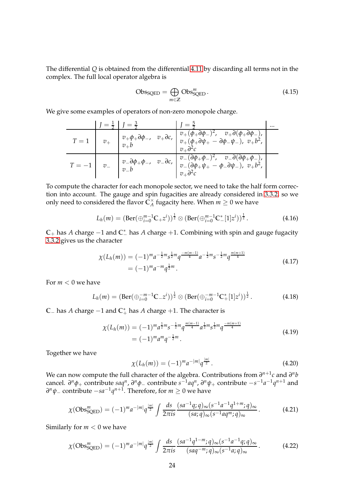The differential *Q* is obtained from the differential [4.11](#page-22-3) by discarding all terms not in the complex. The full local operator algebra is

$$
Obs_{SQED} = \bigoplus_{m \in \mathbb{Z}} Obs_{SQED}^{m}.
$$
\n(4.15)

We give some examples of operators of non-zero monopole charge.

$$
T = 1 \t v_{+} \t v_{+} \t v_{+} \t v_{+} \t v_{-} \t v_{-} \t v_{-} \t v_{-} \t v_{+} \t v_{+} \t v_{+} \t v_{+} \t v_{+} \t v_{+} \t v_{+} \t v_{+} \t v_{+} \t v_{+} \t v_{+} \t v_{+} \t v_{+} \t v_{+} \t v_{+} \t v_{+} \t v_{+} \t v_{+} \t v_{+} \t v_{+} \t v_{+} \t v_{+} \t v_{+} \t v_{+} \t v_{+} \t v_{+} \t v_{+} \t v_{+} \t v_{+} \t v_{+} \t v_{+} \t v_{+} \t v_{+} \t v_{+} \t v_{+} \t v_{+} \t v_{+} \t v_{+} \t v_{+} \t v_{+} \t v_{+} \t v_{+} \t v_{+} \t v_{+} \t v_{+} \t v_{+} \t v_{+} \t v_{+} \t v_{+} \t v_{+} \t v_{+} \t v_{+} \t v_{+} \t v_{+} \t v_{+} \t v_{+} \t v_{+} \t v_{+} \t v_{+} \t v_{+} \t v_{+} \t v_{+} \t v_{+} \t v_{+} \t v_{+} \t v_{+} \t v_{+} \t v_{+} \t v_{+} \t v_{+} \t v_{+} \t v_{+} \t v_{+} \t v_{+} \t v_{+} \t v_{+} \t v_{+} \t v_{+} \t v_{+} \t v_{+} \t v_{+} \t v_{+} \t v_{+} \t v_{+} \t v_{+} \t v_{+} \t v_{+} \t v_{+} \t v_{+} \t v_{+} \t v_{+} \t v_{+} \t v_{+} \t v_{+} \t v_{+} \t v_{+} \t v_{+} \t v_{+} \t v_{+} \t v_{+} \t v_{+} \t v_{+} \t v_{+} \t v_{+} \t v_{+} \t v_{+} \t v_{+} \t v_{+} \t v_{+} \t v_{+} \t v_{+} \t v_{+} \t v_{+} \t v_{+} \t v_{+} \t v_{+} \t v_{+} \t v_{+
$$

To compute the character for each monopole sector, we need to take the half form correction into account. The gauge and spin fugacities are already considered in [3.3.2,](#page-17-0) so we only need to considered the flavor  $\tilde{\mathsf{C}}_{\scriptscriptstyle\mathcal{A}}^{\times}$  $_A^\times$  fugacity here. When  $m\geq 0$  we have

$$
L_h(m) = (\text{Ber}(\bigoplus_{i=0}^{m-1} \mathbb{C}_+ z^i))^{\frac{1}{2}} \otimes (\text{Ber}(\bigoplus_{i=0}^{m-1} \mathbb{C}_-^*[1] z^i))^{\frac{1}{2}}.
$$
 (4.16)

 $\mathbb{C}_+$  has *A* charge −1 and  $\mathbb{C}_-^*$  has *A* charge +1. Combining with spin and gauge fugacity [3.3.2](#page-17-0) gives us the character

$$
\chi(L_h(m)) = (-1)^m a^{-\frac{1}{2}m} s^{\frac{1}{2}m} q^{-\frac{m(m-1)}{4}} a^{-\frac{1}{2}m} s^{-\frac{1}{2}m} q^{\frac{m(m+1)}{4}}
$$
\n
$$
= (-1)^m a^{-m} q^{\frac{1}{2}m}.
$$
\n(4.17)

For  $m < 0$  we have

$$
L_h(m) = (\text{Ber}(\bigoplus_{i=0}^{-m-1} \mathbb{C}_{-z}^{-i}))^{\frac{1}{2}} \otimes (\text{Ber}(\bigoplus_{i=0}^{-m-1} \mathbb{C}_{+}^{*}[1]z^i))^{\frac{1}{2}}.
$$
 (4.18)

**C**<sup>−</sup> has *A* charge −1 and **C** ∗ <sup>+</sup> has *A* charge +1. The character is

$$
\chi(L_h(m)) = (-1)^m a^{\frac{1}{2}m} s^{-\frac{1}{2}m} q^{\frac{m(m-1)}{4}} a^{\frac{1}{2}m} s^{\frac{1}{2}m} q^{\frac{-m(m+1)}{4}}
$$
\n
$$
= (-1)^m a^m q^{-\frac{1}{2}m}.
$$
\n(4.19)

Together we have

$$
\chi(L_h(m)) = (-1)^m a^{-|m|} q^{\frac{|m|}{2}}.
$$
\n(4.20)

We can now compute the full character of the algebra. Contributions from  $\partial^{n+1}c$  and  $\partial^{n}b$ cancel.  $\partial^n \phi_+$  contribute  $saq^n$ ,  $\partial^n \phi_-$  contribute  $s^{-1}aq^n$ ,  $\partial^n \psi_+$  contribute  $-s^{-1}a^{-1}q^{n+1}$  and *∂ <sup>n</sup>ψ*<sup>−</sup> contribute −*sa*−<sup>1</sup> *q n*+1 . Therefore, for *m* ≥ 0 we have

$$
\chi(\text{Obs}_{\text{SQED}}^{m}) = (-1)^{m} a^{-|m|} q^{\frac{|m|}{2}} \int \frac{ds}{2\pi i s} \frac{(sa^{-1}q;q)_{\infty} (s^{-1}a^{-1}q^{1+m};q)_{\infty}}{(sa;q)_{\infty} (s^{-1}aq^{m};q)_{\infty}}.
$$
 (4.21)

Similarly for  $m < 0$  we have

$$
\chi(\text{Obs}_{\text{SQED}}^{m}) = (-1)^{m} a^{-|m|} q^{\frac{|m|}{2}} \int \frac{ds}{2\pi i s} \frac{(sa^{-1}q^{1-m};q)_{\infty} (s^{-1}a^{-1}q;q)_{\infty}}{(saq^{-m};q)_{\infty} (s^{-1}a;q)_{\infty}}.
$$
 (4.22)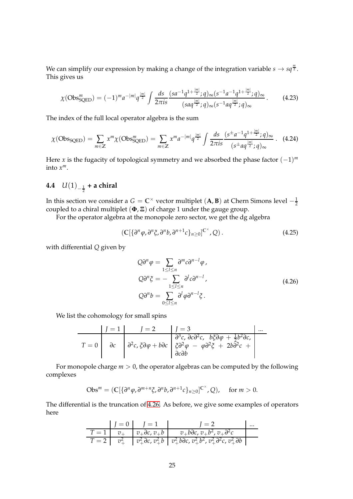We can simplify our expression by making a change of the integration variable  $s \to s q^{\frac{m}{2}}$ . This gives us

$$
\chi(\text{Obs}_{\text{SQED}}^{m}) = (-1)^{m} a^{-|m|} q^{\frac{|m|}{2}} \int \frac{ds}{2\pi i s} \frac{(s a^{-1} q^{1+\frac{|m|}{2}}; q)_{\infty} (s^{-1} a^{-1} q^{1+\frac{|m|}{2}}; q)_{\infty}}{(s a q^{\frac{|m|}{2}}; q)_{\infty} (s^{-1} a q^{\frac{|m|}{2}}; q)_{\infty}}.
$$
(4.23)

The index of the full local operator algebra is the sum

$$
\chi(\text{Obs}_{\text{SQED}}) = \sum_{m \in \mathbb{Z}} x^m \chi(\text{Obs}_{\text{SQED}}^m) = \sum_{m \in \mathbb{Z}} x^m a^{-|m|} q^{\frac{|m|}{2}} \int \frac{ds}{2\pi i s} \frac{(s^{\pm} a^{-1} q^{1 + \frac{|m|}{2}}; q)_{\infty}}{(s^{\pm} a q^{\frac{|m|}{2}}; q)_{\infty}} \,. \tag{4.24}
$$

Here *x* is the fugacity of topological symmetry and we absorbed the phase factor (−1) *m* into *x m*.

# <span id="page-24-0"></span>**4.4**  $U(1)_{-\frac{1}{2}}$  + a chiral

In this section we consider a  $G = \mathbb{C}^\times$  vector multiplet  $(\mathbf{A}, \mathbf{B})$  at Chern Simons level  $-\frac{1}{2}$ coupled to a chiral multiplet (**Φ**, **Ξ**) of charge 1 under the gauge group.

For the operator algebra at the monopole zero sector, we get the dg algebra

$$
\left(\mathbb{C}\left[\left\{\partial^n\varphi,\partial^n\xi,\partial^n b,\partial^{n+1}c\right\}_{n\geq 0}\right]^{C^{\times}},Q\right).
$$
\n(4.25)

<span id="page-24-1"></span>with differential *Q* given by

$$
Q\partial^n \varphi = \sum_{1 \le l \le n} \partial^m c \partial^{n-l} \varphi,
$$
  
\n
$$
Q\partial^n \xi = -\sum_{1 \le l \le n} \partial^l c \partial^{n-l},
$$
  
\n
$$
Q\partial^n b = \sum_{0 \le l \le n} \partial^l \varphi \partial^{n-l} \xi.
$$
\n(4.26)

We list the cohomology for small spins

$$
T = 0
$$
\n
$$
J = 1
$$
\n
$$
J = 2
$$
\n
$$
J = 3
$$
\n
$$
\frac{\partial^3 c}{\partial^2 c, \partial c \partial^2 c, \partial \zeta \partial \varphi + \frac{1}{2} b^2 \partial c, \partial^2 c \partial \zeta \partial \zeta \partial \zeta}
$$
\n
$$
T = 0
$$
\n
$$
\frac{\partial^2 c}{\partial c \partial \varphi + \partial c} = \frac{1}{2} \frac{\partial^2 c}{\partial \zeta \partial \zeta} + \frac{1}{2} \frac{\partial^2 c}{\partial \zeta \partial \zeta}
$$
\n
$$
\frac{\partial^2 c}{\partial \zeta \partial \zeta \partial \zeta} = \frac{\partial^2 c}{\partial \zeta \partial \zeta \partial \zeta} + \frac{1}{2} \frac{\partial^2 c}{\partial \zeta \partial \zeta}
$$

For monopole charge *m* > 0, the operator algebras can be computed by the following complexes

$$
Obs^{m} = (\mathbb{C}[\{\partial^{n}\varphi, \partial^{m+n}\xi, \partial^{n}b, \partial^{n+1}c\}_{n\geq 0}]^{\mathbb{C}^{\times}}, Q), \quad \text{for } m > 0.
$$

The differential is the truncation of [4.26.](#page-24-1) As before, we give some examples of operators here

$$
\begin{array}{c|c|c|c|c|c} & J = 0 & J = 1 & J = 2 & \dots \\ \hline T = 1 & v_+ & v_+ \partial c, v_+ b & v_+ b \partial c, v_+ b^2, v_+ \partial^2 c \\ \hline T = 2 & v_+^2 & v_+^2 \partial c, v_+^2 b & v_+^2 b \partial c, v_+^2 b^2, v_+^2 \partial^2 c, v_+^2 \partial b \end{array}
$$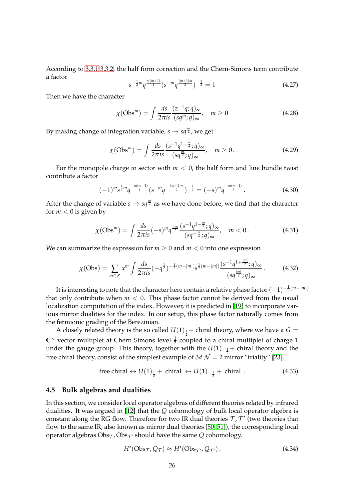According to [3.3.1](#page-16-0) [3.3.2,](#page-17-0) the half form correction and the Chern-Simons term contribute a factor

$$
s^{-\frac{1}{2}m}q^{\frac{m(m+1)}{4}}(s^{-m}q^{\frac{(m+1)m}{2}})^{-\frac{1}{2}} = 1
$$
 (4.27)

Then we have the character

$$
\chi(\text{Obs}^m) = \int \frac{ds}{2\pi i s} \frac{(z^{-1}q;q)_{\infty}}{(sq^m;q)_{\infty}}, \quad m \ge 0
$$
\n(4.28)

By making change of integration variable*, s*  $\rightarrow$  *sq* $\frac{m}{2}$ , we get

$$
\chi(\text{Obs}^m) = \int \frac{ds}{2\pi i s} \frac{(s^{-1}q^{1+\frac{m}{2}}; q)_{\infty}}{(sq^{\frac{m}{2}}; q)_{\infty}}, \quad m \ge 0. \tag{4.29}
$$

For the monopole charge *m* sector with *m* < 0, the half form and line bundle twist contribute a factor

$$
(-1)^{m} s^{\frac{1}{2}m} q^{\frac{-m(m+1)}{4}} (s^{-m} q^{-\frac{(m+1)m}{2}})^{-\frac{1}{2}} = (-s)^{m} q^{\frac{-m(m+1)}{2}}.
$$
 (4.30)

After the change of variable  $s \to s q^{\frac{m}{2}}$  as we have done before, we find that the character for  $m < 0$  is given by

$$
\chi(\text{Obs}^m) = \int \frac{ds}{2\pi i s} (-s)^m q^{\frac{-m}{2}} \frac{(s^{-1}q^{1-\frac{m}{2}}; q)_{\infty}}{(sq^{-\frac{m}{2}}; q)_{\infty}}, \quad m < 0. \tag{4.31}
$$

We can summarize the expression for  $m \geq 0$  and  $m < 0$  into one expression

$$
\chi(\text{Obs}) = \sum_{m \in \mathbb{Z}} x^m \int \frac{ds}{2\pi i s} (-q^{\frac{1}{2}})^{-\frac{1}{2}(m-|m|)} s^{\frac{1}{2}(m-|m|)} \frac{(s^{-1}q^{1+\frac{|m|}{2}}; q)_{\infty}}{(sq^{\frac{|m|}{2}}; q)_{\infty}}.
$$
(4.32)

It is interesting to note that the character here contain a relative phase factor  $(-1)^{-\frac{1}{2}(m-|m|)}$ that only contribute when  $m < 0$ . This phase factor cannot be derived from the usual localization computation of the index. However, it is predicted in [\[19\]](#page-59-13) to incorporate various mirror dualities for the index. In our setup, this phase factor naturally comes from the fermionic grading of the Berezinian.

A closely related theory is the so called  $U(1)_{\frac{1}{2}}+$  chiral theory, where we have a  $G=$  $\mathbb{C}^{\times}$  vector multiplet at Chern Simons level  $\frac{1}{2}$  coupled to a chiral multiplet of charge 1 under the gauge group. This theory, together with the  $U(1)_{-\frac{1}{2}}$  chiral theory and the free chiral theory, consist of the simplest example of 3*d*  $\mathcal{N} = 2$  mirror "triality" [\[23\]](#page-59-17).

free chiral 
$$
\leftrightarrow U(1)_{\frac{1}{2}}
$$
 + chiral  $\leftrightarrow U(1)_{-\frac{1}{2}}$  + chiral . (4.33)

### <span id="page-25-0"></span>**4.5 Bulk algebras and dualities**

In this section, we consider local operator algebras of different theories related by infrared dualities. It was argued in [\[12\]](#page-59-6) that the *Q* cohomology of bulk local operator algebra is constant along the RG flow. Therefore for two IR dual theories  $\mathcal{T}, \mathcal{T}'$  (two theories that flow to the same IR, also known as mirror dual theories [\[50,](#page-61-7) [51\]](#page-61-8)), the corresponding local operator algebras  $\mathrm{Obs}_{\mathcal{T}}$ , $\mathrm{Obs}_{\mathcal{T}'}$  should have the same  $Q$  cohomology.

$$
H^{\bullet}(\text{Obs}_{\mathcal{T}}, \mathcal{Q}_{\mathcal{T}}) \approx H^{\bullet}(\text{Obs}_{\mathcal{T}'}, \mathcal{Q}_{\mathcal{T}'}). \tag{4.34}
$$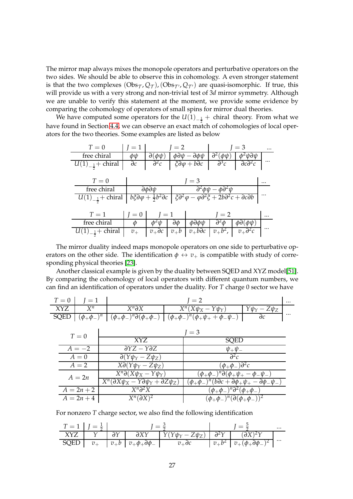The mirror map always mixes the monopole operators and perturbative operators on the two sides. We should be able to observe this in cohomology. A even stronger statement is that the two complexes  $(\mathrm{Obs}_\mathcal{T},\mathcal{Q}_\mathcal{T})$ , $(\mathrm{Obs}_{\mathcal{T}'},\mathcal{Q}_{\mathcal{T}'})$  are quasi-isomorphic. If true, this will provide us with a very strong and non-trivial test of 3*d* mirror symmetry. Although we are unable to verify this statement at the moment, we provide some evidence by comparing the cohomology of operators of small spins for mirror dual theories.

We have computed some operators for the  $U(1)_{-\frac{1}{2}} +$  chiral theory. From what we have found in Section [4.4,](#page-24-0) we can observe an exact match of cohomologies of local operators for the two theories. Some examples are listed as below

| $T=0$                                 | $\mathfrak{l}=1$ |                                                | $l=2$           |                                                                                             |                                               | $=$ 3                       |          |
|---------------------------------------|------------------|------------------------------------------------|-----------------|---------------------------------------------------------------------------------------------|-----------------------------------------------|-----------------------------|----------|
| free chiral                           | ΦФ               | $\partial(\phi\psi)$                           |                 | $\phi\partial\psi-\partial\phi\psi$                                                         | $\partial^2(\phi\psi)$                        | $\phi^2 \psi \partial \psi$ |          |
| $U(1)_{-\frac{1}{2}} + \text{chiral}$ | $\partial c$     | $\partial^2 c$                                 |                 | $\zeta \partial \varphi + b \partial c$                                                     | $\partial^3 c$                                | $\partial c\partial^2 c$    | $\cdots$ |
|                                       |                  |                                                |                 |                                                                                             |                                               |                             |          |
| $T=0$                                 |                  |                                                |                 | $l = 3$                                                                                     |                                               |                             |          |
| free chiral                           |                  | $\partial \phi \partial \psi$                  |                 |                                                                                             | $\partial^2 \phi \psi - \phi \partial^2 \psi$ |                             |          |
| $U(1)_{-\frac{1}{2}} + \text{chiral}$ |                  | $b\xi\partial\varphi+\frac{1}{2}b^2\partial c$ |                 | $\xi \partial^2 \varphi - \varphi \partial^2 \xi + 2b \partial^2 c + \partial c \partial b$ |                                               |                             |          |
|                                       |                  |                                                |                 |                                                                                             |                                               |                             |          |
| $T=1$                                 | $I=0$            | $l = 1$                                        |                 |                                                                                             | $l = 2$                                       |                             | $\cdots$ |
| free chiral                           | $\varphi$        | Ф <sup>∠</sup> W                               | $\partial \phi$ | фдфф                                                                                        | $\partial^2 \phi$                             | $\phi$ d $(\phi \psi)$      |          |
| $U(1)_{-\frac{1}{2}} +$ chiral        | $v_{+}$          | $v_+$ dc                                       | $v_+b$          | $v_+b\overline{\partial c}$                                                                 | $v_+b^2$ ,                                    | $v_+\partial^2c$            | $\cdots$ |

The mirror duality indeed maps monopole operators on one side to perturbative operators on the other side. The identification  $\phi \leftrightarrow v_+$  is compatible with study of corresponding physical theories [\[23\]](#page-59-17).

Another classical example is given by the duality between SQED and XYZ model[\[51\]](#page-61-8). By comparing the cohomology of local operators with different quantum numbers, we can find an identification of operators under the duality. For *T* charge 0 sector we have

|     | $T = 0$   $I = 1$ |                 |                                                                                                                             |                     |          |
|-----|-------------------|-----------------|-----------------------------------------------------------------------------------------------------------------------------|---------------------|----------|
| XYZ |                   | $X^n\partial X$ | $X^n(X\psi_X - Y\psi_Y)$                                                                                                    | $Y\psi_Y - Z\psi_Z$ |          |
|     |                   |                 | $\text{SQED}$ $(\phi_+\phi_-)^n$ $(\phi_+\phi_-)^n \partial(\phi_+\phi_-)$ $(\phi_+\phi_-)^n (\phi_+\psi_+ + \phi_-\psi_-)$ |                     | $\cdots$ |

| $T=0$        |                                                               | $=$ 3                                                                     |
|--------------|---------------------------------------------------------------|---------------------------------------------------------------------------|
|              | XYZ                                                           | <b>SQED</b>                                                               |
| $A=-2$       | $\partial YZ - Y\partial Z$                                   | $\psi_+\psi_-$                                                            |
| $A=0$        | $\partial(Y\psi_Y - Z\psi_Z)$                                 | $\partial^2 c$                                                            |
| $A=2$        | $X\partial(Y\psi_Y - Z\psi_Z)$                                | $(\phi_+\phi_-)\partial^2c$                                               |
| $A=2n$       | $X^n\partial(X\psi_X-Y\psi_Y)$                                | $(\phi_+\phi_-)^n\partial (\phi_+\psi_+-\phi_-\psi_-)$                    |
|              | $X^n(\partial X\psi_X - Y\partial \psi_Y + \partial Z\psi_Z)$ | $(\phi_+\phi_-)^n(b\partial c+\partial\phi_+\psi_+-\partial\phi_-\psi_-)$ |
| $A = 2n + 2$ | $X^n\partial^2 X$                                             | $(\phi_+\phi_-)^n\partial^2(\phi_+\phi_-)$                                |
| $A = 2n + 4$ | $X^n(\partial X)^2$                                           | $(\phi_+\phi_-)^n(\partial(\phi_+\phi_-))^2$                              |

For nonzero *T* charge sector, we also find the following identification

| $T = 1$ $I = \frac{1}{2}$ |  |  |                                                                       |  |                                                                      | $\cdots$ |
|---------------------------|--|--|-----------------------------------------------------------------------|--|----------------------------------------------------------------------|----------|
|                           |  |  |                                                                       |  |                                                                      |          |
|                           |  |  | $\overline{SQED}$ $v_+$ $v_+b$ $v_+\phi_+\partial\phi_ v_+\partial c$ |  | $\begin{vmatrix} v_+b^2 & v_+(\phi_+\partial\phi_-)^2 \end{vmatrix}$ | $\cdots$ |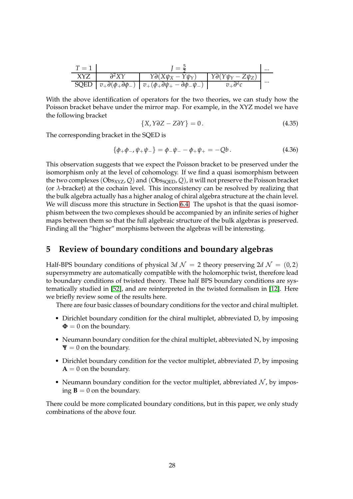| $T=1$      |                 |                                                                                                      |                                      |          |  |  |
|------------|-----------------|------------------------------------------------------------------------------------------------------|--------------------------------------|----------|--|--|
| <b>XYZ</b> | $\partial^2 XY$ | $Y\partial (X\psi_X - Y\psi_Y)$                                                                      | $\gamma \partial(Y\psi_Y - Z\psi_Z)$ |          |  |  |
|            |                 | $\text{SQED}$ $v_+\partial(\phi_+\partial\phi_-)$ $v_+(\phi_+\partial\psi_+ - \partial\phi_-\psi_-)$ |                                      | $\cdots$ |  |  |

With the above identification of operators for the two theories, we can study how the Poisson bracket behave under the mirror map. For example, in the XYZ model we have the following bracket

$$
\{X, Y\partial Z - Z\partial Y\} = 0. \tag{4.35}
$$

The corresponding bracket in the SQED is

 ${\phi_+\phi_-, \psi_+\psi_-\} = {\phi_-\psi_- - \phi_+\psi_+} = -Qb$ . (4.36)

This observation suggests that we expect the Poisson bracket to be preserved under the isomorphism only at the level of cohomology. If we find a quasi isomorphism between the two complexes  $(Obs_{XYZ}, Q)$  and  $(Obs_{SOED}, Q)$ , it will not preserve the Poisson bracket (or *λ*-bracket) at the cochain level. This inconsistency can be resolved by realizing that the bulk algebra actually has a higher analog of chiral algebra structure at the chain level. We will discuss more this structure in Section [6.4.](#page-48-0) The upshot is that the quasi isomorphism between the two complexes should be accompanied by an infinite series of higher maps between them so that the full algebraic structure of the bulk algebras is preserved. Finding all the "higher" morphisms between the algebras will be interesting.

### <span id="page-27-0"></span>**5 Review of boundary conditions and boundary algebras**

Half-BPS boundary conditions of physical 3*d*  $\mathcal{N} = 2$  theory preserving 2*d*  $\mathcal{N} = (0, 2)$ supersymmetry are automatically compatible with the holomorphic twist, therefore lead to boundary conditions of twisted theory. These half BPS boundary conditions are systematically studied in [\[52\]](#page-61-9), and are reinterpreted in the twisted formalism in [\[12\]](#page-59-6). Here we briefly review some of the results here.

There are four basic classes of boundary conditions for the vector and chiral multiplet.

- Dirichlet boundary condition for the chiral multiplet, abbreviated D, by imposing  $\Phi = 0$  on the boundary.
- Neumann boundary condition for the chiral multiplet, abbreviated N, by imposing  $\Psi = 0$  on the boundary.
- Dirichlet boundary condition for the vector multiplet, abbreviated  $D$ , by imposing  $A = 0$  on the boundary.
- Neumann boundary condition for the vector multiplet, abbreviated  $N$ , by imposing  $\mathbf{B} = 0$  on the boundary.

There could be more complicated boundary conditions, but in this paper, we only study combinations of the above four.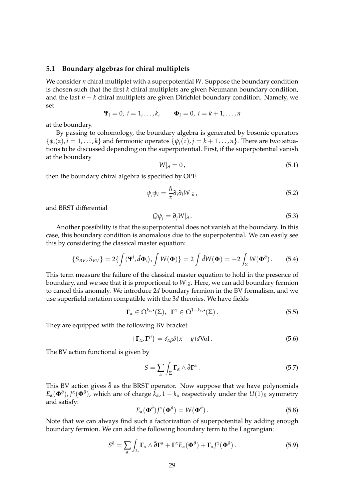### <span id="page-28-0"></span>**5.1 Boundary algebras for chiral multiplets**

We consider *n* chiral multiplet with a superpotential *W*. Suppose the boundary condition is chosen such that the first *k* chiral multiplets are given Neumann boundary condition, and the last *n* − *k* chiral multiplets are given Dirichlet boundary condition. Namely, we set

$$
\mathbf{\Psi}_i = 0, \ i = 1, \dots, k, \qquad \mathbf{\Phi}_i = 0, \ i = k+1, \dots, n
$$

at the boundary.

By passing to cohomology, the boundary algebra is generated by bosonic operators  $\{\phi_i(z), i = 1, ..., k\}$  and fermionic operatos  $\{\psi_i(z), j = k+1, ..., n\}$ . There are two situations to be discussed depending on the superpotential. First, if the superpotential vanish at the boundary

$$
W|_{\partial} = 0, \tag{5.1}
$$

then the boundary chiral algebra is specified by OPE

<span id="page-28-1"></span>
$$
\psi_j \psi_l = \frac{\hbar}{z} \partial_j \partial_l W|_{\partial} \,, \tag{5.2}
$$

and BRST differential

<span id="page-28-2"></span>
$$
Q\psi_j = \partial_j W|_{\partial}.
$$
\n(5.3)

Another possibility is that the superpotential does not vanish at the boundary. In this case, this boundary condition is anomalous due to the superpotential. We can easily see this by considering the classical master equation:

$$
\{S_{BV}, S_{BV}\} = 2\{\int \langle \mathbf{\Psi}^i, \hat{d}\mathbf{\Phi}_i \rangle, \int W(\mathbf{\Phi})\} = 2\int \hat{d}W(\mathbf{\Phi}) = -2\int_{\Sigma} W(\mathbf{\Phi}^{\partial}). \tag{5.4}
$$

This term measure the failure of the classical master equation to hold in the presence of boundary, and we see that it is proportional to *W*|*<sup>∂</sup>* . Here, we can add boundary fermion to cancel this anomaly. We introduce 2*d* boundary fermion in the BV formalism, and we use superfield notation compatible with the 3*d* theories. We have fields

$$
\Gamma_{\alpha} \in \Omega^{k_{\alpha}, \bullet}(\Sigma), \ \ \Gamma^{\alpha} \in \Omega^{1-k_{\alpha}, \bullet}(\Sigma).
$$
 (5.5)

They are equipped with the following BV bracket

$$
\{\Gamma_{\alpha}, \Gamma^{\beta}\} = \delta_{\alpha\beta}\delta(x - y)d\text{Vol}.
$$
 (5.6)

The BV action functional is given by

$$
S = \sum_{\alpha} \int_{\Sigma} \Gamma_{\alpha} \wedge \bar{\partial} \Gamma^{\alpha} . \tag{5.7}
$$

This BV action gives  $\bar{\partial}$  as the BRST operator. Now suppose that we have polynomials  $E_\alpha(\Phi^\partial)$ ,  $J^\alpha(\Phi^\partial)$ , which are of charge  $k_\alpha$ , 1 –  $k_\alpha$  respectively under the  $U(1)_R$  symmetry and satisfy:

$$
E_{\alpha}(\mathbf{\Phi}^{\partial})J^{\alpha}(\mathbf{\Phi}^{\partial}) = W(\mathbf{\Phi}^{\partial}). \tag{5.8}
$$

Note that we can always find such a factorization of superpotential by adding enough boundary fermion. We can add the following boundary term to the Lagrangian:

<span id="page-28-3"></span>
$$
S^{\partial} = \sum_{\alpha} \int_{\Sigma} \mathbf{\Gamma}_{\alpha} \wedge \bar{\partial} \mathbf{\Gamma}^{\alpha} + \mathbf{\Gamma}^{\alpha} E_{\alpha} (\mathbf{\Phi}^{\partial}) + \mathbf{\Gamma}_{\alpha} J^{\alpha} (\mathbf{\Phi}^{\partial}). \tag{5.9}
$$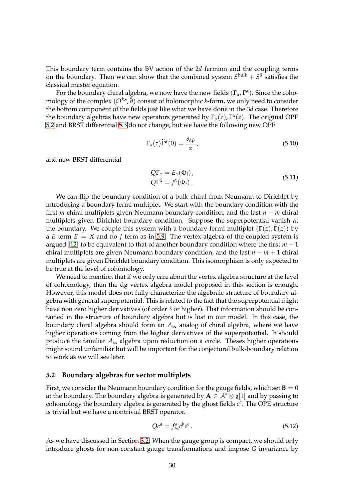This boundary term contains the BV action of the 2*d* fermion and the coupling terms on the boundary. Then we can show that the combined system  $S^{\text{bulk}} + S^{\partial}$  satisfies the classical master equation.

For the boundary chiral algebra, we now have the new fields (**Γ***α*, **Γ** *α* ). Since the cohomology of the complex (Ω<sup>k,∙</sup>,∂) consist of holomorphic *k-*form, we only need to consider the bottom component of the fields just like what we have done in the 3*d* case. Therefore the boundary algebras have new operators generated by Γ*α*(*z*), Γ *α* (*z*). The original OPE [5.2](#page-28-1) and BRST differential [5.3](#page-28-2) do not change, but we have the following new OPE

$$
\Gamma_{\alpha}(z)\widetilde{\Gamma}^{\alpha}(0) = \frac{\delta_{\alpha\beta}}{z},\tag{5.10}
$$

and new BRST differential

$$
Q\Gamma_{\alpha} = E_{\alpha}(\Phi_i),
$$
  
\n
$$
Q\Gamma^{\alpha} = J^{\alpha}(\Phi_i).
$$
\n(5.11)

We can flip the boundary condition of a bulk chiral from Neumann to Dirichlet by introducing a boundary fermi multiplet. We start with the boundary condition with the first *m* chiral multiplets given Neumann boundary condition, and the last *n* − *m* chiral multiplets given Dirichlet boundary condition. Suppose the superpotential vanish at the boundary. We couple this system with a boundary fermi multiplet  $(\Gamma(z), \Gamma(z))$  by a *E* term  $E = X$  and no *J* term as in [5.9.](#page-28-3) The vertex algebra of the coupled system is argued [\[12\]](#page-59-6) to be equivalent to that of another boundary condition where the first *m* − 1 chiral multiplets are given Neumann boundary condition, and the last *n* − *m* + 1 chiral multiplets are given Dirichlet boundary condition. This isomorphism is only expected to be true at the level of cohomology.

We need to mention that if we only care about the vertex algebra structure at the level of cohomology, then the dg vertex algebra model proposed in this section is enough. However, this model does not fully characterize the algebraic structure of boundary algebra with general superpotential. This is related to the fact that the superpotential might have non zero higher derivatives (of order 3 or higher). That information should be contained in the structure of boundary algebra but is lost in our model. In this case, the boundary chiral algebra should form an  $A_{\infty}$  analog of chiral algebra, where we have higher operations coming from the higher derivatives of the superpotential. It should produce the familiar  $A_{\infty}$  algebra upon reduction on a circle. Theses higher operations might sound unfamiliar but will be important for the conjectural bulk-boundary relation to work as we will see later.

### <span id="page-29-0"></span>**5.2 Boundary algebras for vector multiplets**

First, we consider the Neumann boundary condition for the gauge fields, which set  $\mathbf{B} = 0$ at the boundary. The boundary algebra is generated by  $A \in \mathcal{A}^{\bullet} \otimes \mathfrak{g}[1]$  and by passing to cohomology the boundary algebra is generated by the ghost fields  $c^a$ . The OPE structure is trivial but we have a nontrivial BRST operator.

$$
Qc^a = f_{bc}^a c^b c^c. \tag{5.12}
$$

As we have discussed in Section [3.2,](#page-12-0) When the gauge group is compact, we should only introduce ghosts for non-constant gauge transformations and impose *G* invariance by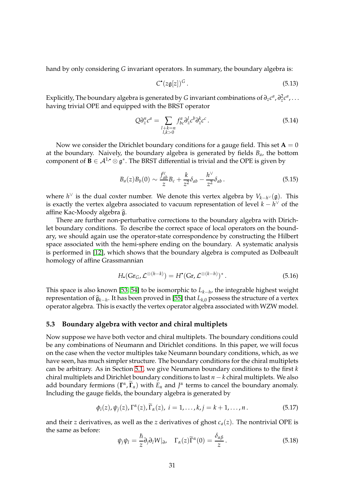hand by only considering *G* invariant operators. In summary, the boundary algebra is:

$$
C^{\bullet}(z\mathfrak{g}[z])^{G}. \tag{5.13}
$$

Explicitly, The boundary algebra is generated by *G* invariant combinations of  $\partial_z c^a$  ,  $\partial^2_z c^a$  , . . . having trivial OPE and equipped with the BRST operator

$$
Q\partial_z^n c^n = \sum_{\substack{l+k=n\\l,k>0}} f_{bc}^a \partial_z^l c^b \partial_z^k c^c.
$$
 (5.14)

Now we consider the Dirichlet boundary conditions for a gauge field. This set  $A = 0$ at the boundary. Naively, the boundary algebra is generated by fields  $B_{a}$ , the bottom component of  $B \in \mathcal{A}^{1,\bullet}\otimes \mathfrak{g}^*.$  The BRST differential is trivial and the OPE is given by

$$
B_a(z)B_b(0) \sim \frac{f_{ab}^c}{z}B_c + \frac{k}{z^2}\delta_{ab} - \frac{h^{\vee}}{z^2}\delta_{ab}.
$$
 (5.15)

where *h* <sup>∨</sup> is the dual coxter number. We denote this vertex algebra by *Vk*−*<sup>h</sup>* <sup>∨</sup> (g). This is exactly the vertex algebra associated to vacuum representation of level *k* − *h* <sup>∨</sup> of the affine Kac-Moody algebra  $\hat{\mathfrak{g}}$ .

There are further non-perturbative corrections to the boundary algebra with Dirichlet boundary conditions. To describe the correct space of local operators on the boundary, we should again use the operator-state correspondence by constructing the Hilbert space associated with the hemi-sphere ending on the boundary. A systematic analysis is performed in [\[12\]](#page-59-6), which shows that the boundary algebra is computed as Dolbeault homology of affine Grassmannian

$$
H_{\bullet}(\mathrm{Gr}_G, \mathcal{L}^{\otimes (h-k)}) = H^{\bullet}(\mathrm{Gr}, \mathcal{L}^{\otimes (k-h)})^*.
$$
 (5.16)

This space is also known [\[53,](#page-61-10) [54\]](#page-61-11) to be isomorphic to *Lk*−*<sup>h</sup>* , the integrable highest weight representation of <sup>b</sup>g*k*−*<sup>h</sup>* . It has been proved in [\[55\]](#page-61-12) that *Lk*,0 possess the structure of a vertex operator algebra. This is exactly the vertex operator algebra associated with WZW model.

### <span id="page-30-0"></span>**5.3 Boundary algebra with vector and chiral multiplets**

Now suppose we have both vector and chiral multiplets. The boundary conditions could be any combinations of Neumann and Dirichlet conditions. In this paper, we will focus on the case when the vector multiples take Neumann boundary conditions, which, as we have seen, has much simpler structure. The boundary conditions for the chiral multiplets can be arbitrary. As in Section [5.1,](#page-28-0) we give Neumann boundary conditions to the first *k* chiral multiplets and Dirichlet boundary conditions to last *n* − *k* chiral multiplets. We also add boundary fermions  $(\Gamma^{\alpha}, \widetilde{\Gamma}_{\alpha})$  with  $E_{\alpha}$  and  $J^{\alpha}$  terms to cancel the boundary anomaly. Including the gauge fields, the boundary algebra is generated by

$$
\phi_i(z), \psi_j(z), \Gamma^{\alpha}(z), \widetilde{\Gamma}_{\alpha}(z), \ i = 1, \ldots, k, j = k+1, \ldots, n \,.
$$

and their *z* derivatives, as well as the *z* derivatives of ghost  $c_a(z)$ . The nontrivial OPE is the same as before:

$$
\psi_j \psi_l = \frac{\hbar}{z} \partial_j \partial_l W|_{\partial} , \quad \Gamma_\alpha(z) \widetilde{\Gamma}^\alpha(0) = \frac{\delta_{\alpha \beta}}{z} . \tag{5.18}
$$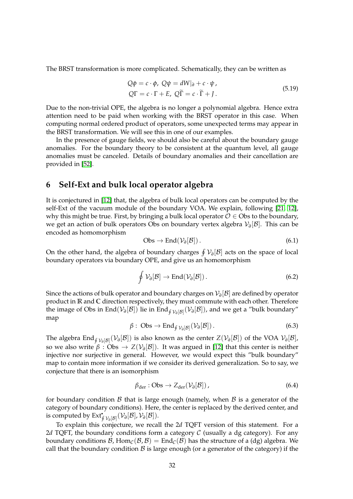The BRST transformation is more complicated. Schematically, they can be written as

$$
Q\phi = c \cdot \phi, \ Q\psi = dW|_{\partial} + c \cdot \psi,
$$
  

$$
Q\Gamma = c \cdot \Gamma + E, \ Q\widetilde{\Gamma} = c \cdot \widetilde{\Gamma} + J.
$$
 (5.19)

Due to the non-trivial OPE, the algebra is no longer a polynomial algebra. Hence extra attention need to be paid when working with the BRST operator in this case. When computing normal ordered product of operators, some unexpected terms may appear in the BRST transformation. We will see this in one of our examples.

In the presence of gauge fields, we should also be careful about the boundary gauge anomalies. For the boundary theory to be consistent at the quantum level, all gauge anomalies must be canceled. Details of boundary anomalies and their cancellation are provided in [\[52\]](#page-61-9).

### <span id="page-31-0"></span>**6 Self-Ext and bulk local operator algebra**

It is conjectured in [\[12\]](#page-59-6) that, the algebra of bulk local operators can be computed by the self-Ext of the vacuum module of the boundary VOA. We explain, following [\[21,](#page-59-15) [12\]](#page-59-6), why this might be true. First, by bringing a bulk local operator  $O \in \mathcal{O}$  bs to the boundary, we get an action of bulk operators Obs on boundary vertex algebra V*<sup>∂</sup>* [B]. This can be encoded as homomorphism

$$
Obs \to End(\mathcal{V}_{\partial}[\mathcal{B}]). \tag{6.1}
$$

On the other hand, the algebra of boundary charges  $\oint \mathcal{V}_{\partial}[\mathcal{B}]$  acts on the space of local boundary operators via boundary OPE, and give us an homomorphism

$$
\oint \mathcal{V}_{\partial}[\mathcal{B}] \to \text{End}(\mathcal{V}_{\partial}[\mathcal{B}]). \tag{6.2}
$$

Since the actions of bulk operator and boundary charges on V*<sup>∂</sup>* [B] are defined by operator product in **R** and **C** direction respectively, they must commute with each other. Therefore the image of Obs in End $(\mathcal{V}_{\partial}[\mathcal{B}])$  lie in End<sub>∮  $\mathcal{V}_{\partial}[\mathcal{B}]}(\mathcal{V}_{\partial}[\mathcal{B}])$ , and we get a "bulk boundary"</sub> map

$$
\beta: \text{Obs} \to \text{End}_{\oint \mathcal{V}_\partial[\mathcal{B}]}(\mathcal{V}_\partial[\mathcal{B}]). \tag{6.3}
$$

The algebra End $_{\oint \mathcal{V}_\partial [B]} (\mathcal{V}_\partial [B])$  is also known as the center  $Z(\mathcal{V}_\partial [B])$  of the VOA  $\mathcal{V}_\partial [B]$ , so we also write  $β:Obs\to Z(\mathcal{V}_\partial[\mathcal{B}]).$  It was argued in [\[12\]](#page-59-6) that this center is neither injective nor surjective in general. However, we would expect this "bulk boundary" map to contain more information if we consider its derived generalization. So to say, we conjecture that there is an isomorphism

$$
\beta_{\text{der}} : \text{Obs} \to Z_{\text{der}}(\mathcal{V}_\partial[\mathcal{B}]), \tag{6.4}
$$

for boundary condition  $\beta$  that is large enough (namely, when  $\beta$  is a generator of the category of boundary conditions). Here, the center is replaced by the derived center, and is computed by  $\mathrm{Ext}^{\bullet}_{\oint \mathcal{V}_{\partial}[\mathcal{B}]}(\mathcal{V}_{\partial}[\mathcal{B}],\mathcal{V}_{\partial}[\mathcal{B}]).$ 

To explain this conjecture, we recall the 2*d* TQFT version of this statement. For a 2*d* TQFT, the boundary conditions form a category  $C$  (usually a dg category). For any boundary conditions B, Hom<sub>C</sub>( $\mathcal{B}, \mathcal{B}$ ) = End<sub>C</sub>( $\mathcal{B}$ ) has the structure of a (dg) algebra. We call that the boundary condition  $\beta$  is large enough (or a generator of the category) if the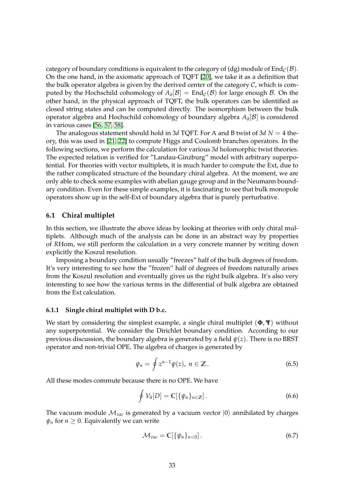category of boundary conditions is equivalent to the category of (dg) module of  $\text{End}_{\mathcal{C}}(\mathcal{B})$ . On the one hand, in the axiomatic approach of TQFT [\[20\]](#page-59-14), we take it as a definition that the bulk operator algebra is given by the derived center of the category  $C$ , which is computed by the Hochschild cohomology of  $A_{\partial}[\mathcal{B}] = \text{End}_{\mathcal{C}}(\mathcal{B})$  for large enough  $\mathcal{B}$ . On the other hand, in the physical approach of TQFT, the bulk operators can be identified as closed string states and can be computed directly. The isomorphism between the bulk operator algebra and Hochschild cohomology of boundary algebra *A<sup>∂</sup>* [B] is considered in various cases [\[56,](#page-61-13) [57,](#page-61-14) [58\]](#page-61-15).

The analogous statement should hold in 3*d* TQFT. For A and B twist of 3*d N* = 4 theory, this was used in [\[21,](#page-59-15) [22\]](#page-59-16) to compute Higgs and Coulomb branches operators. In the following sections, we perform the calculation for various 3*d* holomorphic twist theories. The expected relation is verified for "Landau-Ginzburg" model with arbitrary superpotential. For theories with vector multiplets, it is much harder to compute the Ext, due to the rather complicated structure of the boundary chiral algebra. At the moment, we are only able to check some examples with abelian gauge group and in the Neumann boundary condition. Even for these simple examples, it is fascinating to see that bulk monopole operators show up in the self-Ext of boundary algebra that is purely perturbative.

### <span id="page-32-0"></span>**6.1 Chiral multiplet**

In this section, we illustrate the above ideas by looking at theories with only chiral multiplets. Although much of the analysis can be done in an abstract way by properties of *R*Hom, we still perform the calculation in a very concrete manner by writing down explicitly the Koszul resolution.

Imposing a boundary condition usually "freezes" half of the bulk degrees of freedom. It's very interesting to see how the "frozen" half of degrees of freedom naturally arises from the Koszul resolution and eventually gives us the right bulk algebra. It's also very interesting to see how the various terms in the differential of bulk algebra are obtained from the Ext calculation.

### <span id="page-32-1"></span>**6.1.1 Single chiral multiplet with D b.c.**

We start by considering the simplest example, a single chiral multiplet (**Φ**, **Ψ**) without any superpotential. We consider the Dirichlet boundary condition. According to our previous discussion, the boundary algebra is generated by a field *ψ*(*z*). There is no BRST operator and non-trivial OPE. The algebra of charges is generated by

$$
\psi_n = \oint z^{n-1} \psi(z), \ n \in \mathbb{Z} \,.
$$
\n(6.5)

All these modes commute because there is no OPE. We have

<span id="page-32-2"></span>
$$
\oint \mathcal{V}_{\partial}[D] = \mathbb{C}[\{\psi_n\}_{n \in \mathbb{Z}}]. \tag{6.6}
$$

The vacuum module  $M_{vac}$  is generated by a vacuum vector  $|0\rangle$  annihilated by charges  $\psi_n$  for  $n \geq 0$ . Equivalently we can write

<span id="page-32-3"></span>
$$
\mathcal{M}_{vac} = \mathbb{C}[\{\psi_n\}_{n<0}]. \tag{6.7}
$$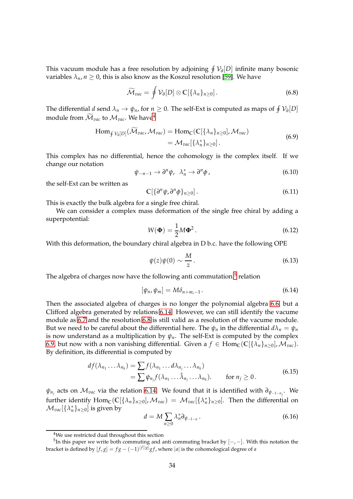This vacuum module has a free resolution by adjoining H V*∂* [*D*] infinite many bosonic variables  $\lambda_n$ ,  $n \geq 0$ , this is also know as the Koszul resolution [\[59\]](#page-61-16). We have

<span id="page-33-3"></span>
$$
\widetilde{\mathcal{M}}_{vac} = \oint \mathcal{V}_\partial[D] \otimes \mathbb{C}[\{\lambda_n\}_{n \geq 0}]. \tag{6.8}
$$

The differential *d* send  $\lambda_n \to \psi_n$ , for  $n \geq 0$ . The self-Ext is computed as maps of  $\oint \mathcal{V}_\partial[D]$ module from  $\widetilde{\mathcal{M}}_{vac}$  to  $\mathcal{M}_{vac}$ . We have<sup>[4](#page-33-0)</sup>

$$
\text{Hom}_{\oint \mathcal{V}_{\partial}[D]}(\widetilde{\mathcal{M}}_{vac}, \mathcal{M}_{vac}) = \text{Hom}_{\mathbb{C}}(\mathbb{C}[\{\lambda_n\}_{n \geq 0}], \mathcal{M}_{vac})
$$
\n
$$
= \mathcal{M}_{vac}[\{\lambda_n^*\}_{n \geq 0}].
$$
\n(6.9)

<span id="page-33-4"></span>This complex has no differential, hence the cohomology is the complex itself. If we change our notation

<span id="page-33-5"></span>
$$
\psi_{-n-1} \to \partial^n \psi, \quad \lambda_n^* \to \partial^n \phi \tag{6.10}
$$

the self-Ext can be written as

$$
\mathbb{C}[\{\partial^n \psi, \partial^n \phi\}_{n\geq 0}]. \tag{6.11}
$$

This is exactly the bulk algebra for a single free chiral.

We can consider a complex mass deformation of the single free chiral by adding a superpotential:

$$
W(\mathbf{\Phi}) = \frac{1}{2}M\mathbf{\Phi}^2.
$$
\n(6.12)

With this deformation, the boundary chiral algebra in D b.c. have the following OPE

$$
\psi(z)\psi(0) \sim \frac{M}{z} \,. \tag{6.13}
$$

The algebra of charges now have the following anti commutation  $^5$  $^5$  relation

<span id="page-33-2"></span>
$$
[\psi_n, \psi_m] = M \delta_{n+m,-1} \,. \tag{6.14}
$$

Then the associated algebra of charges is no longer the polynomial algebra [6.6,](#page-32-2) but a Clifford algebra generated by relations [6.14.](#page-33-2) However, we can still identify the vacume module as [6.7](#page-32-3) and the resolution [6.8](#page-33-3) is still valid as a resolution of the vacume module. But we need to be careful about the differential here. The  $\psi_n$  in the differential  $d\lambda_n = \psi_n$ is now understand as a multiplication by  $\psi_n$ . The self-Ext is computed by the complex [6.9,](#page-33-4) but now with a non vanishing differential. Given a  $f \in \text{Hom}_{\mathbb{C}}(\mathbb{C}[\{\lambda_n\}_{n>0}],\mathcal{M}_{vac})$ . By definition, its differential is computed by

$$
df(\lambda_{n_1} \dots \lambda_{n_k}) = \sum f(\lambda_{n_1} \dots d\lambda_{n_j} \dots \lambda_{n_k})
$$
  
=  $\sum \psi_{n_j} f(\lambda_{n_1} \dots \hat{\lambda}_{n_j} \dots \lambda_{n_k}).$  for  $n_j \ge 0$ . (6.15)

*ψn<sup>j</sup>* acts on M*vac* via the relation [6.14.](#page-33-2) We found that it is identified with *∂ψ*−1−*nj* . We further identify  $\text{Hom}_{\mathbb{C}}(\mathbb{C}[\{\lambda_n\}_{n\geq0}],\mathcal{M}_{vac}) = \mathcal{M}_{vac}[\{\lambda_n^*\}_{n\geq0}]$ . Then the differential on  $\mathcal{M}_{vac}[\{\lambda_n^*\}_{n\geq 0}]$  is given by

$$
d = M \sum_{n \ge 0} \lambda_n^* \partial_{\psi_{-1-n}} \,. \tag{6.16}
$$

<span id="page-33-0"></span><sup>4</sup>We use restricted dual throughout this section

<span id="page-33-1"></span><sup>&</sup>lt;sup>5</sup>In this paper we write both commuting and anti commuting bracket by  $[-,-]$ . With this notation the bracket is defined by  $[f,g] = fg - (-1)^{|f||g|}gf$ , where  $|a|$  is the cohomological degree of *a*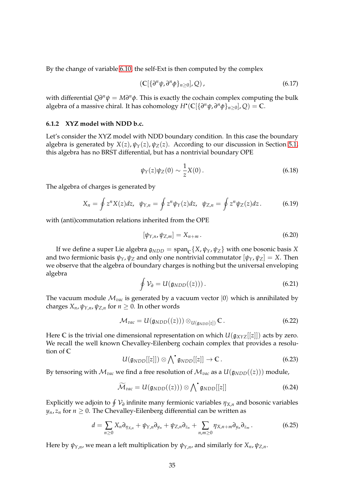By the change of variable [6.10,](#page-33-5) the self-Ext is then computed by the complex

$$
\left(\mathbb{C}[\{\partial^n \psi, \partial^n \phi\}_{n\geq 0}], Q\right),\tag{6.17}
$$

with differential  $Q\partial^n \psi = M\partial^n \phi$ . This is exactly the cochain complex computing the bulk algebra of a massive chiral. It has cohomology  $H^\bullet(\mathbb{C}[\{\partial^n \psi,\partial^n \phi\}_{n\geq 0}],Q) = \mathbb{C}.$ 

#### <span id="page-34-0"></span>**6.1.2 XYZ model with NDD b.c.**

Let's consider the XYZ model with NDD boundary condition. In this case the boundary algebra is generated by  $X(z)$ ,  $\psi_Y(z)$ ,  $\psi_Z(z)$ . According to our discussion in Section [5.1,](#page-28-0) this algebra has no BRST differential, but has a nontrivial boundary OPE

$$
\psi_Y(z)\psi_Z(0) \sim \frac{1}{z}X(0). \tag{6.18}
$$

The algebra of charges is generated by

$$
X_n = \oint z^n X(z) dz, \quad \psi_{Y,n} = \oint z^n \psi_Y(z) dz, \quad \psi_{Z,n} = \oint z^n \psi_Z(z) dz. \tag{6.19}
$$

with (anti)commutation relations inherited from the OPE

$$
[\psi_{Y,n}, \psi_{Z,m}] = X_{n+m} \,. \tag{6.20}
$$

If we define a super Lie algebra  $\mathfrak{g}_{NDD}=\mathrm{span}_{\mathbb{C}}\{X,\psi_Y,\psi_Z\}$  with one bosonic basis  $X$ and two fermionic basis  $\psi_Y$ ,  $\psi_Z$  and only one nontrivial commutator  $[\psi_Y, \psi_Z] = X$ . Then we observe that the algebra of boundary charges is nothing but the universal enveloping algebra

$$
\oint V_{\partial} = U(g_{NDD}((z))). \qquad (6.21)
$$

The vacuum module  $\mathcal{M}_{vac}$  is generated by a vacuum vector  $|0\rangle$  which is annihilated by charges  $X_n$ ,  $\psi_{Y,n}$ ,  $\psi_{Z,n}$  for  $n \geq 0$ . In other words

$$
\mathcal{M}_{vac} = U(\mathfrak{g}_{NDD}((z))) \otimes_{U(\mathfrak{g}_{NDD}[z])} \mathbb{C} \,. \tag{6.22}
$$

Here C is the trivial one dimensional representation on which  $U(g_{XYZ}[[z]])$  acts by zero. We recall the well known Chevalley-Eilenberg cochain complex that provides a resolution of **C**

$$
U(\mathfrak{g}_{NDD}[[z]])\otimes \bigwedge^{\bullet} \mathfrak{g}_{NDD}[[z]]\to \mathbb{C}.
$$
 (6.23)

By tensoring with  $\mathcal{M}_{vac}$  we find a free resolution of  $\mathcal{M}_{vac}$  as a  $U(\mathfrak{g}_{NDD}((z)))$  module,

$$
\widetilde{\mathcal{M}}_{vac} = U(\mathfrak{g}_{NDD}((z))) \otimes \bigwedge^{\bullet} \mathfrak{g}_{NDD}[[z]] \qquad (6.24)
$$

Explicitly we adjoin to  $\oint \mathcal{V}_\partial$  infinite many fermionic variables  $\eta_{X,n}$  and bosonic variables  $y_n$ ,  $z_n$  for  $n \geq 0$ . The Chevalley-Eilenberg differential can be written as

<span id="page-34-1"></span>
$$
d=\sum_{n\geq 0}X_n\partial_{\eta_{X,n}}+\psi_{Y,n}\partial_{y_n}+\psi_{Z,n}\partial_{z_n}+\sum_{n,m\geq 0}\eta_{X,n+m}\partial_{y_n}\partial_{z_m}.
$$
 (6.25)

Here by  $\psi_{Y,n}$ , we mean a left multiplication by  $\psi_{Y,n}$ , and similarly for  $X_n$ ,  $\psi_{Z,n}$ .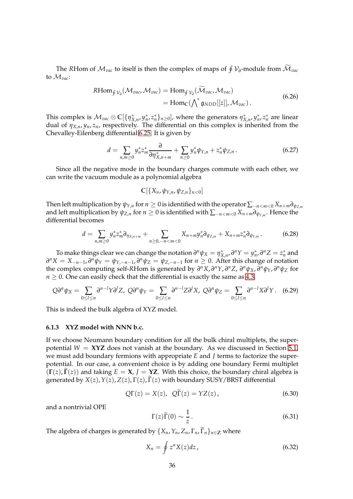The *R*Hom of  $\mathcal{M}_{vac}$  to itself is then the complex of maps of  $\oint \mathcal{V}_{\partial}$ -module from  $\widetilde{\mathcal{M}}_{vac}$ to M*vac*:

$$
RHom_{\oint \mathcal{V}_\partial}(\mathcal{M}_{vac}, \mathcal{M}_{vac}) = Hom_{\oint \mathcal{V}_\partial}(\widetilde{\mathcal{M}}_{vac}, \mathcal{M}_{vac})
$$
  
= Hom<sub>C</sub>( $\bigwedge^* g_{NDD}[[z]], \mathcal{M}_{vac})$ . (6.26)

This complex is  $\mathcal{M}_{vac}\otimes\mathbb{C}[\{\eta_{X,n}^*,y_n^*,z_n^*\}_{n\geq 0}]$ , where the generators  $\eta_{X,n}^*,y_n^*,z_n^*$  are linear dual of *ηX*,*n*, *yn*, *zn*, respectively. The differential on this complex is inherited from the Chevalley-Eilenberg differential [6.25.](#page-34-1) It is given by

$$
d = \sum_{n,m \geq 0} y_n^* z_m^* \frac{\partial}{\partial \eta_{X,n+m}^*} + \sum_{n \geq 0} y_n^* \psi_{Y,n} + z_n^* \psi_{Z,n} \,. \tag{6.27}
$$

Since all the negative mode in the boundary charges commute with each other, we can write the vacuum module as a polynomial algebra

 $\mathbb{C}[\{X_n, \psi_{Y,n}, \psi_{Z,n}\}_{n<0}]$ 

Then left multiplication by  $\psi_{Y,n}$  for  $n \geq 0$  is identified with the operator  $\sum_{-n < m < 0} X_{n+m} \partial_{\psi_{Z,m}}$ and left multiplication by  $\psi_{Z,n}$  for  $n\geq 0$  is identified with  $\sum_{-n < m < 0} X_{n+m} \partial_{\psi_{Y,m}}.$  Hence the differential becomes

$$
d = \sum_{n,m \geq 0} y_n^* z_m^* \partial_{\eta_{X,n+m}} + \sum_{n \geq 0, -n < m < 0} X_{n+m} y_n^* \partial_{\psi_{Z,m}} + X_{n+m} z_n^* \partial_{\psi_{Y,m}}. \tag{6.28}
$$

To make things clear we can change the notation  $\partial^n \psi_X = \eta_{X,n}^*$ ,  $\partial^n Y = y_n^*$ ,  $\partial^n Z = z_n^*$  and  $\partial^n X = X_{-n-1}, \partial^n \psi_Y = \psi_{Y,-n-1}, \partial^n \psi_Z = \psi_{Z,-n-1}$  for  $n \geq 0$ . After this change of notation the complex computing self-RHom is generated by  $\partial^n X$ ,  $\partial^n Y$ ,  $\partial^n Z$ ,  $\partial^n \psi_X$ ,  $\partial^n \psi_Y$ ,  $\partial^n \psi_Z$  for  $n \geq 0$ . One can easily check that the differential is exactly the same as [4.3.](#page-20-2)

$$
Q\partial^n \psi_X = \sum_{0 \leq l \leq n} \partial^{n-l} Y \partial^l Z, \ Q\partial^n \psi_Y = \sum_{0 \leq l \leq n} \partial^{n-l} Z \partial^l X, \ Q\partial^n \psi_Z = \sum_{0 \leq l \leq n} \partial^{n-l} X \partial^l Y. \tag{6.29}
$$

This is indeed the bulk algebra of XYZ model.

### <span id="page-35-0"></span>**6.1.3 XYZ model with NNN b.c.**

If we choose Neumann boundary condition for all the bulk chiral multiplets, the superpotential  $W = XYZ$  does not vanish at the boundary. As we discussed in Section [5.1,](#page-28-0) we must add boundary fermions with appropriate *E* and *J* terms to factorize the superpotential. In our case, a convenient choice is by adding one boundary Fermi multiplet  $(\Gamma(z), \Gamma(z))$  and taking  $E = X$ ,  $J = YZ$ . With this choice, the boundary chiral algebra is generated by  $X(z)$ ,  $Y(z)$ ,  $Z(z)$ ,  $\Gamma(z)$ ,  $\Gamma(z)$  with boundary SUSY/BRST differential

$$
Q\Gamma(z) = X(z), \quad Q\widetilde{\Gamma}(z) = YZ(z), \tag{6.30}
$$

and a nontrivial OPE

$$
\Gamma(z)\widetilde{\Gamma}(0) \sim \frac{1}{z} \,. \tag{6.31}
$$

The algebra of charges is generated by  $\{X_n, Y_n, Z_n, \Gamma_n, \widetilde{\Gamma}_n\}_{n \in \mathbb{Z}}$  where

$$
X_n = \oint z^n X(z) dz, \qquad (6.32)
$$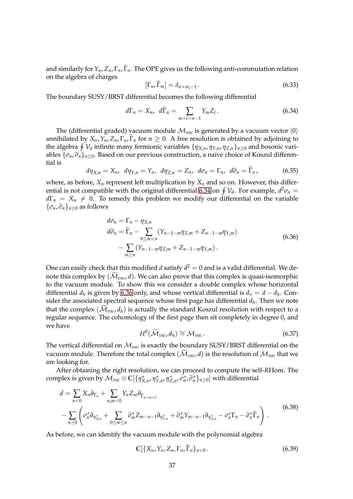and similarly for  $Y_n$ ,  $Z_n$ ,  $\Gamma_n$ ,  $\widetilde{\Gamma}_n$ . The OPE gives us the following anti-commutation relation on the algebra of charges

$$
[\Gamma_n, \widetilde{\Gamma}_m] = \delta_{n+m,-1} \,. \tag{6.33}
$$

The boundary SUSY/BRST differential becomes the following differential

<span id="page-36-0"></span>
$$
d\Gamma_n = X_n, \quad d\widetilde{\Gamma}_n = \sum_{m+l=n-1} Y_m Z_l \,. \tag{6.34}
$$

The (differential graded) vacuum module  $\mathcal{M}_{vac}$  is generated by a vacuum vector  $|0\rangle$ annihilated by  $X_n$ ,  $Y_n$ ,  $Z_n$ ,  $\Gamma_n$ ,  $\Gamma_n$  for  $n \geq 0$ . A free resolution is obtained by adjoining to the algebra H V*∂* infinite many fermionic variables {*ηX*,*n*, *ηY*,*n*, *ηZ*,*n*}*n*≥<sup>0</sup> and bosonic variables  $\{\sigma_n, \tilde{\sigma}_n\}_{n>0}$ . Based on our previous construction, a naive choice of Koszul differential is

$$
d\eta_{X,n} = X_n, \, d\eta_{Y,n} = Y_n, \, d\eta_{Z,n} = Z_n, \, d\sigma_n = \Gamma_n, \, d\tilde{\sigma}_n = \tilde{\Gamma}_n, \tag{6.35}
$$

where, as before,  $X_n$  represent left multiplication by  $X_n$  and so on. However, this differ-ential is not compatible with the original differential [6.34](#page-36-0) on  $\oint V$ <sub>0</sub>. For example,  $d^2\sigma_n =$  $d\Gamma_n = X_n \neq 0$ . To remedy this problem we modify our differential on the variable  $\{\sigma_n, \widetilde{\sigma}_n\}_{n>0}$  as follows

$$
d\sigma_n = \Gamma_n - \eta_{X,n}
$$
  
\n
$$
d\widetilde{\sigma}_n = \widetilde{\Gamma}_n - \sum_{0 \le m < n} (Y_{n-1-m} \eta_{Z,m} + Z_{n-1-m} \eta_{Y,m})
$$
  
\n
$$
- \sum_{m \ge n} (Y_{n-1-m} \eta_{Z,m} + Z_{n-1-m} \eta_{Y,m}). \tag{6.36}
$$

<span id="page-36-1"></span>One can easily check that this modified  $d$  satisfy  $d^2=0$  and is a valid differential. We denote this complex by  $(\widetilde{\mathcal{M}}_{vac}, d)$ . We can also prove that this complex is quasi-isomorphic to the vacuum module. To show this we consider a double complex whose horizontal differential  $d_h$  is given by [6.36](#page-36-1) only, and whose vertical differential is  $d_v = d - d_h$ . Consider the associated spectral sequence whose first page has differential *d<sup>h</sup>* . Then we note that the complex  $(\widetilde{\mathcal{M}}_{vac}, d_h)$  is actually the standard Koszul resolution with respect to a regular sequence. The cohomology of the first page then sit completely in degree 0, and we have

$$
H^0(\widetilde{\mathcal{M}}_{vac}, d_h) \cong \mathcal{M}_{vac} \,.
$$

The vertical differential on M*vac* is exactly the boundary SUSY/BRST differential on the vacuum module. Therefore the total complex  $(\mathcal{M}_{vac}, d)$  is the resolution of  $\mathcal{M}_{vac}$  that we are looking for.

After obtaining the right resolution, we can proceed to compute the self-*R*Hom. The  $\text{complex is given by } \mathcal{M}_{vac}\otimes\mathbb{C}[\{\eta_{X,n}^*,\eta_{Y,n}^*,\eta_{Z,n}^*,\tilde{\sigma}_n^*\}_{n\geq 0}]\text{ with differential }$ 

$$
d = \sum_{n<0} X_n \partial_{\Gamma_n} + \sum_{n,m<0} Y_n Z_m \partial_{\widetilde{\Gamma}_{n+m+1}}
$$
  
- 
$$
\sum_{n\geq 0} \left( \sigma_n^* \partial_{\eta_{X,n}^*} + \sum_{0\leq m\leq n} \widetilde{\sigma}_m^* Z_{m-n-1} \partial_{\eta_{Y,n}^*} + \widetilde{\sigma}_m^* Y_{m-n-1} \partial_{\eta_{Z,n}^*} - \sigma_n^* \Gamma_n - \widetilde{\sigma}_n^* \widetilde{\Gamma}_n \right).
$$
(6.38)

As before, we can identify the vacuum module with the polynomial algebra

$$
\mathbb{C}[\{X_n,Y_n,Z_n,\Gamma_n,\widetilde{\Gamma}_n\}_{n<0}.\tag{6.39}
$$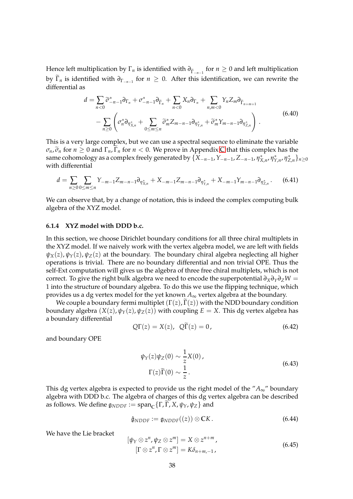Hence left multiplication by  $\Gamma_n$  is identified with  $\partial_{\tilde{\Gamma}_{-n-1}}$  for  $n \geq 0$  and left multiplication by  $\Gamma_n$  is identified with  $\partial_{\Gamma_{-n-1}}$  for  $n \geq 0$ . After this identification, we can rewrite the differential as

$$
d = \sum_{n<0} \widetilde{\sigma}_{-n-1}^* \partial_{\Gamma_n} + \sigma_{-n-1}^* \partial_{\widetilde{\Gamma}_n} + \sum_{n<0} X_n \partial_{\Gamma_n} + \sum_{n,m<0} Y_n Z_m \partial_{\widetilde{\Gamma}_{n+m+1}} - \sum_{n\geq 0} \left( \sigma_n^* \partial_{\eta_{X,n}^*} + \sum_{0 \leq m \leq n} \widetilde{\sigma}_m^* Z_{m-n-1} \partial_{\eta_{Y,n}^*} + \widetilde{\sigma}_m^* Y_{m-n-1} \partial_{\eta_{Z,n}^*} \right).
$$
(6.40)

This is a very large complex, but we can use a spectral sequence to eliminate the variable  $\sigma_n$ ,  $\tilde{\sigma}_n$  for  $n \geq 0$  and  $\Gamma_n$ ,  $\tilde{\Gamma}_n$  for  $n < 0$ . We prove in Appendix [C](#page-56-0) that this complex has the same cohomology as a complex freely generated by  $\{X_{-n-1},Y_{-n-1},Z_{-n-1},\eta^*_{X,n},\eta^*_{Y,n},\eta^*_{Z,n}\}_{n\geq 0}$ with differential

$$
d = \sum_{n\geq 0} \sum_{0\leq m\leq n} Y_{-m-1} Z_{m-n-1} \partial_{\eta_{X,n}^*} + X_{-m-1} Z_{m-n-1} \partial_{\eta_{Y,n}^*} + X_{-m-1} Y_{m-n-1} \partial_{\eta_{Z,n}^*}.
$$
 (6.41)

We can observe that, by a change of notation, this is indeed the complex computing bulk algebra of the XYZ model.

### <span id="page-37-0"></span>**6.1.4 XYZ model with DDD b.c.**

In this section, we choose Dirichlet boundary conditions for all three chiral multiplets in the XYZ model. If we naively work with the vertex algebra model, we are left with fields  $ψ<sub>X</sub>(z)$ ,  $ψ<sub>Y</sub>(z)$ ,  $ψ<sub>Z</sub>(z)$  at the boundary. The boundary chiral algebra neglecting all higher operations is trivial. There are no boundary differential and non trivial OPE. Thus the self-Ext computation will gives us the algebra of three free chiral multiplets, which is not correct. To give the right bulk algebra we need to encode the superpotential  $\partial_X \partial_Y \partial_Z W =$ 1 into the structure of boundary algebra. To do this we use the flipping technique, which provides us a dg vertex model for the yet known  $A_{\infty}$  vertex algebra at the boundary.

We couple a boundary fermi multiplet  $(\Gamma(z), \widetilde{\Gamma}(z))$  with the NDD boundary condition boundary algebra  $(X(z), \psi_Y(z), \psi_Z(z))$  with coupling  $E = X$ . This dg vertex algebra has a boundary differential

$$
Q\Gamma(z) = X(z), \quad Q\widetilde{\Gamma}(z) = 0,
$$
\n(6.42)

and boundary OPE

$$
\psi_Y(z)\psi_Z(0) \sim \frac{1}{z}X(0),
$$
  
\n
$$
\Gamma(z)\widetilde{\Gamma}(0) \sim \frac{1}{z}.
$$
\n(6.43)

This dg vertex algebra is expected to provide us the right model of the "*A*∞" boundary algebra with DDD b.c. The algebra of charges of this dg vertex algebra can be described  $\text{as follows. We define } \mathfrak{g}_{NDDF} := \text{span}_{\mathbb{C}} \{ \Gamma, \Gamma, X, \psi_Y, \psi_Z \} \text{ and }$ 

$$
\hat{\mathfrak{g}}_{NDDF} := \mathfrak{g}_{NDDF}((z)) \otimes \mathbb{C}K. \tag{6.44}
$$

We have the Lie bracket

<span id="page-37-1"></span>
$$
[\psi_Y \otimes z^n, \psi_Z \otimes z^m] = X \otimes z^{n+m},
$$
  
[ $\Gamma \otimes z^n, \Gamma \otimes z^m$ ] =  $K\delta_{n+m,-1}$ , (6.45)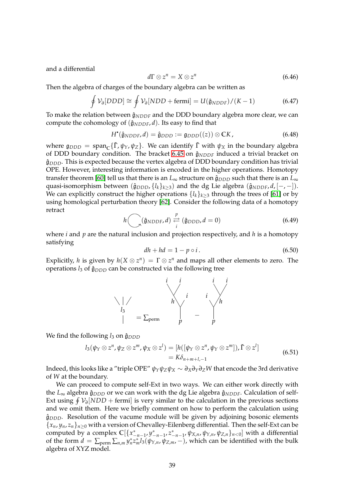and a differential

$$
d\Gamma \otimes z^n = X \otimes z^n \tag{6.46}
$$

Then the algebra of charges of the boundary algebra can be written as

$$
\oint \mathcal{V}_{\partial} [DDD] \cong \oint \mathcal{V}_{\partial} [NDD + \text{fermi}] = U(\hat{\mathfrak{g}}_{NDDF})/(K-1)
$$
\n(6.47)

To make the relation between  $\hat{\mathfrak{g}}_{NDDF}$  and the DDD boundary algebra more clear, we can compute the cohomology of  $(\hat{\mathfrak{g}}_{NDDF}, d)$ . Its easy to find that

$$
H^{\bullet}(\hat{\mathfrak{g}}_{NDDF}, d) = \hat{\mathfrak{g}}_{DDD} := \mathfrak{g}_{DDD}((z)) \otimes \mathbb{C}K, \qquad (6.48)
$$

where  $\mathfrak{g}_{DDD} = \text{span}_{\mathbb{C}} \{ \tilde{\Gamma}, \psi_Y, \psi_Z \}.$  We can identify  $\tilde{\Gamma}$  with  $\psi_X$  in the boundary algebra of DDD boundary condition. The bracket [6.45](#page-37-1) on  $\hat{\mathfrak{g}}_{NDDF}$  induced a trivial bracket on  $\hat{\mathfrak{g}}_{DDD}$ . This is expected because the vertex algebra of DDD boundary condition has trivial OPE. However, interesting information is encoded in the higher operations. Homotopy transfer theorem [\[60\]](#page-62-0) tell us that there is an  $L_{\infty}$  structure on  $\hat{\mathfrak{g}}_{DDD}$  such that there is an  $L_{\infty}$ quasi-isomorphism between  $(\hat{\mathfrak{g}}_{DDD}, \{l_k\}_{k>3})$  and the dg Lie algebra  $(\hat{\mathfrak{g}}_{NDDF}, d, [-,-])$ . We can explicitly construct the higher operations  $\{l_k\}_{k\geq 3}$  through the trees of [\[61\]](#page-62-1) or by using homological perturbation theory [\[62\]](#page-62-2). Consider the following data of a homotopy retract

$$
h\bigodot(\hat{\mathfrak{g}}_{NDDF},d)\stackrel{p}{\underset{i}{\rightleftarrows}}(\hat{\mathfrak{g}}_{DDD},d=0)
$$
(6.49)

where *i* and *p* are the natural inclusion and projection respectively, and *h* is a homotopy satisfying

$$
dh + hd = 1 - p \circ i. \tag{6.50}
$$

Explicitly, *h* is given by  $h(X \otimes z^n) = \Gamma \otimes z^n$  and maps all other elements to zero. The operations  $l_3$  of  $\hat{\mathfrak{g}}_{DDD}$  can be constructed via the following tree



We find the following  $l_3$  on  $\hat{\mathfrak{g}}_{DDD}$ 

$$
l_3(\psi_Y \otimes z^n, \psi_Z \otimes z^m, \psi_X \otimes z^l) = [h([\psi_Y \otimes z^n, \psi_Y \otimes z^m]), \tilde{\Gamma} \otimes z^l]
$$
  
=  $K\delta_{n+m+l,-1}$  (6.51)

Indeed, this looks like a "triple OPE"  $\psi_Y \psi_Z \psi_X \sim \partial_X \partial_Y \partial_Z W$  that encode the 3rd derivative of *W* at the boundary.

We can proceed to compute self-Ext in two ways. We can either work directly with the  $L_{\infty}$  algebra  $\hat{\mathfrak{g}}_{DDD}$  or we can work with the dg Lie algebra  $\hat{\mathfrak{g}}_{NDDF}$ . Calculation of self-Ext using  $\oint \mathcal{V}_\partial \left[ NDD + \text{fermi} \right]$  is very similar to the calculation in the previous sections and we omit them. Here we briefly comment on how to perform the calculation using  $\hat{\mathfrak{g}}_{DDD}$ . Resolution of the vacume module will be given by adjoining bosonic elements  ${x_n, y_n, z_n}_{n>0}$  with a version of Chevalley-Eilenberg differential. Then the self-Ext can be computed by a complex  $\mathbb{C}[\{x_{-n-1}^*, y_{-n-1}^*, z_{-n-1}^*, \psi_{X,n}, \psi_{Y,n}, \psi_{Z,n}\}_{n<0}]$  with a differential of the form  $d = \sum_{\text{perm}} \sum_{n,m} y_n^* z_m^* l_3(\psi_{Y,n}, \psi_{Z,m},-)$ , which can be identified with the bulk algebra of XYZ model.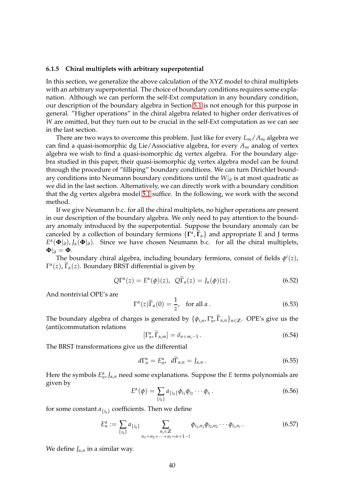#### <span id="page-39-0"></span>**6.1.5 Chiral multiplets with arbitrary superpotential**

In this section, we generalize the above calculation of the XYZ model to chiral multiplets with an arbitrary superpotential. The choice of boundary conditions requires some explanation. Although we can perform the self-Ext computation in any boundary condition, our description of the boundary algebra in Section [5.1](#page-28-0) is not enough for this purpose in general. "Higher operations" in the chiral algebra related to higher order derivatives of *W* are omitted, but they turn out to be crucial in the self-Ext computation as we can see in the last section.

There are two ways to overcome this problem. Just like for every  $L_{\infty}/A_{\infty}$  algebra we can find a quasi-isomorphic dg Lie/Associative algebra, for every  $A_{\infty}$  analog of vertex algebra we wish to find a quasi-isomorphic dg vertex algebra. For the boundary algebra studied in this paper, their quasi-isomorphic dg vertex algebra model can be found through the procedure of "filliping" boundary conditions. We can turn Dirichlet boundary conditions into Neumann boundary conditions until the *W*|*<sup>∂</sup>* is at most quadratic as we did in the last section. Alternatively, we can directly work with a boundary condition that the dg vertex algebra model [5.1](#page-28-0) suffice. In the following, we work with the second method.

If we give Neumann b.c. for all the chiral multiplets, no higher operations are present in our description of the boundary algebra. We only need to pay attention to the boundary anomaly introduced by the superpotential. Suppose the boundary anomaly can be canceled by a collection of boundary fermions  $\{\Gamma^{\alpha}, \widetilde{\Gamma}_{\alpha}\}\$  and appropriate E and J terms  $E^{\alpha}(\Phi|_{\partial})$ , *J<sub>a</sub>*( $\Phi|_{\partial}$ ). Since we have chosen Neumann b.c. for all the chiral multiplets,  $\Phi|_{\partial} = \Phi$ .

The boundary chiral algebra, including boundary fermions, consist of fields *φ i* (*z*),  $\Gamma^{\alpha}(z)$ ,  $\widetilde{\Gamma}_{\alpha}(z)$ . Boundary BRST differential is given by

$$
Q\Gamma^{\alpha}(z) = E^{\alpha}(\phi)(z), \quad Q\widetilde{\Gamma}_{\alpha}(z) = J_{\alpha}(\phi)(z).
$$
 (6.52)

And nontrivial OPE's are

$$
\Gamma^{\alpha}(z)\widetilde{\Gamma}_{\alpha}(0) = \frac{1}{z}, \quad \text{for all } \alpha \,.
$$

The boundary algebra of charges is generated by  $\{\phi_{i,n}, \Gamma_n^{\alpha}, \widetilde{\Gamma}_{\alpha,n}\}_{n \in \mathbb{Z}}$ . OPE's give us the (anti)commutation relations

$$
\left[\Gamma^{\alpha}_{n}, \widetilde{\Gamma}_{\alpha,m}\right] = \delta_{n+m,-1} \,. \tag{6.54}
$$

The BRST transformations give us the differential

$$
d\Gamma_n^{\alpha} = E_n^{\alpha}, \quad d\widetilde{\Gamma}_{\alpha,n} = J_{\alpha,n} \,. \tag{6.55}
$$

Here the symbols  $E^{\alpha}_{n}$ , *J*<sub>α,*n*</sub> need some explanations. Suppose the *E* terms polynomials are given by

$$
E^{\alpha}(\phi) = \sum_{\{i_k\}} a_{\{i_k\}} \phi_{i_1} \phi_{i_2} \cdots \phi_{i_l}.
$$
 (6.56)

for some constant  $a_{\{i_k\}}$  coefficients. Then we define

$$
E_n^{\alpha} := \sum_{\{i_k\}} a_{\{i_k\}} \sum_{\substack{n_i \in \mathbb{Z} \\ n_1 + n_2 + \dots + n_l = n+1-l}} \phi_{i_1, n_1} \phi_{i_2, n_2} \cdots \phi_{i_l, n_l}.
$$
 (6.57)

We define  $J_{\alpha,n}$  in a similar way.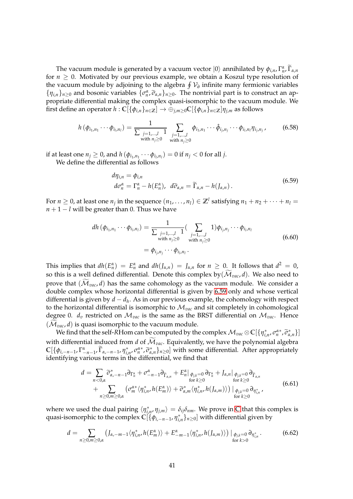The vacuum module is generated by a vacuum vector  $|0\rangle$  annihilated by  $\phi_{i,n}$ ,  $\Gamma^{\alpha}_{n}$ ,  $\Gamma_{\alpha,n}$ for  $n \geq 0$ . Motivated by our previous example, we obtain a Koszul type resolution of the vacuum module by adjoining to the algebra H V*∂* infinite many fermionic variables  $\{\eta_{i,n}\}_{n\geq 0}$  and bosonic variables  $\{\sigma_n^{\alpha}, \tilde{\sigma}_{\alpha,n}\}_{n\geq 0}$ . The nontrivial part is to construct an appropriate differential making the complex quasi-isomorphic to the vacuum module. We first define an operator  $h : \mathbb{C}[\{\phi_{i,n}\}_{n \in \mathbb{Z}}] \to \oplus_{i,m>0} \mathbb{C}[\{\phi_{i,n}\}_{n \in \mathbb{Z}}] \eta_{i,m}$  as follows

$$
h(\phi_{i_1,n_1}\cdots\phi_{i_l,n_l}) = \frac{1}{\sum_{\substack{j=1,\dots,l\\ \text{with } n_j \ge 0}} 1 \sum_{\substack{j=1,\dots,l\\ \text{with } n_j \ge 0}} \phi_{i_1,n_1}\cdots\hat{\phi}_{i_j,n_j}\cdots\phi_{i_l,n_l}\eta_{i_j,n_j},
$$
(6.58)

if at least one  $n_j \geq 0$ , and  $h(\phi_{i_1,n_1} \cdots \phi_{i_l,n_l}) = 0$  if  $n_j < 0$  for all *j*. We define the differential as follows

<span id="page-40-0"></span>

$$
d\eta_{i,n} = \phi_{i,n}
$$
  
\n
$$
d\sigma_n^{\alpha} = \Gamma_n^{\alpha} - h(E_n^{\alpha}), \quad d\widetilde{\sigma}_{\alpha,n} = \widetilde{\Gamma}_{\alpha,n} - h(J_{\alpha,n}).
$$
\n(6.59)

For  $n \geq 0$ , at least one  $n_j$  in the sequence  $(n_1,\ldots,n_l) \in \mathbb{Z}^l$  satisfying  $n_1+n_2+\cdots+n_l = l$  $n + 1 - l$  will be greater than 0. Thus we have

$$
dh (\phi_{i_1, n_1} \cdots \phi_{i_l, n_l}) = \frac{1}{\sum_{\substack{j=1,\dots,l\\ \text{with } n_j \ge 0}} 1} (\sum_{\substack{j=1,\dots,l\\ \text{with } n_j \ge 0}} 1) \phi_{i_j, n_j} \cdots \phi_{i_l, n_l}
$$
\n
$$
= \phi_{i_j, n_j} \cdots \phi_{i_l, n_l}.
$$
\n(6.60)

This implies that  $dh(E_n^{\alpha}) = E_n^{\alpha}$  and  $dh(J_{\alpha,n}) = J_{\alpha,n}$  for  $n \geq 0$ . It follows that  $d^2 = 0$ , so this is a well defined differential. Denote this complex by  $(\mathcal{M}_{vac}, d)$ . We also need to prove that  $(\widetilde{\mathcal{M}}_{vac}, d)$  has the same cohomology as the vacuum module. We consider a double complex whose horizontal differential is given by [6.59](#page-40-0) only and whose vertical differential is given by *d* − *d<sup>h</sup>* . As in our previous example, the cohomology with respect to the horizontal differential is isomorphic to  $\mathcal{M}_{vac}$  and sit completely in cohomological degree 0.  $d_v$  restricted on  $\mathcal{M}_{vac}$  is the same as the BRST differential on  $\mathcal{M}_{vac}$ . Hence  $(\mathcal{M}_{vac}, d)$  is quasi isomorphic to the vacuum module.

We find that the self-*R*Hom can be computed by the complex  $\mathcal{M}_{vac}\otimes\mathbb{C}[\{\eta_{i,n}^*,\sigma_n^{\alpha*},\widetilde{\sigma}_{\alpha,n}^*\}]$ with differential induced from *d* of  $\widetilde{\mathcal{M}}_{\text{vac}}$ . Equivalently, we have the polynomial algebra  $\mathbb{C}[\{\phi_{i,-n-1}, \Gamma^{\alpha}_{-n-1}, \widetilde{\Gamma}_{\alpha,-n-1}, \eta^*_{i,n}, \sigma^{\alpha*}_{n}, \widetilde{\sigma}^*_{\alpha,n}\}_{n\geq 0}]$  with some differential. After appropriately identifying various terms in the differential, we find that

$$
d = \sum_{n<0,\alpha} \widetilde{\sigma}_{\alpha,-n-1}^* \partial_{\Gamma_n^{\alpha}} + \sigma_{-n-1}^{\alpha} \partial_{\widetilde{\Gamma}_{\alpha,n}} + E_n^{\alpha} |_{\phi_{j,k}=0} \partial_{\Gamma_n^{\alpha}} + J_{\alpha,n} |_{\phi_{j,k}=0} \partial_{\widetilde{\Gamma}_{\alpha,n}} + \sum_{n\geq 0,m\geq 0,\alpha} \left( \sigma_m^{\alpha*} \langle \eta_{i,n}^*, h(E_m^{\alpha}) \rangle + \widetilde{\sigma}_{\alpha,m}^* \langle \eta_{i,n}^*, h(J_{\alpha,m}) \rangle \right) |_{\phi_{j,k}=0} \partial_{\eta_{i,n}^*},
$$
(6.61)

where we used the dual pairing  $\langle \eta_{i,n}^*, \eta_{j,m} \rangle = \delta_{ij} \delta_{nm}$ . We prove in [C](#page-56-0) that this complex is quasi-isomorphic to the complex **C**[{*φi*,−*n*−1, *η* ∗ *i*,*n* }*n*≥0] with differential given by

$$
d = \sum_{n \geq 0, m \geq 0, \alpha} \left( J_{\alpha, -m-1} \langle \eta^*_{i,n}, h(E_m^{\alpha}) \rangle + E_{-m-1}^{\alpha} \langle \eta^*_{i,n}, h(J_{\alpha,m}) \rangle \right) \big|_{\substack{\phi_{j,k} = 0 \\ \text{for } k > 0}} \partial_{\eta^*_{i,n}} \,. \tag{6.62}
$$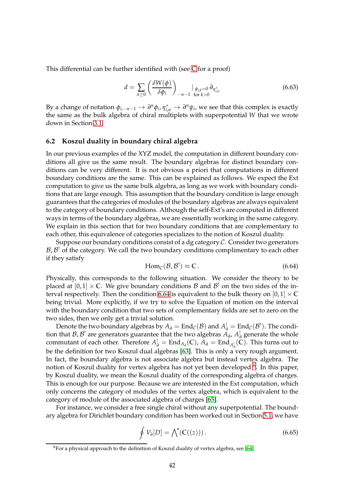This differential can be further identified with (see [C](#page-56-0) for a proof)

$$
d = \sum_{n\geq 0} \left( \frac{\delta W(\phi)}{\delta \phi_i} \right)_{-n-1} \big|_{\phi_{j,k}=0} \partial_{\eta_{i,n}^*}
$$
(6.63)

By a change of notation  $\phi_{i,-n-1} \to \partial^n \phi_i$ ,  $\eta_{i,n}^* \to \partial^n \psi_i$ , we see that this complex is exactly the same as the bulk algebra of chiral multiplets with superpotential *W* that we wrote down in Section [3.1.](#page-10-0)

### <span id="page-41-0"></span>**6.2 Koszul duality in boundary chiral algebra**

In our previous examples of the XYZ model, the computation in different boundary conditions all give us the same result. The boundary algebras for distinct boundary conditions can be very different. It is not obvious a priori that computations in different boundary conditions are the same. This can be explained as follows. We expect the Ext computation to give us the same bulk algebra, as long as we work with boundary conditions that are large enough. This assumption that the boundary condition is large enough guarantees that the categories of modules of the boundary algebras are always equivalent to the category of boundary conditions. Although the self-Ext's are computed in different ways in terms of the boundary algebras, we are essentially working in the same category. We explain in this section that for two boundary conditions that are complementary to each other, this equivalence of categories specializes to the notion of Koszul duality.

Suppose our boundary conditions consist of a dg category  $C$ . Consider two generators  $\mathcal{B}, \mathcal{B}^!$  of the category. We call the two boundary conditions complimentary to each other if they satisfy

<span id="page-41-1"></span>
$$
\text{Hom}_{\mathcal{C}}(\mathcal{B}, \mathcal{B}^!) \approx \mathbb{C} \,. \tag{6.64}
$$

Physically, this corresponds to the following situation. We consider the theory to be placed at  $[0,1] \times \mathbb{C}$ . We give boundary conditions  $\mathcal B$  and  $\mathcal B^!$  on the two sides of the in-terval respectively. Then the condition [6.64](#page-41-1) is equivalent to the bulk theory on  $[0,1] \times \mathbb{C}$ being trivial. More explicitly, if we try to solve the Equation of motion on the interval with the boundary condition that two sets of complementary fields are set to zero on the two sides, then we only get a trivial solution.

Denote the two boundary algebras by  $A_{\partial} = \text{End}_{\mathcal{C}}(\mathcal{B})$  and  $A_{\partial}^! = \text{End}_{\mathcal{C}}(\mathcal{B}^!)$ . The condition that  $\mathcal{B}, \mathcal{B}'$  are generators guarantee that the two algebras  $A_{\partial}, A_{\partial}^{\dagger}$  generate the whole commutant of each other. Therefore  $A^!_{\partial} = \text{End}_{A_{\partial}}(\mathbb{C})$ ,  $\tilde{A}_{\partial} = \text{End}_{A^!_{\partial}}(\tilde{\mathbb{C}})$ . This turns out to *∂* be the definition for two Koszul dual algebras [\[63\]](#page-62-3). This is only a very rough argument. In fact, the boundary algebra is not associate algebra but instead vertex algebra. The notion of Koszul duality for vertex algebra has not yet been developed <sup>[6](#page-41-2)</sup>. In this paper, by Koszul duality, we mean the Koszul duality of the corresponding algebra of charges. This is enough for our purpose. Because we are interested in the Ext computation, which only concerns the category of modules of the vertex algebra, which is equivalent to the category of module of the associated algebra of charges [\[65\]](#page-62-4).

For instance, we consider a free single chiral without any superpotential. The boundary algebra for Dirichlet boundary condition has been worked out in Section [5.1,](#page-28-0) we have

$$
\oint V_{\partial}[D] = \bigwedge^{\bullet} (\mathbb{C}((z))). \tag{6.65}
$$

<span id="page-41-2"></span><sup>&</sup>lt;sup>6</sup>For a physical approach to the definition of Koszul duality of vertex algebra, see [\[64\]](#page-62-5)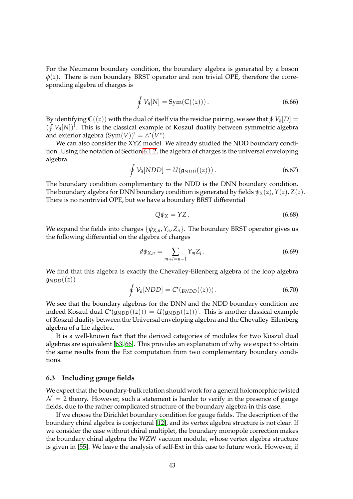For the Neumann boundary condition, the boundary algebra is generated by a boson  $\phi(z)$ . There is non boundary BRST operator and non trivial OPE, therefore the corresponding algebra of charges is

$$
\oint V_{\partial}[N] = \text{Sym}(\mathbb{C}((z))). \tag{6.66}
$$

By identifying  $\mathbb{C}((z))$  with the dual of itself via the residue pairing, we see that  $\oint V_{\partial}[D]=0$ (∮  $V$ <sup>∂</sup>[N])<sup>!</sup>. This is the classical example of Koszul duality between symmetric algebra and exterior algebra  $(Sym(V))^! = \wedge^{\bullet}(V^*).$ 

We can also consider the XYZ model. We already studied the NDD boundary condition. Using the notation of Section [6.1.2,](#page-34-0) the algebra of charges is the universal enveloping algebra

$$
\oint \mathcal{V}_{\partial}[NDD] = U(\mathfrak{g}_{NDD}((z))). \qquad (6.67)
$$

The boundary condition complimentary to the NDD is the DNN boundary condition. The boundary algebra for DNN boundary condition is generated by fields  $\psi_X(z)$ ,  $Y(z)$ ,  $Z(z)$ . There is no nontrivial OPE, but we have a boundary BRST differential

$$
Q\psi_X = YZ. \tag{6.68}
$$

We expand the fields into charges  $\{\psi_{X,n}, Y_n, Z_n\}$ . The boundary BRST operator gives us the following differential on the algebra of charges

$$
d\psi_{X,n} = \sum_{m+l=n-1} Y_m Z_l.
$$
 (6.69)

We find that this algebra is exactly the Chevalley-Eilenberg algebra of the loop algebra  $\mathfrak{g}_{NDD}((z))$ 

$$
\oint \mathcal{V}_{\partial}[NDD] = C^{\bullet}(\mathfrak{g}_{NDD}((z))). \qquad (6.70)
$$

We see that the boundary algebras for the DNN and the NDD boundary condition are indeed Koszul dual  $C^{\bullet}(\mathfrak{g}_{NDD}((z))) = U(\mathfrak{g}_{NDD}((z)))^!$ . This is another classical example of Koszul duality between the Universal enveloping algebra and the Chevalley-Eilenberg algebra of a Lie algebra.

It is a well-known fact that the derived categories of modules for two Koszul dual algebras are equivalent [\[63,](#page-62-3) [66\]](#page-62-6). This provides an explanation of why we expect to obtain the same results from the Ext computation from two complementary boundary conditions.

### <span id="page-42-0"></span>**6.3 Including gauge fields**

We expect that the boundary-bulk relation should work for a general holomorphic twisted  $\mathcal{N} = 2$  theory. However, such a statement is harder to verify in the presence of gauge fields, due to the rather complicated structure of the boundary algebra in this case.

If we choose the Dirichlet boundary condition for gauge fields. The description of the boundary chiral algebra is conjectural [\[12\]](#page-59-6), and its vertex algebra structure is not clear. If we consider the case without chiral multiplet, the boundary monopole correction makes the boundary chiral algebra the WZW vacuum module, whose vertex algebra structure is given in [\[55\]](#page-61-12). We leave the analysis of self-Ext in this case to future work. However, if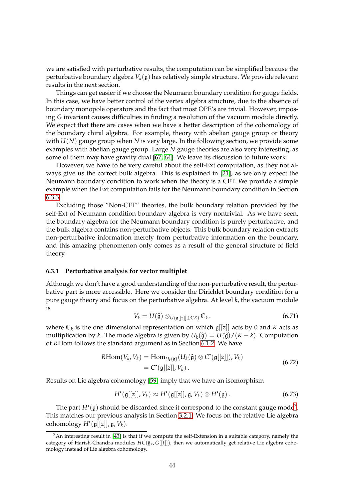we are satisfied with perturbative results, the computation can be simplified because the perturbative boundary algebra  $V_k(\mathfrak{g})$  has relatively simple structure. We provide relevant results in the next section.

Things can get easier if we choose the Neumann boundary condition for gauge fields. In this case, we have better control of the vertex algebra structure, due to the absence of boundary monopole operators and the fact that most OPE's are trivial. However, imposing *G* invariant causes difficulties in finding a resolution of the vacuum module directly. We expect that there are cases when we have a better description of the cohomology of the boundary chiral algebra. For example, theory with abelian gauge group or theory with *U*(*N*) gauge group when *N* is very large. In the following section, we provide some examples with abelian gauge group. Large *N* gauge theories are also very interesting, as some of them may have gravity dual [\[67,](#page-62-7) [64\]](#page-62-5). We leave its discussion to future work.

However, we have to be very careful about the self-Ext computation, as they not always give us the correct bulk algebra. This is explained in [\[21\]](#page-59-15), as we only expect the Neumann boundary condition to work when the theory is a CFT. We provide a simple example when the Ext computation fails for the Neumann boundary condition in Section [6.3.3.](#page-45-0)

Excluding those "Non-CFT" theories, the bulk boundary relation provided by the self-Ext of Neumann condition boundary algebra is very nontrivial. As we have seen, the boundary algebra for the Neumann boundary condition is purely perturbative, and the bulk algebra contains non-perturbative objects. This bulk boundary relation extracts non-perturbative information merely from perturbative information on the boundary, and this amazing phenomenon only comes as a result of the general structure of field theory.

### <span id="page-43-0"></span>**6.3.1 Perturbative analysis for vector multiplet**

Although we don't have a good understanding of the non-perturbative result, the perturbative part is more accessible. Here we consider the Dirichlet boundary condition for a pure gauge theory and focus on the perturbative algebra. At level *k*, the vacuum module is

$$
V_k = U(\widehat{\mathfrak{g}}) \otimes_{U(\mathfrak{g}[[z]] \oplus \mathbb{C}K)} \mathbb{C}_k.
$$
 (6.71)

where  $\mathbb{C}_k$  is the one dimensional representation on which  $\mathfrak{g}[[z]]$  acts by 0 and *K* acts as multiplication by *k*. The mode algebra is given by  $U_k(\hat{g}) = U(\hat{g})/(K - k)$ . Computation of *R*Hom follows the standard argument as in Section [6.1.2.](#page-34-0) We have

$$
RHom(V_k, V_k) = Hom_{U_k(\widehat{\mathfrak{g}})}(U_k(\widehat{\mathfrak{g}}) \otimes C^{\bullet}(\mathfrak{g}[[z]]), V_k)
$$
  
= C^{\bullet}(\mathfrak{g}[[z]], V\_k). (6.72)

Results on Lie algebra cohomology [\[59\]](#page-61-16) imply that we have an isomorphism

$$
H^{\bullet}(\mathfrak{g}[[z]], V_k) \approx H^{\bullet}(\mathfrak{g}[[z]], \mathfrak{g}, V_k) \otimes H^{\bullet}(\mathfrak{g}) . \tag{6.73}
$$

The part  $H^{\scriptscriptstyle\bullet}(\mathfrak{g})$  should be discarded since it correspond to the constant gauge mode<sup>[7](#page-43-1)</sup>. This matches our previous analysis in Section [3.2.1.](#page-12-1) We focus on the relative Lie algebra cohomology  $H^{\bullet}(\mathfrak{g}[[z]], \mathfrak{g}, V_k).$ 

<span id="page-43-1"></span> $<sup>7</sup>$ An interesting result in [\[43\]](#page-61-0) is that if we compute the self-Extension in a suitable category, namely the</sup> category of Harish-Chandra modules  $HC(\hat{\mathfrak{g}}_{\kappa}, G[[t]])$ , then we automatically get relative Lie algebra cohomology instead of Lie algebra cohomology.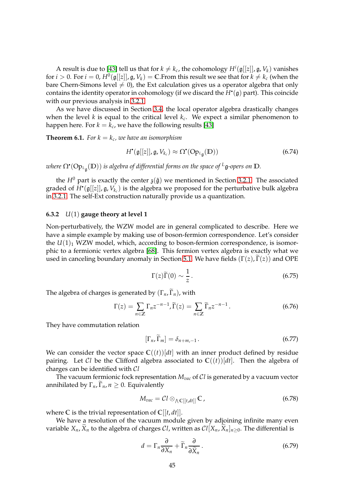A result is due to [\[43\]](#page-61-0) tell us that for  $k \neq k_c$ , the cohomology  $H^i(\mathfrak{g}[[z]], \mathfrak{g}, V_k)$  vanishes for  $i > 0$ . For  $i = 0$ ,  $H^0(\mathfrak{g}[[z]], \mathfrak{g}, V_k) = \mathbb{C}$ . From this result we see that for  $k \neq k_c$  (when the bare Chern-Simons level  $\neq$  0), the Ext calculation gives us a operator algebra that only contains the identity operator in cohomology (if we discard the *H* • (g) part). This coincide with our previous analysis in [3.2.1.](#page-12-1)

As we have discussed in Section [3.4,](#page-9-1) the local operator algebra drastically changes when the level *k* is equal to the critical level *k<sup>c</sup>* . We expect a similar phenomenon to happen here. For  $k = k_c$ , we have the following results [\[43\]](#page-61-0)

**Theorem 6.1.** For  $k = k_c$ , we have an isomorphism

$$
H^{\bullet}(\mathfrak{g}[[z]], \mathfrak{g}, V_{k_c}) \approx \Omega^{\bullet}(\text{Op}_{L_{\mathfrak{g}}}(\mathbb{D}))
$$
\n(6.74)

*where* Ω • (Op*<sup>L</sup>*<sup>g</sup> (**D**)) *is algebra of differential forms on the space of <sup>L</sup>*g*-opers on* **D***.*

the *H*<sup>0</sup> part is exactly the center  $\mathfrak{z}(\hat{\mathfrak{g}})$  we mentioned in Section [3.2.1.](#page-12-1) The associated graded of *H* • (g[[*z*]], g, *Vk<sup>c</sup>* ) is the algebra we proposed for the perturbative bulk algebra in [3.2.1.](#page-12-1) The self-Ext construction naturally provide us a quantization.

### <span id="page-44-0"></span>**6.3.2** *U*(1) **gauge theory at level 1**

Non-perturbatively, the WZW model are in general complicated to describe. Here we have a simple example by making use of boson-fermion correspondence. Let's consider the  $U(1)<sub>1</sub>$  WZW model, which, according to boson-fermion correspondence, is isomorphic to a fermionic vertex algebra [\[68\]](#page-62-8). This fermion vertex algebra is exactly what we used in canceling boundary anomaly in Section [5.1.](#page-28-0) We have fields  $(\Gamma(z), \tilde{\Gamma}(z))$  and OPE

$$
\Gamma(z)\widetilde{\Gamma}(0) \sim \frac{1}{z} \,. \tag{6.75}
$$

The algebra of charges is generated by  $(\Gamma_n, \widetilde{\Gamma}_n)$ , with

$$
\Gamma(z) = \sum_{n \in \mathbb{Z}} \Gamma_n z^{-n-1}, \widetilde{\Gamma}(z) = \sum_{n \in \mathbb{Z}} \widetilde{\Gamma}_n z^{-n-1}.
$$
 (6.76)

They have commutation relation

$$
\left[\Gamma_n, \widetilde{\Gamma}_m\right] = \delta_{n+m,-1} \,. \tag{6.77}
$$

We can consider the vector space  $C((t))[dt]$  with an inner product defined by residue pairing. Let Cl be the Clifford algebra associated to  $\mathbb{C}((t))[dt]$ . Then the algebra of charges can be identified with C*l*

The vacuum fermionic fock representation *Mvac* of C*l* is generated by a vacuum vector annihilated by  $\Gamma_n$ ,  $\Gamma_n$ ,  $n \geq 0$ . Equivalently

$$
M_{vac} = \mathcal{C}l \otimes_{\Lambda} \mathbb{C}[[t,dt]] \mathbb{C}, \qquad (6.78)
$$

where  $\mathbb C$  is the trivial representation of  $\mathbb C[[t, dt]].$ 

We have a resolution of the vacuum module given by adjoining infinite many even variable  $X_n$ ,  $\bar{X}_n$  to the algebra of charges *Cl*, written as  $Cl[X_n, \tilde{X}_n]_{n \geq 0}$ . The differential is

$$
d = \Gamma_n \frac{\partial}{\partial X_n} + \widetilde{\Gamma}_n \frac{\partial}{\partial \widetilde{X}_n}.
$$
 (6.79)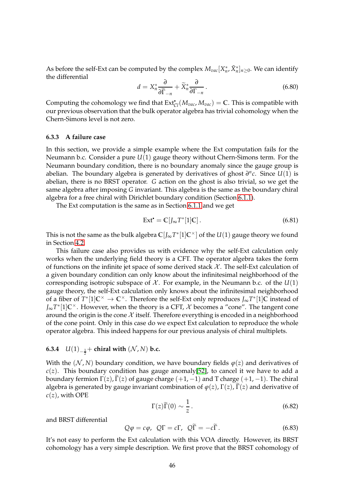As before the self-Ext can be computed by the complex  $M_{vac}[X_n^*, \tilde{X}_n^*]_{n\geq 0}$ . We can identify the differential

$$
d = X_n^* \frac{\partial}{\partial \widetilde{\Gamma}_{-n}} + \widetilde{X}_n^* \frac{\partial}{\partial \Gamma_{-n}}.
$$
 (6.80)

Computing the cohomology we find that  $Ext_{Cl}^{\bullet}(M_{vac}, M_{vac}) = \mathbb{C}$ . This is compatible with our previous observation that the bulk operator algebra has trivial cohomology when the Chern-Simons level is not zero.

### <span id="page-45-0"></span>**6.3.3 A failure case**

In this section, we provide a simple example where the Ext computation fails for the Neumann b.c. Consider a pure *U*(1) gauge theory without Chern-Simons term. For the Neumann boundary condition, there is no boundary anomaly since the gauge group is abelian. The boundary algebra is generated by derivatives of ghost  $\partial^n c$ . Since  $U(1)$  is abelian, there is no BRST operator. *G* action on the ghost is also trivial, so we get the same algebra after imposing *G* invariant. This algebra is the same as the boundary chiral algebra for a free chiral with Dirichlet boundary condition (Section [6.1.1\)](#page-32-1).

The Ext computation is the same as in Section [6.1.1](#page-32-1) and we get

$$
Ext^{\bullet} = \mathbb{C}[J_{\infty}T^*[1]\mathbb{C}]. \tag{6.81}
$$

This is not the same as the bulk algebra  $\mathbb{C}[J_{\infty}T^{*}[1]\mathbb{C}^{\times}]$  of the  $U(1)$  gauge theory we found in Section [4.2.](#page-21-0)

This failure case also provides us with evidence why the self-Ext calculation only works when the underlying field theory is a CFT. The operator algebra takes the form of functions on the infinite jet space of some derived stack  $\mathcal{X}$ . The self-Ext calculation of a given boundary condition can only know about the infinitesimal neighborhood of the corresponding isotropic subspace of  $\mathcal{X}$ . For example, in the Neumann b.c. of the  $U(1)$ gauge theory, the self-Ext calculation only knows about the infinitesimal neighborhood of a fiber of  $T^*$ [1] $\mathbb{C}^{\times} \to \mathbb{C}^{\times}$ . Therefore the self-Ext only reproduces  $J_{\infty}T^*[1]$ C instead of *J*<sub>∞</sub> $T^*[1]$ C<sup>×</sup>. However, when the theory is a CFT,  $\mathcal X$  becomes a "cone". The tangent cone around the origin is the cone  $\mathcal X$  itself. Therefore everything is encoded in a neighborhood of the cone point. Only in this case do we expect Ext calculation to reproduce the whole operator algebra. This indeed happens for our previous analysis of chiral multiplets.

# <span id="page-45-1"></span>**6.3.4**  $U(1)_{-\frac{1}{2}}$  ← **chiral with**  $(N, N)$  **b.c.**

With the  $(N, N)$  boundary condition, we have boundary fields  $\varphi(z)$  and derivatives of  $c(z)$ . This boundary condition has gauge anomaly[\[52\]](#page-61-9), to cancel it we have to add a boundary fermion  $\Gamma(z)$ ,  $\Gamma(z)$  of gauge charge (+1, -1) and T charge (+1, -1). The chiral algebra is generated by gauge invariant combination of  $\varphi(z)$ ,  $\Gamma(z)$ ,  $\Gamma(z)$  and derivative of  $c(z)$ , with OPE

$$
\Gamma(z)\widetilde{\Gamma}(0) \sim \frac{1}{z} \,. \tag{6.82}
$$

and BRST differential

$$
Q\varphi = c\varphi, \ Q\Gamma = c\Gamma, \ Q\overline{\Gamma} = -c\overline{\Gamma}.
$$
 (6.83)

It's not easy to perform the Ext calculation with this VOA directly. However, its BRST cohomology has a very simple description. We first prove that the BRST cohomology of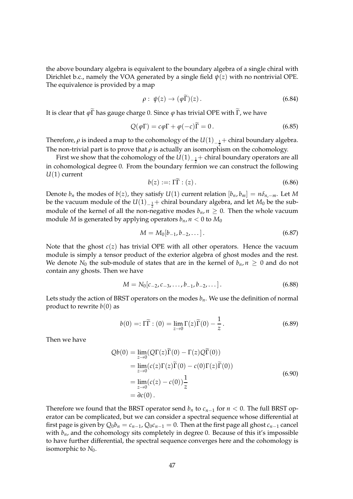the above boundary algebra is equivalent to the boundary algebra of a single chiral with Dirichlet b.c., namely the VOA generated by a single field  $\psi(z)$  with no nontrivial OPE. The equivalence is provided by a map

$$
\rho: \psi(z) \to (\varphi \tilde{\Gamma})(z). \tag{6.84}
$$

It is clear that  $\varphi \tilde{\Gamma}$  has gauge charge 0. Since  $\varphi$  has trivial OPE with  $\tilde{\Gamma}$ , we have

$$
Q(\varphi \Gamma) = c\varphi \Gamma + \varphi(-c)\Gamma = 0. \qquad (6.85)
$$

Therefore,  $\rho$  is indeed a map to the cohomology of the  $U(1)_{-\frac{1}{2}}+$  chiral boundary algebra. The non-trivial part is to prove that  $\rho$  is actually an isomorphism on the cohomology.

First we show that the cohomology of the  $U(1)_{-\frac{1}{2}}+$  chiral boundary operators are all 2 in cohomological degree 0. From the boundary fermion we can construct the following *U*(1) current

$$
b(z) :=: \Gamma \widetilde{\Gamma} : (z).
$$
\n<sup>(6.86)</sup>

Denote *b<sub>n</sub>* the modes of *b*(*z*), they satisfy *U*(1) current relation  $[b_n, b_m] = n\delta_{n,-m}$ . Let *M* be the vacuum module of the  $U(1)_{-\frac{1}{2}}+$  chiral boundary algebra, and let  $M_0$  be the submodule of the kernel of all the non-negative modes  $b_n$ ,  $n \geq 0$ . Then the whole vacuum module *M* is generated by applying operators  $b_n$ ,  $n < 0$  to  $M_0$ 

$$
M = M_0[b_{-1}, b_{-2}, \dots]. \tag{6.87}
$$

Note that the ghost *c*(*z*) has trivial OPE with all other operators. Hence the vacuum module is simply a tensor product of the exterior algebra of ghost modes and the rest. We denote  $N_0$  the sub-module of states that are in the kernel of  $b_n$ ,  $n \geq 0$  and do not contain any ghosts. Then we have

$$
M = N_0[c_{-2}, c_{-3}, \dots, b_{-1}, b_{-2}, \dots]. \tag{6.88}
$$

Lets study the action of BRST operators on the modes  $b<sub>n</sub>$ . We use the definition of normal product to rewrite  $b(0)$  as

$$
b(0) =: \Gamma \tilde{\Gamma} : (0) = \lim_{z \to 0} \Gamma(z) \tilde{\Gamma}(0) - \frac{1}{z}.
$$
 (6.89)

Then we have

$$
Qb(0) = \lim_{z \to 0} (Q\Gamma(z)\widetilde{\Gamma}(0) - \Gamma(z)Q\widetilde{\Gamma}(0))
$$
  
\n
$$
= \lim_{z \to 0} (c(z)\Gamma(z)\widetilde{\Gamma}(0) - c(0)\Gamma(z)\widetilde{\Gamma}(0))
$$
  
\n
$$
= \lim_{z \to 0} (c(z) - c(0))\frac{1}{z}
$$
  
\n
$$
= \partial c(0).
$$
 (6.90)

Therefore we found that the BRST operator send  $b_n$  to  $c_{n-1}$  for  $n < 0$ . The full BRST operator can be complicated, but we can consider a spectral sequence whose differential at first page is given by  $Q_0b_n = c_{n-1}$ ,  $Q_0c_{n-1} = 0$ . Then at the first page all ghost  $c_{n-1}$  cancel with  $b_n$ , and the cohomology sits completely in degree 0. Because of this it's impossible to have further differential, the spectral sequence converges here and the cohomology is isomorphic to *N*0.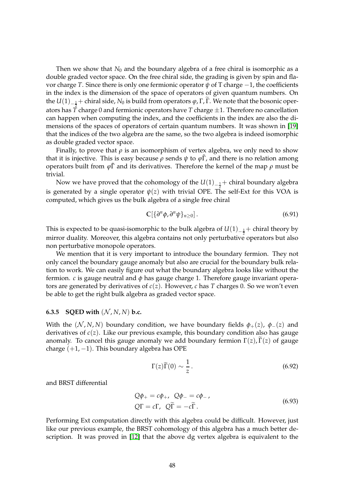Then we show that  $N_0$  and the boundary algebra of a free chiral is isomorphic as a double graded vector space. On the free chiral side, the grading is given by spin and flavor charge *T*. Since there is only one fermionic operator  $\psi$  of T charge  $-1$ , the coefficients in the index is the dimension of the space of operators of given quantum numbers. On the  $U(1)_{-\frac{1}{2}}+$  chiral side,  $N_0$  is build from operators  $\varphi$ , Γ, Γ. We note that the bosonic oper-2 ators has *T* charge 0 and fermionic operators have *T* charge ±1. Therefore no cancellation can happen when computing the index, and the coefficients in the index are also the dimensions of the spaces of operators of certain quantum numbers. It was shown in [\[19\]](#page-59-13) that the indices of the two algebra are the same, so the two algebra is indeed isomorphic as double graded vector space.

Finally, to prove that  $\rho$  is an isomorphism of vertex algebra, we only need to show that it is injective. This is easy because *ρ* sends  $\psi$  to  $\varphi \tilde{\Gamma}$ , and there is no relation among operators built from *ϕ*Γ˜ and its derivatives. Therefore the kernel of the map *ρ* must be trivial.

Now we have proved that the cohomology of the  $U(1)_{-\frac{1}{2}}+$  chiral boundary algebra is generated by a single operator  $\psi(z)$  with trivial OPE. The self-Ext for this VOA is computed, which gives us the bulk algebra of a single free chiral

$$
\mathbb{C}[\{\partial^n \phi, \partial^n \psi\}_{n \geq 0}]. \tag{6.91}
$$

This is expected to be quasi-isomorphic to the bulk algebra of  $U(1)_{-\frac{1}{7}}+$  chiral theory by mirror duality. Moreover, this algebra contains not only perturbative operators but also non perturbative monopole operators.

We mention that it is very important to introduce the boundary fermion. They not only cancel the boundary gauge anomaly but also are crucial for the boundary bulk relation to work. We can easily figure out what the boundary algebra looks like without the fermion. *c* is gauge neutral and *φ* has gauge charge 1. Therefore gauge invariant operators are generated by derivatives of *c*(*z*). However, *c* has *T* charges 0. So we won't even be able to get the right bulk algebra as graded vector space.

### <span id="page-47-0"></span>**6.3.5 SQED** with  $(N, N, N)$  b.c.

With the  $(N, N, N)$  boundary condition, we have boundary fields  $\phi_{+}(z)$ ,  $\phi_{-}(z)$  and derivatives of  $c(z)$ . Like our previous example, this boundary condition also has gauge anomaly. To cancel this gauge anomaly we add boundary fermion  $\Gamma(z)$ ,  $\Gamma(z)$  of gauge charge  $(+1, -1)$ . This boundary algebra has OPE

$$
\Gamma(z)\widetilde{\Gamma}(0) \sim \frac{1}{z} \,. \tag{6.92}
$$

and BRST differential

$$
Q\phi_{+} = c\phi_{+}, \quad Q\phi_{-} = c\phi_{-},
$$
  
\n
$$
Q\Gamma = c\Gamma, \quad Q\widetilde{\Gamma} = -c\widetilde{\Gamma}.
$$
\n(6.93)

Performing Ext computation directly with this algebra could be difficult. However, just like our previous example, the BRST cohomology of this algebra has a much better description. It was proved in [\[12\]](#page-59-6) that the above dg vertex algebra is equivalent to the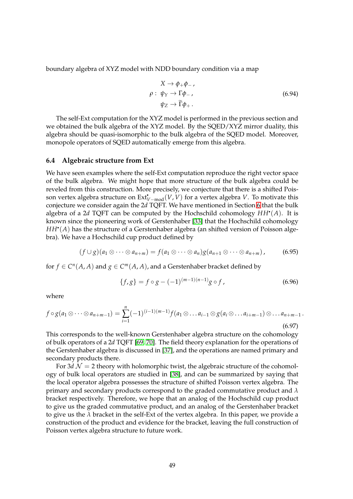boundary algebra of XYZ model with NDD boundary condition via a map

$$
X \to \phi_+ \phi_-,
$$
  
\n
$$
\rho: \psi_Y \to \Gamma \phi_-,
$$
  
\n
$$
\psi_Z \to \widetilde{\Gamma} \phi_+.
$$
\n(6.94)

The self-Ext computation for the XYZ model is performed in the previous section and we obtained the bulk algebra of the XYZ model. By the SQED/XYZ mirror duality, this algebra should be quasi-isomorphic to the bulk algebra of the SQED model. Moreover, monopole operators of SQED automatically emerge from this algebra.

### <span id="page-48-0"></span>**6.4 Algebraic structure from Ext**

We have seen examples where the self-Ext computation reproduce the right vector space of the bulk algebra. We might hope that more structure of the bulk algebra could be reveled from this construction. More precisely, we conjecture that there is a shifted Poisson vertex algebra structure on  $Ext_{V-mod}^{\bullet}(V,V)$  for a vertex algebra *V*. To motivate this conjecture we consider again the 2*d* TQFT. We have mentioned in Section [6](#page-31-0) that the bulk algebra of a 2*d* TQFT can be computed by the Hochschild cohomology *HH*• (*A*). It is known since the pioneering work of Gerstenhaber [\[33\]](#page-60-8) that the Hochschild cohomology *HH*• (*A*) has the structure of a Gerstenhaber algebra (an shifted version of Poisson algebra). We have a Hochschild cup product defined by

<span id="page-48-1"></span>
$$
(f \cup g)(a_1 \otimes \cdots \otimes a_{n+m}) = f(a_1 \otimes \cdots \otimes a_n)g(a_{n+1} \otimes \cdots \otimes a_{n+m}), \qquad (6.95)
$$

for  $f \in C^n(A, A)$  and  $g \in C^m(A, A)$ , and a Gerstenhaber bracket defined by

<span id="page-48-2"></span>
$$
\{f,g\} = f \circ g - (-1)^{(m-1)(n-1)} g \circ f, \tag{6.96}
$$

where

$$
f \circ g(a_1 \otimes \cdots \otimes a_{n+m-1}) = \sum_{i=1}^n (-1)^{(i-1)(m-1)} f(a_1 \otimes \ldots a_{i-1} \otimes g(a_i \otimes \ldots a_{i+m-1}) \otimes \ldots a_{n+m-1}.
$$
\n(6.97)

This corresponds to the well-known Gerstenhaber algebra structure on the cohomology of bulk operators of a 2*d* TQFT [\[69,](#page-62-9) [70\]](#page-62-10). The field theory explanation for the operations of the Gerstenhaber algebra is discussed in [\[37\]](#page-60-12), and the operations are named primary and secondary products there.

For  $3d$   $\mathcal{N}=2$  theory with holomorphic twist, the algebraic structure of the cohomology of bulk local operators are studied in [\[38\]](#page-60-13), and can be summarized by saying that the local operator algebra possesses the structure of shifted Poisson vertex algebra. The primary and secondary products correspond to the graded commutative product and *λ* bracket respectively. Therefore, we hope that an analog of the Hochschild cup product to give us the graded commutative product, and an analog of the Gerstenhaber bracket to give us the *λ* bracket in the self-Ext of the vertex algebra. In this paper, we provide a construction of the product and evidence for the bracket, leaving the full construction of Poisson vertex algebra structure to future work.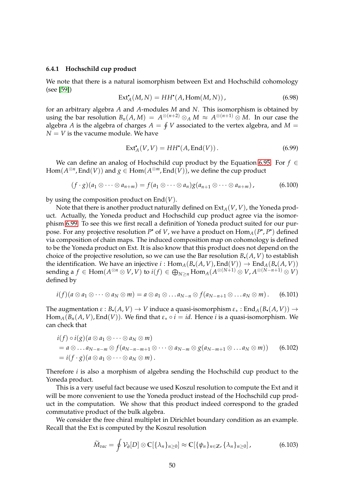#### <span id="page-49-0"></span>**6.4.1 Hochschild cup product**

We note that there is a natural isomorphism between Ext and Hochschild cohomology (see [\[59\]](#page-61-16))

$$
Ext_A^{\bullet}(M, N) = HH^{\bullet}(A, Hom(M, N)), \qquad (6.98)
$$

for an arbitrary algebra *A* and *A*-modules *M* and *N*. This isomorphism is obtained by using the bar resolution  $B_n(A,M) = A^{\otimes (n+2)} \otimes_A M \approx A^{\otimes (n+1)} \otimes M$ . In our case the algebra *A* is the algebra of charges  $A = \oint V$  associated to the vertex algebra, and  $M =$  $N = V$  is the vacume module. We have

<span id="page-49-1"></span>
$$
Ext_A^{\bullet}(V, V) = HH^{\bullet}(A, End(V)). \tag{6.99}
$$

We can define an analog of Hochschild cup product by the Equation [6.95.](#page-48-1) For *f* ∈  $\mathsf{Hom}(A^{\otimes n}, \mathsf{End}(V))$  and  $g \in \mathsf{Hom}(A^{\otimes m}, \mathsf{End}(V))$ , we define the cup product

$$
(f \cdot g)(a_1 \otimes \cdots \otimes a_{n+m}) = f(a_1 \otimes \cdots \otimes a_n)g(a_{n+1} \otimes \cdots \otimes a_{n+m}), \qquad (6.100)
$$

by using the composition product on End(*V*).

Note that there is another product naturally defined on  $Ext_A(V, V)$ , the Yoneda product. Actually, the Yoneda product and Hochschild cup product agree via the isomorphism [6.99.](#page-49-1) To see this we first recall a definition of Yoneda product suited for our purpose. For any projective resolution P<sup>•</sup> of *V*, we have a product on  $\text{Hom}_{A}(P^{\bullet}, P^{\bullet})$  defined via composition of chain maps. The induced composition map on cohomology is defined to be the Yoneda product on Ext. It is also know that this product does not depend on the choice of the projective resolution, so we can use the Bar resolution  $B_{\bullet}(A, V)$  to establish the identification. We have an injective  $i : Hom_A(B_{\bullet}(A, V), End(V)) \to End_A(B_{\bullet}(A, V))$  $\mathsf{sending} \text{ a } f \in \mathsf{Hom}(A^{\otimes n} \otimes V, V) \text{ to } i(f) \in \bigoplus_{N \geq n} \mathsf{Hom}_A(A^{\otimes (N+1)} \otimes V, A^{\otimes (N-n+1)} \otimes V)$ defined by

$$
i(f)(a\otimes a_1\otimes \cdots \otimes a_N\otimes m)=a\otimes a_1\otimes \ldots a_{N-n}\otimes f(a_{N-n+1}\otimes \ldots a_N\otimes m). \hspace{0.5cm} (6.101)
$$

The augmentation  $\varepsilon$  :  $B_{\bullet}(A, V) \to V$  induce a quasi-isomorphism  $\varepsilon_*$  : End<sub>A</sub>( $B_{\bullet}(A, V)$ )  $\to$ Hom<sub>*A*</sub>( $B_n(A, V)$ , End( $V$ )). We find that  $\varepsilon_* \circ i = id$ . Hence *i* is a quasi-isomorphism. We can check that

$$
\begin{aligned}\ni(f) \circ i(g)(a \otimes a_1 \otimes \cdots \otimes a_N \otimes m) \\
&= a \otimes \ldots a_{N-n-m} \otimes f(a_{N-n-m+1} \otimes \cdots \otimes a_{N-m} \otimes g(a_{N-m+1} \otimes \ldots a_N \otimes m)) \\
&= i(f \cdot g)(a \otimes a_1 \otimes \cdots \otimes a_N \otimes m).\n\end{aligned} \tag{6.102}
$$

Therefore *i* is also a morphism of algebra sending the Hochschild cup product to the Yoneda product.

This is a very useful fact because we used Koszul resolution to compute the Ext and it will be more convenient to use the Yoneda product instead of the Hochschild cup product in the computation. We show that this product indeed correspond to the graded commutative product of the bulk algebra.

We consider the free chiral multiplet in Dirichlet boundary condition as an example. Recall that the Ext is computed by the Koszul resolution

$$
\widetilde{M}_{vac} = \oint \mathcal{V}_{\partial}[D] \otimes \mathbb{C}[\{\lambda_n\}_{n \geq 0}] \approx \mathbb{C}[\{\psi_n\}_{n \in \mathbb{Z}}, \{\lambda_n\}_{n \geq 0}], \tag{6.103}
$$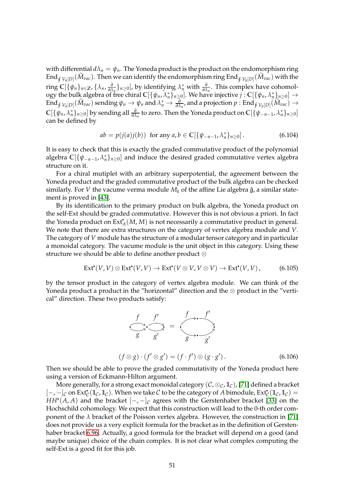with differential  $d\lambda_n = \psi_n$ . The Yoneda product is the product on the endomorphism ring End $_{\oint \mathcal{V}_\partial[D]}(M_{vac})$ . Then we can identify the endomorphism ring End $_{\oint \mathcal{V}_\partial[D]}(M_{vac})$  with the ring **C**[{*ψn*}*n*∈**Z**, {*λn*, *∂*  $\frac{\partial}{\partial \lambda_{n}}$ }<sub>*n*≥0</sub>], by identifying  $\lambda_{n}^{*}$  with  $\frac{\partial}{\partial \lambda_{n}}$ . This complex have cohomology the bulk algebra of free chiral  $\mathbb{C}[\{\psi_n,\lambda_n^*\}_{n\geq 0}]$ . We have injective  $j:\mathbb{C}[\{\psi_n,\lambda_n^*\}_{n\geq 0}]\to$  $\text{End}_{\oint \mathcal{V}_\partial[D]}(\widetilde{M}_{vac})$  sending  $\psi_n \to \psi_n$  and  $\lambda_n^* \to \frac{\partial}{\partial \lambda_n}$ , and a projection  $p: \text{End}_{\oint \mathcal{V}_\partial[D]}(\widetilde{M}_{vac}) \to$  $\mathbb{C}[\{\psi_n,\lambda_n^*\}_{n\geq 0}]$  by sending all  $\frac{\partial}{\partial \lambda_n}$  to zero. Then the Yoneda product on  $\mathbb{C}[\{\psi_{-n-1},\lambda_n^*\}_{n\geq 0}]$ can be defined by

$$
ab = p(j(a)j(b)) \text{ for any } a, b \in \mathbb{C}[\{\psi_{-n-1}, \lambda_n^*\}_{n \ge 0}].
$$
 (6.104)

It is easy to check that this is exactly the graded commutative product of the polynomial algebra  $\mathbb{C}[\{\psi_{-n-1}, \lambda_n^*\}_{n\geq 0}]$  and induce the desired graded commutative vertex algebra structure on it.

For a chiral mutiplet with an arbitrary superpotential, the agreement between the Yoneda product and the graded commutative product of the bulk algebra can be checked similarly. For *V* the vacume verma module  $M_k$  of the affine Lie algebra  $\hat{g}$ , a similar statement is proved in [\[43\]](#page-61-0).

By its identification to the primary product on bulk algebra, the Yoneda product on the self-Ext should be graded commutative. However this is not obvious a priori. In fact the Yoneda product on Ext• *<sup>A</sup>*(*M*, *M*) is not necessarily a commutative product in general. We note that there are extra structures on the category of vertex algebra module and *V*. The category of *V* module has the structure of a modular tensor category and in particular a monoidal category. The vacume module is the unit object in this category. Using these structure we should be able to define another product ⊗

$$
\text{Ext}^{\bullet}(V, V) \otimes \text{Ext}^{\bullet}(V, V) \to \text{Ext}^{\bullet}(V \otimes V, V \otimes V) \to \text{Ext}^{\bullet}(V, V), \tag{6.105}
$$

by the tensor product in the category of vertex algebra module. We can think of the Yoneda product a product in the "horizontal" direction and the  $\otimes$  product in the "vertical" direction. These two products satisfy:



Then we should be able to prove the graded commutativity of the Yoneda product here using a version of Eckmann-Hilton argument.

More generally, for a strong exact monoidal category  $(C, \otimes_C, \mathbb{1}_C)$ , [\[71\]](#page-62-11) defined a bracket  $[-,-]_C$  on Ext<sup>\*</sup><sub>C</sub>(1</u><sub>C</sub>, 1<sub>c</sub>). When we take C to be the category of *A* bimodule, Ext<sup>\*</sup><sub>C</sub>(1<sub>C</sub>, 1<sub>C</sub>) = *HH*• $(A, A)$  and the bracket  $[-, -]_\mathcal{C}$  agrees with the Gerstenhaber bracket [\[33\]](#page-60-8) on the Hochschild cohomology. We expect that this construction will lead to the 0-th order component of the *λ* bracket of the Poisson vertex algebra. However, the construction in [\[71\]](#page-62-11) does not provide us a very explicit formula for the bracket as in the definition of Gerstenhaber bracket [6.96.](#page-48-2) Actually, a good formula for the bracket will depend on a good (and maybe unique) choice of the chain complex. It is not clear what complex computing the self-Ext is a good fit for this job.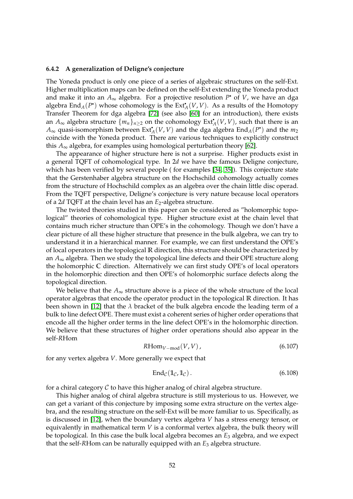#### <span id="page-51-0"></span>**6.4.2 A generalization of Deligne's conjecture**

The Yoneda product is only one piece of a series of algebraic structures on the self-Ext. Higher multiplication maps can be defined on the self-Ext extending the Yoneda product and make it into an *A*∞ algebra. For a projective resolution *P* • of *V*, we have an dga algebra  $\text{End}_{A}(P^{\bullet})$  whose cohomology is the  $\text{Ext}_{A}^{\bullet}(V,V)$ . As a results of the Homotopy Transfer Theorem for dga algebra [\[72\]](#page-62-12) (see also [\[60\]](#page-62-0) for an introduction), there exists an  $A_{\infty}$  algebra structure  $\{m_n\}_{n\geq 2}$  on the cohomology  $\mathrm{Ext}_A^\bullet(V,V)$ , such that there is an  $A_\infty$  quasi-isomorphism between  $\mathrm{Ext}_A^\bullet(V,V)$  and the dga algebra  $\mathrm{End}_A(P^\bullet)$  and the  $m_2$ coincide with the Yoneda product. There are various techniques to explicitly construct this  $A_{\infty}$  algebra, for examples using homological perturbation theory [\[62\]](#page-62-2).

The appearance of higher structure here is not a surprise. Higher products exist in a general TQFT of cohomological type. In 2*d* we have the famous Deligne conjecture, which has been verified by several people ( for examples [\[34,](#page-60-9) [35\]](#page-60-10)). This conjecture state that the Gerstenhaber algebra structure on the Hochschild cohomology actually comes from the structure of Hochschild complex as an algebra over the chain little disc operad. From the TQFT perspective, Deligne's conjecture is very nature because local operators of a 2*d* TQFT at the chain level has an *E*2-algebra structure.

The twisted theories studied in this paper can be considered as "holomorphic topological" theories of cohomological type. Higher structure exist at the chain level that contains much richer structure than OPE's in the cohomology. Though we don't have a clear picture of all these higher structure that presence in the bulk algebra, we can try to understand it in a hierarchical manner. For example, we can first understand the OPE's of local operators in the topological **R** direction, this structure should be characterized by an *A*∞ algebra. Then we study the topological line defects and their OPE structure along the holomorphic **C** direction. Alternatively we can first study OPE's of local operators in the holomorphic direction and then OPE's of holomorphic surface defects along the topological direction.

We believe that the  $A_{\infty}$  structure above is a piece of the whole structure of the local operator algebras that encode the operator product in the topological **R** direction. It has been shown in [\[12\]](#page-59-6) that the *λ* bracket of the bulk algebra encode the leading term of a bulk to line defect OPE. There must exist a coherent series of higher order operations that encode all the higher order terms in the line defect OPE's in the holomorphic direction. We believe that these structures of higher order operations should also appear in the self-*R*Hom

$$
R\text{Hom}_{V-\text{mod}}(V,V)\,,\tag{6.107}
$$

for any vertex algebra *V*. More generally we expect that

$$
End_{\mathcal{C}}(\mathbb{1}_{\mathcal{C}},\mathbb{1}_{\mathcal{C}}). \tag{6.108}
$$

for a chiral category  $C$  to have this higher analog of chiral algebra structure.

This higher analog of chiral algebra structure is still mysterious to us. However, we can get a variant of this conjecture by imposing some extra structure on the vertex algebra, and the resulting structure on the self-Ext will be more familiar to us. Specifically, as is discussed in [\[12\]](#page-59-6), when the boundary vertex algebra *V* has a stress energy tensor, or equivalently in mathematical term *V* is a conformal vertex algebra, the bulk theory will be topological. In this case the bulk local algebra becomes an *E*<sup>3</sup> algebra, and we expect that the self-*R*Hom can be naturally equipped with an *E*<sup>3</sup> algebra structure.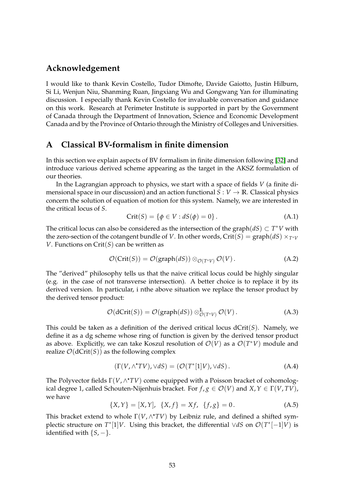### **Acknowledgement**

I would like to thank Kevin Costello, Tudor Dimofte, Davide Gaiotto, Justin Hilburn, Si Li, Wenjun Niu, Shanming Ruan, Jingxiang Wu and Gongwang Yan for illuminating discussion. I especially thank Kevin Costello for invaluable conversation and guidance on this work. Research at Perimeter Institute is supported in part by the Government of Canada through the Department of Innovation, Science and Economic Development Canada and by the Province of Ontario through the Ministry of Colleges and Universities.

## <span id="page-52-0"></span>**A Classical BV-formalism in finite dimension**

In this section we explain aspects of BV formalism in finite dimension following [\[32\]](#page-60-7) and introduce various derived scheme appearing as the target in the AKSZ formulation of our theories.

In the Lagrangian approach to physics, we start with a space of fields *V* (a finite dimensional space in our discussion) and an action functional  $S: V \to \mathbb{R}$ . Classical physics concern the solution of equation of motion for this system. Namely, we are interested in the critical locus of *S*.

$$
Crit(S) = \{ \phi \in V : dS(\phi) = 0 \}.
$$
\n(A.1)

The critical locus can also be considered as the intersection of the graph $(dS) \subset T^*V$  with the zero-section of the cotangent bundle of *V*. In other words, Crit(*S*) = graph(*dS*)  $\times_{T^*V}$ *V*. Functions on Crit(*S*) can be written as

$$
\mathcal{O}(\text{Crit}(S)) = \mathcal{O}(\text{graph}(dS)) \otimes_{\mathcal{O}(T^*V)} \mathcal{O}(V).
$$
 (A.2)

The "derived" philosophy tells us that the naive critical locus could be highly singular (e.g. in the case of not transverse intersection). A better choice is to replace it by its derived version. In particular, i nthe above situation we replace the tensor product by the derived tensor product:

$$
\mathcal{O}(\text{dCrit}(S)) = \mathcal{O}(\text{graph}(dS)) \otimes_{\mathcal{O}(T^*V)}^{\mathbb{L}} \mathcal{O}(V).
$$
 (A.3)

This could be taken as a definition of the derived critical locus  $dCrit(S)$ . Namely, we define it as a dg scheme whose ring of function is given by the derived tensor product as above. Explicitly, we can take Koszul resolution of  $\mathcal{O}(V)$  as a  $\mathcal{O}(T^*V)$  module and realize  $\mathcal{O}(dCrit(S))$  as the following complex

$$
(\Gamma(V, \wedge^{\bullet} TV), \vee dS) = (\mathcal{O}(T^*[1]V), \vee dS). \tag{A.4}
$$

The Polyvector fields Γ(*V*, ∧ •*TV*) come equipped with a Poisson bracket of cohomological degree 1, called Schouten-Nijenhuis bracket. For  $f, g \in \mathcal{O}(V)$  and  $X, Y \in \Gamma(V, TV)$ , we have

$$
\{X,Y\} = [X,Y], \ \{X,f\} = Xf, \ \{f,g\} = 0. \tag{A.5}
$$

This bracket extend to whole Γ(*V*, ∧ •*TV*) by Leibniz rule, and defined a shifted symplectic structure on  $T^*[1]V$ . Using this bracket, the differential  $\forall dS$  on  $\mathcal{O}(T^*[-1]V)$  is identified with  $\{S, -\}.$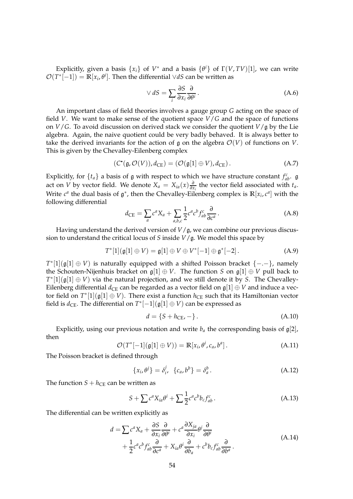Explicitly, given a basis  $\{x_i\}$  of  $V^*$  and a basis  $\{\theta^i\}$  of  $\Gamma(V,TV)[1]$ , we can write  $\mathcal{O}(T^*[-1]) = \mathbb{R}[x_i, \theta^i]$ . Then the differential ∨*dS* can be written as

$$
\vee dS = \sum_{i} \frac{\partial S}{\partial x_i} \frac{\partial}{\partial \theta^i}.
$$
 (A.6)

An important class of field theories involves a gauge group *G* acting on the space of field *V*. We want to make sense of the quotient space *V*/*G* and the space of functions on  $V/G$ . To avoid discussion on derived stack we consider the quotient  $V/g$  by the Lie algebra. Again, the naive quotient could be very badly behaved. It is always better to take the derived invariants for the action of g on the algebra  $\mathcal{O}(V)$  of functions on *V*. This is given by the Chevalley-Eilenberg complex

<span id="page-53-0"></span>
$$
(C^{\bullet}(\mathfrak{g}, \mathcal{O}(V)), d_{\mathrm{CE}}) = (\mathcal{O}(\mathfrak{g}[1] \oplus V), d_{\mathrm{CE}}).
$$
 (A.7)

Explicitly, for  $\{t_a\}$  a basis of g with respect to which we have structure constant  $f_{ab}^c$ . g act on *V* by vector field. We denote  $X_a = X_{ia}(x) \frac{\partial}{\partial x}$  $\frac{\partial}{\partial x_i}$  the vector field associated with *t<sub>a</sub>*. Write  $c^a$  the dual basis of  $\mathfrak{g}^*$ , then the Chevalley-Eilenberg complex is  $\mathbb{R}[x_i, c^a]$  with the following differential

$$
d_{\text{CE}} = \sum_{a} c^{a} X_{a} + \sum_{a,b,c} \frac{1}{2} c^{a} c^{b} f_{ab}^{c} \frac{\partial}{\partial c^{a}}.
$$
 (A.8)

Having understand the derived version of  $V/g$ , we can combine our previous discussion to understand the critical locus of *S* inside *V*/g. We model this space by

$$
T^*[1](\mathfrak{g}[1]\oplus V)=\mathfrak{g}[1]\oplus V\oplus V^*[-1]\oplus \mathfrak{g}^*[-2]. \qquad (A.9)
$$

*T*<sup>\*</sup>[1]( $\mathfrak{g}[1] \oplus V$ ) is naturally equipped with a shifted Poisson bracket {-.-}, namely the Schouten-Nijenhuis bracket on  $\mathfrak{g}[1] \oplus V$ . The function *S* on  $\mathfrak{g}[1] \oplus V$  pull back to  $T^*[1](\mathfrak{g}[1] \oplus V)$  via the natural projection, and we still denote it by *S*. The Chevalley-Eilenberg differential  $d_{CE}$  can be regarded as a vector field on  $\mathfrak{g}[1] \oplus V$  and induce a vector field on  $T^*[1](\mathfrak{g}[1]\oplus V)$ . There exist a function  $h_\text{CE}$  such that its Hamiltonian vector field is  $d_{\text{CE}}$ . The differential on  $T^*[-1](\mathfrak{g}[1] \oplus V)$  can be expressed as

$$
d = \{S + h_{\text{CE}}, -\}.
$$
 (A.10)

Explicitly, using our previous notation and write  $b_a$  the corresponding basis of  $g[2]$ , then

$$
\mathcal{O}(T^*[-1](\mathfrak{g}[1]\oplus V)) = \mathbb{R}[x_i, \theta^i, c_a, b^a].
$$
 (A.11)

The Poisson bracket is defined through

$$
\{x_i, \theta^j\} = \delta^j_i, \quad \{c_a, b^b\} = \delta^b_a. \tag{A.12}
$$

The function  $S + h_{\text{CE}}$  can be written as

$$
S + \sum c^a X_{ia} \theta^i + \sum \frac{1}{2} c^a c^b b_c f_{ab}^c \,. \tag{A.13}
$$

<span id="page-53-1"></span>The differential can be written explicitly as

$$
d = \sum c^a X_a + \frac{\partial S}{\partial x_i} \frac{\partial}{\partial \theta^i} + c^a \frac{\partial X_{ja}}{\partial x_i} \theta^j \frac{\partial}{\partial \theta^i} + \frac{1}{2} c^a c^b f_{ab}^c \frac{\partial}{\partial c^a} + X_{ia} \theta^i \frac{\partial}{\partial b_a} + c^b b_c f_{ab}^c \frac{\partial}{\partial b^a}.
$$
 (A.14)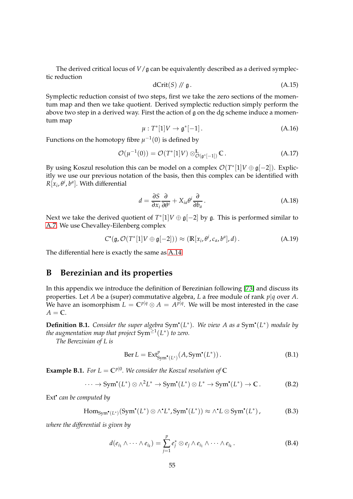The derived critical locus of  $V/g$  can be equivalently described as a derived symplectic reduction

$$
dCrit(S) \text{ // } \mathfrak{g}. \tag{A.15}
$$

Symplectic reduction consist of two steps, first we take the zero sections of the momentum map and then we take quotient. Derived symplectic reduction simply perform the above two step in a derived way. First the action of g on the dg scheme induce a momentum map

$$
\mu: T^*[1]V \to \mathfrak{g}^*[-1]. \tag{A.16}
$$

Functions on the homotopy fibre  $\mu^{-1}(0)$  is defined by

$$
\mathcal{O}(\mu^{-1}(0)) = \mathcal{O}(T^*[1]V) \otimes_{\mathcal{O}(\mathfrak{g}^*[-1])}^{\mathbb{L}} \mathbb{C}. \tag{A.17}
$$

By using Koszul resolution this can be model on a complex  $\mathcal{O}(T^*[1]V \oplus \mathfrak{g}[-2])$ . Explicitly we use our previous notation of the basis, then this complex can be identified with  $R[x_i,\theta^i,b^a].$  With differential

$$
d = \frac{\partial S}{\partial x_i} \frac{\partial}{\partial \theta^i} + X_{ia} \theta^i \frac{\partial}{\partial b_a}.
$$
 (A.18)

Next we take the derived quotient of  $T^*[1]V \oplus \mathfrak{g}[-2]$  by  $\mathfrak{g}$ . This is performed similar to [A.7.](#page-53-0) We use Chevalley-Eilenberg complex

$$
C^{\bullet}(\mathfrak{g}, \mathcal{O}(T^*[1]V \oplus \mathfrak{g}[-2])) \approx (\mathbb{R}[x_i, \theta^i, c_a, b^a], d).
$$
 (A.19)

The differential here is exactly the same as [A.14.](#page-53-1)

# <span id="page-54-0"></span>**B Berezinian and its properties**

In this appendix we introduce the definition of Berezinian following [\[73\]](#page-62-13) and discuss its properties. Let *A* be a (super) commutative algebra, *L* a free module of rank *p*|*q* over *A*. We have an isomorphism  $L = \mathbb{C}^{p|q} \otimes A = A^{\bar{p}|q}$ . We will be most interested in the case  $A = \mathbb{C}$ .

**Definition B.1.** Consider the super algebra Sym<sup>•</sup>(L<sup>\*</sup>). We view A as a Sym<sup>•</sup>(L<sup>\*</sup>) module by *the augmentation map that project* Sym≥<sup>1</sup> (*L* ∗ ) *to zero.*

*The Berezinian of L is*

$$
\text{Ber } L = \text{Ext}^p_{\text{Sym}^{\bullet}(L^*)}(A, \text{Sym}^{\bullet}(L^*))\,. \tag{B.1}
$$

**Example B.1.** *For L* =  $\mathbb{C}^{p|0}$ *. We consider the Koszul resolution of*  $\mathbb{C}$ 

$$
\cdots \to \text{Sym}^{\bullet}(L^*) \otimes \wedge^2 L^* \to \text{Sym}^{\bullet}(L^*) \otimes L^* \to \text{Sym}^{\bullet}(L^*) \to \mathbb{C}. \tag{B.2}
$$

Ext• *can be computed by*

$$
\mathrm{Hom}_{\mathrm{Sym}^{\bullet}(L^*)}(\mathrm{Sym}^{\bullet}(L^*)\otimes \wedge^{\bullet}L^*, \mathrm{Sym}^{\bullet}(L^*))\approx \wedge^{\bullet}L\otimes \mathrm{Sym}^{\bullet}(L^*),\tag{B.3}
$$

*where the differential is given by*

$$
d(e_{i_1} \wedge \cdots \wedge e_{i_k}) = \sum_{j=1}^p e_j^* \otimes e_j \wedge e_{i_1} \wedge \cdots \wedge e_{i_k}.
$$
 (B.4)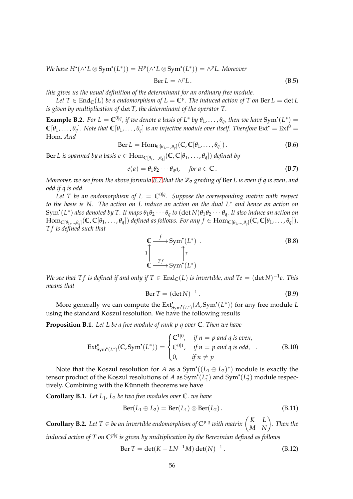$We have H^{\bullet}(\wedge^{\bullet} L \otimes \text{Sym}^{\bullet}(L^*)) = H^p(\wedge^{\bullet} L \otimes \text{Sym}^{\bullet}(L^*)) = \wedge^p L$ . Moreover

$$
Ber L = \wedge^p L. \tag{B.5}
$$

*this gives us the usual definition of the determinant for an ordinary free module.*

*Let*  $T \in \text{End}_{\mathbb{C}}(L)$  *be a endomorphism of*  $L = \mathbb{C}^p$ . The induced action of T on Ber  $L = \det L$ *is given by multiplication of* det *T, the determinant of the operator T.*

**Example B.2.** For  $L = \mathbb{C}^{0|q}$ , if we denote a basis of  $L^*$  by  $\theta_1, \ldots, \theta_q$ , then we have  $Sym^*(L^*) =$  $\mathbb{C}[\theta_1,\ldots,\theta_q]$ . Note that  $\mathbb{C}[\theta_1,\ldots,\theta_q]$  is an injective module over itself. Therefore  $\text{Ext}^{\bullet} = \text{Ext}^0 =$ Hom*. And*

$$
\text{Ber } L = \text{Hom}_{\mathbb{C}[\theta_1, \dots, \theta_q]}(\mathbb{C}, \mathbb{C}[\theta_1, \dots, \theta_q]).
$$
 (B.6)

 $\text{Ber } L \text{ is spanned by } a \text{ basis } e \in \text{Hom}_{\mathbb{C}[\theta_1,...,\theta_q]}(\mathbb{C},\mathbb{C}[\theta_1,\dots,\theta_q]) \text{ defined by }$ 

<span id="page-55-0"></span>
$$
e(a) = \theta_1 \theta_2 \cdots \theta_q a, \quad \text{for } a \in \mathbb{C} \,.
$$
 (B.7)

*Moreover, we see from the above formula [B.7](#page-55-0) that the* **Z**<sup>2</sup> *grading of* Ber *L is even if q is even, and odd if q is odd.*

Let T be an endomorphism of  $L = \mathbb{C}^{0|q}$ . Suppose the corresponding matrix with respect *to the basis is N. The action on L induce an action on the dual L*<sup>∗</sup> *and hence an action on*  $Sym^*(L^*)$  also denoted by T. It maps  $\theta_1\theta_2\cdots\theta_q$  to  $(\det N)\theta_1\theta_2\cdots\theta_q$ . It also induce an action on  $\text{Hom}_{\mathbb{C}[\theta_1,\ldots,\theta_q]}(\mathbb{C},\mathbb{C}[\theta_1,\ldots,\theta_q])$  defined as follows. For any  $f\in \text{Hom}_{\mathbb{C}[\theta_1,\ldots,\theta_q]}(\mathbb{C},\mathbb{C}[\theta_1,\ldots,\theta_q]),$ *T f is defined such that*

$$
\begin{aligned}\n\mathbb{C} & \xrightarrow{f} \text{Sym}^{\bullet}(L^*) \\
\downarrow & \qquad \qquad \uparrow T \\
\mathbb{C} & \xrightarrow{Tf} \text{Sym}^{\bullet}(L^*)\n\end{aligned} \tag{B.8}
$$

*We see that Tf is defined if and only if*  $T \in \text{End}_{\mathbb{C}}(L)$  *is invertible, and Te* =  $(\det N)^{-1}e$ . This *means that*

$$
Ber T = (\det N)^{-1}.
$$
\n(B.9)

More generally we can compute the  $Ext^{\bullet}_{Sym^{\bullet}(L^*)}(A, Sym^{\bullet}(L^*))$  for any free module *L* using the standard Koszul resolution. We have the following results

**Proposition B.1.** *Let L be a free module of rank p*|*q over* **C***. Then we have*

$$
\operatorname{Ext}^n_{\operatorname{Sym}^\bullet(L^*)}(\mathbb{C}, \operatorname{Sym}^\bullet(L^*)) = \begin{cases} \mathbb{C}^{1|0}, & \text{if } n = p \text{ and } q \text{ is even,} \\ \mathbb{C}^{0|1}, & \text{if } n = p \text{ and } q \text{ is odd,} \\ 0, & \text{if } n \neq p \end{cases} \tag{B.10}
$$

Note that the Koszul resolution for *A* as a  $Sym^{\bullet}((L_1 \oplus L_2)^*)$  module is exactly the tensor product of the Koszul resolutions of *A* as  $Sym^{\bullet}(L_1^*)$  and  $Sym^{\bullet}(L_2^*)$  module respectively. Combining with the Künneth theorems we have

**Corollary B.1.** *Let L*1*, L*<sup>2</sup> *be two free modules over* **C***. we have*

$$
Ber(L_1 \oplus L_2) = Ber(L_1) \otimes Ber(L_2).
$$
 (B.11)

**Corollary B.2.** Let T ∈ be an invertible endomorphism of  $\mathbb{C}^{p|q}$  with matrix  $\begin{pmatrix} K & L \\ M & N \end{pmatrix}$ . Then the *induced action of T on* **C** *p*|*q is given by multiplication by the Berezinian defined as follows*

$$
Ber T = det(K - LN^{-1}M) det(N)^{-1}.
$$
 (B.12)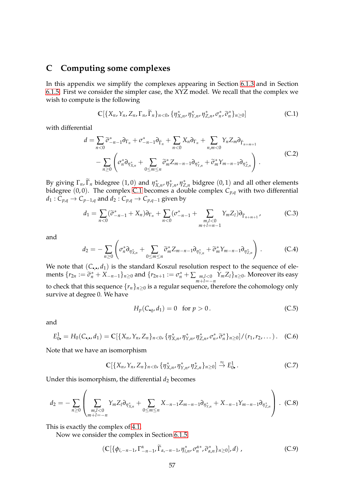# <span id="page-56-0"></span>**C Computing some complexes**

In this appendix we simplify the complexes appearing in Section [6.1.3](#page-35-0) and in Section [6.1.5.](#page-39-0) First we consider the simpler case, the XYZ model. We recall that the complex we wish to compute is the following

<span id="page-56-1"></span>
$$
\mathbb{C}[\{X_n, Y_n, Z_n, \Gamma_n, \widetilde{\Gamma}_n\}_{n<0}, \{\eta^*_{X,n}, \eta^*_{Y,n}, \eta^*_{Z,n}, \sigma^*_n, \widetilde{\sigma}^*_n\}_{n\geq 0}] \tag{C.1}
$$

with differential

$$
d = \sum_{n<0} \widetilde{\sigma}_{-n-1}^* \partial_{\Gamma_n} + \sigma_{-n-1}^* \partial_{\widetilde{\Gamma}_n} + \sum_{n<0} X_n \partial_{\Gamma_n} + \sum_{n,m<0} Y_n Z_m \partial_{\widetilde{\Gamma}_{n+m+1}} - \sum_{n\geq 0} \left( \sigma_n^* \partial_{\eta_{X,n}^*} + \sum_{0 \leq m \leq n} \widetilde{\sigma}_m^* Z_{m-n-1} \partial_{\eta_{Y,n}^*} + \widetilde{\sigma}_m^* Y_{m-n-1} \partial_{\eta_{Z,n}^*} \right).
$$
 (C.2)

By giving  $\Gamma_n$ ,  $\widetilde{\Gamma}_n$  bidegree (1,0) and  $\eta_{X,n}^*$ ,  $\eta_{Y,n}^*$ ,  $\eta_{Z,n}^*$  bidgree (0,1) and all other elements bidegree (0, 0). The complex [C.1](#page-56-1) becomes a double complex *Cp*,*<sup>q</sup>* with two differential  $d_1: C_{p,q} \to C_{p-1,q}$  and  $d_2: C_{p,q} \to C_{p,q-1}$  given by

$$
d_1 = \sum_{n<0} (\widetilde{\sigma}_{-n-1}^* + X_n) \partial_{\Gamma_n} + \sum_{n<0} (\sigma_{-n-1}^* + \sum_{\substack{m,l<0\\m+l=n-1}} Y_m Z_l) \partial_{\widetilde{\Gamma}_{n+m+1}} \qquad (C.3)
$$

and

$$
d_2 = -\sum_{n\geq 0} \left( \sigma_n^* \partial_{\eta_{X,n}^*} + \sum_{0\leq m\leq n} \widetilde{\sigma}_m^* Z_{m-n-1} \partial_{\eta_{Y,n}^*} + \widetilde{\sigma}_m^* Y_{m-n-1} \partial_{\eta_{Z,n}^*} \right).
$$
 (C.4)

We note that  $(C_{\bullet,\bullet}, d_1)$  is the standard Koszul resolution respect to the sequence of elements  $\{r_{2n} := \tilde{\sigma}_n^* + X_{-n-1}\}_{n \ge 0}$  and  $\{r_{2n+1} := \sigma_n^* + \sum_{m,l < 0} Y_m Z_l\}_{n \ge 0}$ . Moreover its easy to check that this sequence  $\{r_n\}_{n\geq 0}$  is a regular sequence, therefore the cohomology only survive at degree 0. We have

$$
H_p(C_{\bullet q}, d_1) = 0 \quad \text{for } p > 0. \tag{C.5}
$$

and

$$
E_{0\bullet}^1 = H_0(C_{\bullet,\bullet}, d_1) = \mathbb{C}[\{X_n, Y_n, Z_n\}_{n<0}, \{\eta_{X,n}^*, \eta_{Y,n}^*, \eta_{Z,n}^*, \tilde{\sigma}_n^*, \tilde{\sigma}_n^*\}_{n\geq 0}]/(r_1, r_2, \dots).
$$
 (C.6)

Note that we have an isomorphism

$$
\mathbb{C}[\{X_n,Y_n,Z_n\}_{n<0},\{\eta^*_{X,n},\eta^*_{Y,n},\eta^*_{Z,n}\}_{n\geq 0}]\stackrel{\approx}{\to} E^1_{0\bullet}.
$$
 (C.7)

Under this isomorphism, the differential  $d_2$  becomes

$$
d_2 = -\sum_{n\geq 0} \left( \sum_{\substack{m,l<0\\m+l=-n}} Y_m Z_l \partial_{\eta_{X,n}^*} + \sum_{0\leq m\leq n} X_{-n-1} Z_{m-n-1} \partial_{\eta_{Y,n}^*} + X_{-n-1} Y_{m-n-1} \partial_{\eta_{Z,n}^*} \right).
$$
 (C.8)

This is exactly the complex of [4.1.](#page-20-0)

Now we consider the complex in Section [6.1.5.](#page-39-0)

$$
\left(\mathbb{C}\big[\{\phi_{i,-n-1},\Gamma_{-n-1}^{\alpha},\widetilde{\Gamma}_{\alpha,-n-1},\eta_{i,n}^*,\sigma_n^{\alpha*},\widetilde{\sigma}_{\alpha,n}^*\}_{n\geq 0}\big],d\right),\tag{C.9}
$$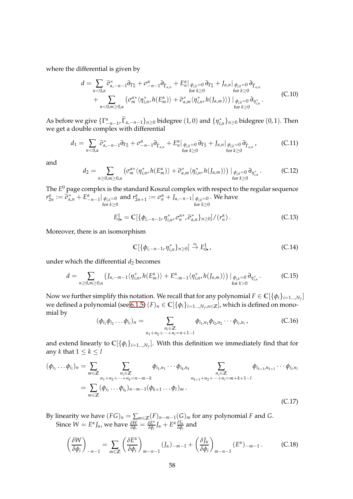where the differential is given by

$$
d = \sum_{n<0,\alpha} \widetilde{\sigma}_{\alpha,-n-1}^* \partial_{\Gamma_n^{\alpha}} + \sigma_{-n-1}^{\alpha} \partial_{\widetilde{\Gamma}_{\alpha,n}} + E_n^{\alpha} |_{\phi_{j,k}=0} \partial_{\Gamma_n^{\alpha}} + J_{\alpha,n} |_{\phi_{j,k}=0} \partial_{\widetilde{\Gamma}_{\alpha,n}} + \sum_{n<0,m\geq 0,\alpha} \left( \sigma_m^{\alpha*} \langle \eta_{i,n}^*, h(E_m^{\alpha}) \rangle + \widetilde{\sigma}_{\alpha,m}^* \langle \eta_{i,n}^*, h(J_{\alpha,m}) \rangle \right) |_{\phi_{j,k}=0} \partial_{\eta_{i,n}^*} .
$$
 (C.10)

As before we give  $\{\Gamma_{-n-1}^{\alpha}, \widetilde{\Gamma}_{\alpha,-n-1}\}_{n\geq 0}$  bidegree  $(1,0)$  and  $\{\eta_{i,n}^*\}_{n\geq 0}$  bidegree  $(0,1)$ . Then we get a double complex with differential

$$
d_1 = \sum_{n < 0, \alpha} \widetilde{\sigma}_{\alpha, -n-1}^* \partial_{\Gamma_n^{\alpha}} + \sigma_{-n-1}^{\alpha} \partial_{\widetilde{\Gamma}_{\alpha, n}} + E_n^{\alpha} \big|_{\phi_{j,k}=0} \partial_{\Gamma_n^{\alpha}} + J_{\alpha, n} \big|_{\phi_{j,k}=0} \partial_{\widetilde{\Gamma}_{\alpha, n}} \,, \tag{C.11}
$$

and

$$
d_2 = \sum_{n \ge 0, m \ge 0, \alpha} \left( \sigma_m^{\alpha*} \langle \eta_{i,n}^*, h(E_m^{\alpha}) \rangle + \widetilde{\sigma}_{\alpha,m}^* \langle \eta_{i,n}^*, h(J_{\alpha,m}) \rangle \right) \big|_{\phi_{j,k} = 0} \partial_{\eta_{i,n}^*}. \tag{C.12}
$$

The *E* <sup>0</sup> page complex is the standard Koszul complex with respect to the regular sequence  $r^{\alpha}_{2n} := \tilde{\sigma}^*_{\alpha,n} + E^{\alpha}_{-n-1} |_{\phi_{j,k}=0}$ for *k*≥0 and  $r^{\alpha}_{2n+1} := \sigma^{\alpha}_{n} + J_{\alpha, -n-1}|_{\phi_{j,k}=0}$ for *k*≥0 . We have

$$
E_{0\bullet}^1 = \mathbb{C}[\{\phi_{i,-n-1}, \eta_{i,n}^*, \tilde{\sigma}_n^*, \tilde{\sigma}_{\alpha,n}^*\}_{n\geq 0}]/(r_n^{\alpha}). \tag{C.13}
$$

Moreover, there is an isomorphism

$$
\mathbb{C}[\{\phi_{i,-n-1}, \eta_{i,n}^*\}_{n\geq 0}] \stackrel{\approx}{\to} E^1_{0\bullet},\tag{C.14}
$$

under which the differential  $d_2$  becomes

$$
d = \sum_{n \geq 0, m \geq 0, \alpha} \left( J_{\alpha, -m-1} \langle \eta_{i,n}^* h(E_m^{\alpha}) \rangle + E_{-m-1}^{\alpha} \langle \eta_{i,n}^* h(J_{\alpha,m}) \rangle \right) \big|_{\substack{\phi_{j,k}=0 \\ \text{for } k>0}} \partial_{\eta_{i,n}^*} \,. \tag{C.15}
$$

Now we further simplify this notation. We recall that for any polynomial  $F \in \mathbb{C}[\{\phi_i\}_{i=1...N_f}]$ we defined a polynomial (see [6.1.5\)](#page-39-0)  $(F)_n \in \mathbb{C}[\{\phi_i\}_{i=1...,N_f,n\in\mathbb{Z}}]$ , which is defined on monomial by

$$
(\phi_{i_1}\phi_{i_2}\dots\phi_{i_l})_n = \sum_{\substack{n_i \in \mathbb{Z} \\ n_1 + n_2 + \dots + n_l = n+1-l}} \phi_{i_1,n_1}\phi_{i_2,n_2}\dots\phi_{i_l,n_l},
$$
 (C.16)

and extend linearly to  $\mathbb{C}[\{\phi_i\}_{i=1...N_f}].$  With this definition we immediately find that for any *k* that  $1 \leq k \leq l$ 

$$
(\phi_{i_1} \dots \phi_{i_l})_n = \sum_{m \in \mathbb{Z}} \sum_{\substack{n_i \in \mathbb{Z} \\ n_1 + n_2 + \dots + n_k = n - m - k}} \phi_{i_1, n_1} \dots \phi_{i_k, n_k} \sum_{\substack{n_i \in \mathbb{Z} \\ n_{k+1} + n_2 + \dots + n_l = m + k + 1 - l}} \phi_{i_{k+1}, n_{k+1}} \dots \phi_{i_l, n_l}
$$
  
= 
$$
\sum_{m \in \mathbb{Z}} (\phi_{i_1} \dots \phi_{i_k})_{n - m - 1} (\phi_{k+1} \dots \phi_l)_m.
$$
 (C.17)

By linearity we have  $(FG)_n = \sum_{m \in \mathbb{Z}}(F)_{n-m-1}(G)_m$  for any polynomial *F* and *G*. Since  $W = E^{\alpha} J_{\alpha}$ , we have  $\frac{\delta W}{\delta \phi_i} = \frac{\delta E^{\alpha}}{\delta \phi_i}$ *δφ<sup>i</sup> J<sup>α</sup>* + *E α δJ<sup>α</sup> δφ<sup>i</sup>* and

$$
\left(\frac{\delta W}{\delta \phi_i}\right)_{-n-1} = \sum_{m \in \mathbb{Z}} \left(\frac{\delta E^{\alpha}}{\delta \phi_i}\right)_{m-n-1} (J_{\alpha})_{-m-1} + \left(\frac{\delta J_{\alpha}}{\delta \phi_i}\right)_{m-n-1} (E^{\alpha})_{-m-1}.
$$
 (C.18)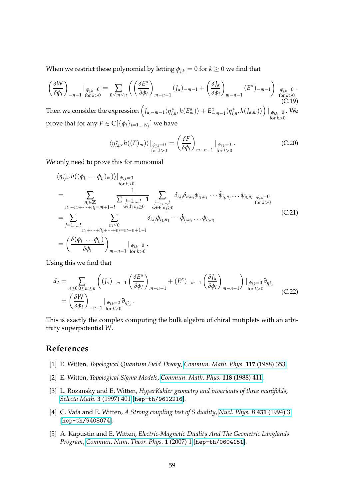When we restrict these polynomial by letting  $\phi_{j,k} = 0$  for  $k \geq 0$  we find that

$$
\left(\frac{\delta W}{\delta \phi_i}\right)_{-n-1} \Big|_{\phi_{j,k}=0} = \sum_{0 \le m \le n} \left( \left(\frac{\delta E^{\alpha}}{\delta \phi_i}\right)_{m-n-1} (J_{\alpha})_{-m-1} + \left(\frac{\delta J_{\alpha}}{\delta \phi_i}\right)_{m-n-1} (E^{\alpha})_{-m-1} \right) \Big|_{\begin{subarray}{l} \phi_{j,k}=0 \\ \text{for } k>0 \end{subarray}} . \tag{C.19}
$$

Then we consider the expression  $\left(J_{\alpha,-m-1}\langle\eta^*_{i,n},h(E^{\alpha}_m)\rangle+E^{\alpha}_{-m-1}\langle\eta^*_{i,n},h(J_{\alpha,m})\rangle\right)|_{\phi_{j,k}=0}$ for  $k>0$ . We prove that for any  $F \in \mathbb{C}[\{\phi_i\}_{i=1...,N_f}]$  we have

$$
\langle \eta_{i,n}^*, h((F)_m) \rangle \big|_{\substack{\phi_{j,k}=0 \\ \text{for } k>0}} = \left(\frac{\delta F}{\delta \phi_i}\right)_{m-n-1} \big|_{\substack{\phi_{j,k}=0 \\ \text{for } k>0}}.
$$
 (C.20)

We only need to prove this for monomial

$$
\langle \eta_{i,n}^*, h((\phi_{i_1} \dots \phi_{i_l})_m) \rangle |_{\phi_{j,k}=0}
$$
\n
$$
= \sum_{\substack{n_1+n_2+\dots+n_l=m+1-l \\ j=1,\dots,l}} \frac{1}{\sum_{\substack{j=1,\dots,l \\ j=1,\dots,l \\ \text{with } n_j \ge 0}} \delta_{i,i_j} \delta_{n,n_j} \phi_{i_1,n_1} \dots \hat{\phi}_{i_j,n_j} \dots \phi_{i_l,n_l} |_{\phi_{j,k}=0}
$$
\n
$$
= \sum_{\substack{j=1,\dots,l \\ n_1+\dots+n_j+\dots+n_l=m-n+1-l \\ n_1+\dots+n_j+\dots+n_l=m-n+1-l}} \delta_{i,i_j} \phi_{i_1,n_1} \dots \hat{\phi}_{i_j,n_j} \dots \phi_{i_l,n_l}
$$
\n(C.21)\n
$$
= \left( \frac{\delta(\phi_{i_1} \dots \phi_{i_l})}{\delta \phi_i} \right)_{m-n-1 \text{ for } k>0}
$$

Using this we find that

$$
d_2 = \sum_{n \ge 0, 0 \le m \le n} \left( (J_\alpha)_{-m-1} \left( \frac{\delta E^\alpha}{\delta \phi_i} \right)_{m-n-1} + (E^\alpha)_{-m-1} \left( \frac{\delta J_\alpha}{\delta \phi_i} \right)_{m-n-1} \right) \Big|_{\phi_{j,k} = 0} \partial_{\eta_{i,n}^*}
$$
  
=  $\left( \frac{\delta W}{\delta \phi_i} \right)_{-n-1} \Big|_{\phi_{j,k} = 0} \partial_{\eta_{i,n}^*}.$  (C.22)

This is exactly the complex computing the bulk algebra of chiral mutiplets with an arbitrary superpotential *W*.

# <span id="page-58-0"></span>**References**

- <span id="page-58-1"></span>[1] E. Witten, *Topological Quantum Field Theory*, *[Commun. Math. Phys.](https://doi.org/10.1007/BF01223371)* **117** (1988) 353.
- <span id="page-58-2"></span>[2] E. Witten, *Topological Sigma Models*, *[Commun. Math. Phys.](https://doi.org/10.1007/BF01466725)* **118** (1988) 411.
- [3] L. Rozansky and E. Witten, *HyperKahler geometry and invariants of three manifolds*, *[Selecta Math.](https://doi.org/10.1007/s000290050016)* **3** (1997) 401 [[hep-th/9612216](https://arxiv.org/abs/hep-th/9612216)].
- <span id="page-58-3"></span>[4] C. Vafa and E. Witten, *A Strong coupling test of S duality*, *[Nucl. Phys. B](https://doi.org/10.1016/0550-3213(94)90097-3)* **431** (1994) 3 [[hep-th/9408074](https://arxiv.org/abs/hep-th/9408074)].
- <span id="page-58-4"></span>[5] A. Kapustin and E. Witten, *Electric-Magnetic Duality And The Geometric Langlands Program*, *[Commun. Num. Theor. Phys.](https://doi.org/10.4310/CNTP.2007.v1.n1.a1)* **1** (2007) 1 [[hep-th/0604151](https://arxiv.org/abs/hep-th/0604151)].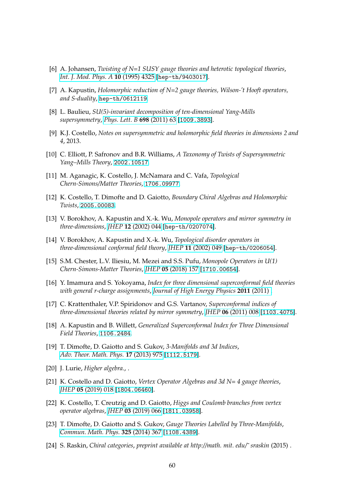- <span id="page-59-0"></span>[6] A. Johansen, *Twisting of N=1 SUSY gauge theories and heterotic topological theories*, *[Int. J. Mod. Phys. A](https://doi.org/10.1142/S0217751X9500200X)* **10** (1995) 4325 [[hep-th/9403017](https://arxiv.org/abs/hep-th/9403017)].
- <span id="page-59-1"></span>[7] A. Kapustin, *Holomorphic reduction of N=2 gauge theories, Wilson-'t Hooft operators, and S-duality*, [hep-th/0612119](https://arxiv.org/abs/hep-th/0612119).
- <span id="page-59-2"></span>[8] L. Baulieu, *SU(5)-invariant decomposition of ten-dimensional Yang-Mills supersymmetry*, *[Phys. Lett. B](https://doi.org/10.1016/j.physletb.2010.12.044)* **698** (2011) 63 [[1009.3893](https://arxiv.org/abs/1009.3893)].
- <span id="page-59-4"></span><span id="page-59-3"></span>[9] K.J. Costello, *Notes on supersymmetric and holomorphic field theories in dimensions 2 and 4*, 2013.
- [10] C. Elliott, P. Safronov and B.R. Williams, *A Taxonomy of Twists of Supersymmetric Yang–Mills Theory*, [2002.10517](https://arxiv.org/abs/2002.10517).
- <span id="page-59-6"></span><span id="page-59-5"></span>[11] M. Aganagic, K. Costello, J. McNamara and C. Vafa, *Topological Chern-Simons/Matter Theories*, [1706.09977](https://arxiv.org/abs/1706.09977).
- <span id="page-59-7"></span>[12] K. Costello, T. Dimofte and D. Gaiotto, *Boundary Chiral Algebras and Holomorphic Twists*, [2005.00083](https://arxiv.org/abs/2005.00083).
- <span id="page-59-8"></span>[13] V. Borokhov, A. Kapustin and X.-k. Wu, *Monopole operators and mirror symmetry in three-dimensions*, *JHEP* **12** [\(2002\) 044](https://doi.org/10.1088/1126-6708/2002/12/044) [[hep-th/0207074](https://arxiv.org/abs/hep-th/0207074)].
- [14] V. Borokhov, A. Kapustin and X.-k. Wu, *Topological disorder operators in three-dimensional conformal field theory*, *JHEP* **11** [\(2002\) 049](https://doi.org/10.1088/1126-6708/2002/11/049) [[hep-th/0206054](https://arxiv.org/abs/hep-th/0206054)].
- <span id="page-59-9"></span>[15] S.M. Chester, L.V. Iliesiu, M. Mezei and S.S. Pufu, *Monopole Operators in U(1) Chern-Simons-Matter Theories*, *JHEP* **05** [\(2018\) 157](https://doi.org/10.1007/JHEP05(2018)157) [[1710.00654](https://arxiv.org/abs/1710.00654)].
- <span id="page-59-10"></span>[16] Y. Imamura and S. Yokoyama, *Index for three dimensional superconformal field theories with general r-charge assignments*, *[Journal of High Energy Physics](https://doi.org/10.1007/jhep04(2011)007)* **2011** (2011) .
- <span id="page-59-11"></span>[17] C. Krattenthaler, V.P. Spiridonov and G.S. Vartanov, *Superconformal indices of three-dimensional theories related by mirror symmetry*, *JHEP* **06** [\(2011\) 008](https://doi.org/10.1007/JHEP06(2011)008) [[1103.4075](https://arxiv.org/abs/1103.4075)].
- <span id="page-59-12"></span>[18] A. Kapustin and B. Willett, *Generalized Superconformal Index for Three Dimensional Field Theories*, [1106.2484](https://arxiv.org/abs/1106.2484).
- <span id="page-59-13"></span>[19] T. Dimofte, D. Gaiotto and S. Gukov, *3-Manifolds and 3d Indices*, *[Adv. Theor. Math. Phys.](https://doi.org/10.4310/ATMP.2013.v17.n5.a3)* **17** (2013) 975 [[1112.5179](https://arxiv.org/abs/1112.5179)].
- <span id="page-59-15"></span><span id="page-59-14"></span>[20] J. Lurie, *Higher algebra.*, .
- [21] K. Costello and D. Gaiotto, *Vertex Operator Algebras and 3d N= 4 gauge theories*, *JHEP* **05** [\(2019\) 018](https://doi.org/10.1007/JHEP05(2019)018) [[1804.06460](https://arxiv.org/abs/1804.06460)].
- <span id="page-59-16"></span>[22] K. Costello, T. Creutzig and D. Gaiotto, *Higgs and Coulomb branches from vertex operator algebras*, *JHEP* **03** [\(2019\) 066](https://doi.org/10.1007/JHEP03(2019)066) [[1811.03958](https://arxiv.org/abs/1811.03958)].
- <span id="page-59-17"></span>[23] T. Dimofte, D. Gaiotto and S. Gukov, *Gauge Theories Labelled by Three-Manifolds*, *[Commun. Math. Phys.](https://doi.org/10.1007/s00220-013-1863-2)* **325** (2014) 367 [[1108.4389](https://arxiv.org/abs/1108.4389)].
- <span id="page-59-18"></span>[24] S. Raskin, *Chiral categories*, *preprint available at http://math. mit. edu/˜ sraskin* (2015) .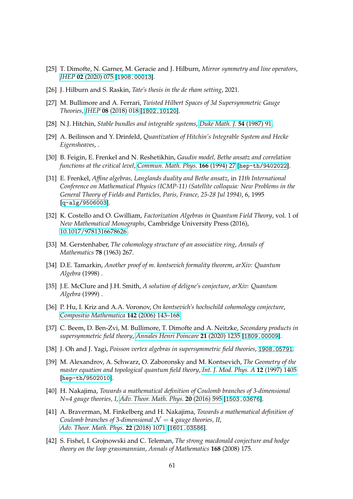- <span id="page-60-1"></span><span id="page-60-0"></span>[25] T. Dimofte, N. Garner, M. Geracie and J. Hilburn, *Mirror symmetry and line operators*, *JHEP* **02** [\(2020\) 075](https://doi.org/10.1007/JHEP02(2020)075) [[1908.00013](https://arxiv.org/abs/1908.00013)].
- <span id="page-60-2"></span>[26] J. Hilburn and S. Raskin, *Tate's thesis in the de rham setting*, 2021.
- <span id="page-60-3"></span>[27] M. Bullimore and A. Ferrari, *Twisted Hilbert Spaces of 3d Supersymmetric Gauge Theories*, *JHEP* **08** [\(2018\) 018](https://doi.org/10.1007/JHEP08(2018)018) [[1802.10120](https://arxiv.org/abs/1802.10120)].
- <span id="page-60-4"></span>[28] N.J. Hitchin, *Stable bundles and integrable systems*, *[Duke Math. J.](https://doi.org/10.1215/S0012-7094-87-05408-1)* **54** (1987) 91.
- [29] A. Beilinson and Y. Drinfeld, *Quantization of Hitchin's Integrable System and Hecke Eigensheaves*, .
- <span id="page-60-5"></span>[30] B. Feigin, E. Frenkel and N. Reshetikhin, *Gaudin model, Bethe ansatz and correlation functions at the critical level*, *[Commun. Math. Phys.](https://doi.org/10.1007/BF02099300)* **166** (1994) 27 [[hep-th/9402022](https://arxiv.org/abs/hep-th/9402022)].
- <span id="page-60-6"></span>[31] E. Frenkel, *Affine algebras, Langlands duality and Bethe ansatz*, in *11th International Conference on Mathematical Physics (ICMP-11) (Satellite colloquia: New Problems in the General Theory of Fields and Particles, Paris, France, 25-28 Jul 1994)*, 6, 1995 [[q-alg/9506003](https://arxiv.org/abs/q-alg/9506003)].
- <span id="page-60-7"></span>[32] K. Costello and O. Gwilliam, *Factorization Algebras in Quantum Field Theory*, vol. 1 of *New Mathematical Monographs*, Cambridge University Press (2016), [10.1017/9781316678626.](https://doi.org/10.1017/9781316678626)
- <span id="page-60-8"></span>[33] M. Gerstenhaber, *The cohomology structure of an associative ring*, *Annals of Mathematics* **78** (1963) 267.
- <span id="page-60-9"></span>[34] D.E. Tamarkin, *Another proof of m. kontsevich formality theorem*, *arXiv: Quantum Algebra* (1998) .
- <span id="page-60-10"></span>[35] J.E. McClure and J.H. Smith, *A solution of deligne's conjecture*, *arXiv: Quantum Algebra* (1999) .
- <span id="page-60-11"></span>[36] P. Hu, I. Kriz and A.A. Voronov, *On kontsevich's hochschild cohomology conjecture*, *[Compositio Mathematica](https://doi.org/10.1112/S0010437X05001521)* **142** (2006) 143–168.
- <span id="page-60-12"></span>[37] C. Beem, D. Ben-Zvi, M. Bullimore, T. Dimofte and A. Neitzke, *Secondary products in supersymmetric field theory*, *[Annales Henri Poincare](https://doi.org/10.1007/s00023-020-00888-3)* **21** (2020) 1235 [[1809.00009](https://arxiv.org/abs/1809.00009)].
- <span id="page-60-14"></span><span id="page-60-13"></span>[38] J. Oh and J. Yagi, *Poisson vertex algebras in supersymmetric field theories*, [1908.05791](https://arxiv.org/abs/1908.05791).
- [39] M. Alexandrov, A. Schwarz, O. Zaboronsky and M. Kontsevich, *The Geometry of the master equation and topological quantum field theory*, *[Int. J. Mod. Phys. A](https://doi.org/10.1142/S0217751X97001031)* **12** (1997) 1405 [[hep-th/9502010](https://arxiv.org/abs/hep-th/9502010)].
- <span id="page-60-15"></span>[40] H. Nakajima, *Towards a mathematical definition of Coulomb branches of 3-dimensional N=4 gauge theories, I*, *[Adv. Theor. Math. Phys.](https://doi.org/10.4310/ATMP.2016.v20.n3.a4)* **20** (2016) 595 [[1503.03676](https://arxiv.org/abs/1503.03676)].
- <span id="page-60-16"></span>[41] A. Braverman, M. Finkelberg and H. Nakajima, *Towards a mathematical definition of Coulomb branches of 3-dimensional*  $\mathcal{N} = 4$  *gauge theories, II, [Adv. Theor. Math. Phys.](https://doi.org/10.4310/ATMP.2018.v22.n5.a1)* **22** (2018) 1071 [[1601.03586](https://arxiv.org/abs/1601.03586)].
- <span id="page-60-17"></span>[42] S. Fishel, I. Grojnowski and C. Teleman, *The strong macdonald conjecture and hodge theory on the loop grassmannian*, *Annals of Mathematics* **168** (2008) 175.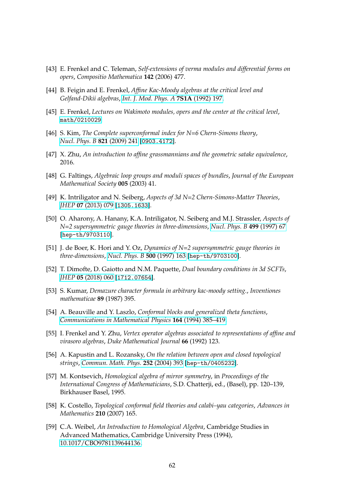- <span id="page-61-0"></span>[43] E. Frenkel and C. Teleman, *Self-extensions of verma modules and differential forms on opers*, *Compositio Mathematica* **142** (2006) 477.
- <span id="page-61-1"></span>[44] B. Feigin and E. Frenkel, *Affine Kac-Moody algebras at the critical level and Gelfand-Dikii algebras*, *[Int. J. Mod. Phys. A](https://doi.org/10.1142/S0217751X92003781)* **7S1A** (1992) 197.
- <span id="page-61-3"></span><span id="page-61-2"></span>[45] E. Frenkel, *Lectures on Wakimoto modules, opers and the center at the critical level*, [math/0210029](https://arxiv.org/abs/math/0210029).
- [46] S. Kim, *The Complete superconformal index for N=6 Chern-Simons theory*, *[Nucl. Phys. B](https://doi.org/10.1016/j.nuclphysb.2009.06.025)* **821** (2009) 241 [[0903.4172](https://arxiv.org/abs/0903.4172)].
- <span id="page-61-5"></span><span id="page-61-4"></span>[47] X. Zhu, *An introduction to affine grassmannians and the geometric satake equivalence*, 2016.
- [48] G. Faltings, *Algebraic loop groups and moduli spaces of bundles*, *Journal of the European Mathematical Society* **005** (2003) 41.
- <span id="page-61-7"></span><span id="page-61-6"></span>[49] K. Intriligator and N. Seiberg, *Aspects of 3d N=2 Chern-Simons-Matter Theories*, *JHEP* **07** [\(2013\) 079](https://doi.org/10.1007/JHEP07(2013)079) [[1305.1633](https://arxiv.org/abs/1305.1633)].
- [50] O. Aharony, A. Hanany, K.A. Intriligator, N. Seiberg and M.J. Strassler, *Aspects of N=2 supersymmetric gauge theories in three-dimensions*, *[Nucl. Phys. B](https://doi.org/10.1016/S0550-3213(97)00323-4)* **499** (1997) 67 [[hep-th/9703110](https://arxiv.org/abs/hep-th/9703110)].
- <span id="page-61-8"></span>[51] J. de Boer, K. Hori and Y. Oz, *Dynamics of N=2 supersymmetric gauge theories in three-dimensions*, *[Nucl. Phys. B](https://doi.org/10.1016/S0550-3213(97)00328-3)* **500** (1997) 163 [[hep-th/9703100](https://arxiv.org/abs/hep-th/9703100)].
- <span id="page-61-10"></span><span id="page-61-9"></span>[52] T. Dimofte, D. Gaiotto and N.M. Paquette, *Dual boundary conditions in 3d SCFTs*, *JHEP* **05** [\(2018\) 060](https://doi.org/10.1007/JHEP05(2018)060) [[1712.07654](https://arxiv.org/abs/1712.07654)].
- [53] S. Kumar, *Demazure character formula in arbitrary kac-moody setting.*, *Inventiones mathematicae* **89** (1987) 395.
- <span id="page-61-11"></span>[54] A. Beauville and Y. Laszlo, *Conformal blocks and generalized theta functions*, *[Communications in Mathematical Physics](https://doi.org/10.1007/bf02101707)* **164** (1994) 385–419.
- <span id="page-61-12"></span>[55] I. Frenkel and Y. Zhu, *Vertex operator algebras associated to representations of affine and virasoro algebras*, *Duke Mathematical Journal* **66** (1992) 123.
- <span id="page-61-13"></span>[56] A. Kapustin and L. Rozansky, *On the relation between open and closed topological strings*, *[Commun. Math. Phys.](https://doi.org/10.1007/s00220-004-1227-z)* **252** (2004) 393 [[hep-th/0405232](https://arxiv.org/abs/hep-th/0405232)].
- <span id="page-61-14"></span>[57] M. Kontsevich, *Homological algebra of mirror symmetry*, in *Proceedings of the International Congress of Mathematicians*, S.D. Chatterji, ed., (Basel), pp. 120–139, Birkhauser Basel, 1995.
- <span id="page-61-15"></span>[58] K. Costello, *Topological conformal field theories and calabi–yau categories*, *Advances in Mathematics* **210** (2007) 165.
- <span id="page-61-16"></span>[59] C.A. Weibel, *An Introduction to Homological Algebra*, Cambridge Studies in Advanced Mathematics, Cambridge University Press (1994), [10.1017/CBO9781139644136.](https://doi.org/10.1017/CBO9781139644136)